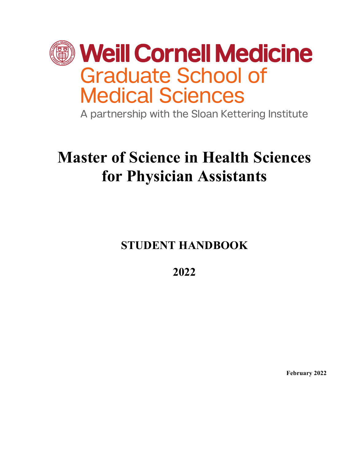

A partnership with the Sloan Kettering Institute

# **Master of Science in Health Sciences for Physician Assistants**

**STUDENT HANDBOOK**

**2022**

**February 2022**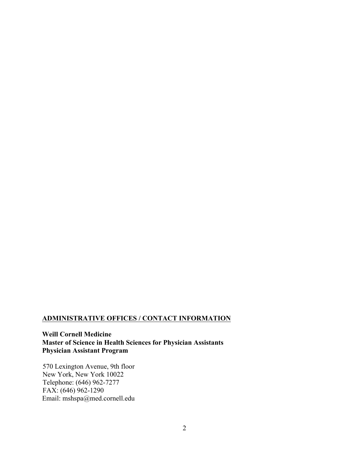# **ADMINISTRATIVE OFFICES / CONTACT INFORMATION**

**Weill Cornell Medicine Master of Science in Health Sciences for Physician Assistants Physician Assistant Program**

570 Lexington Avenue, 9th floor New York, New York 10022 Telephone: (646) 962-7277 FAX: (646) 962-1290 Email: mshspa@med.cornell.edu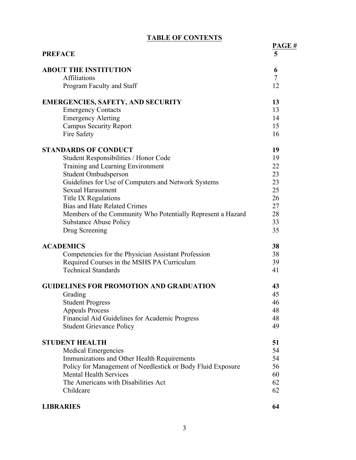| <b>TABLE OF CONTENTS</b> |  |
|--------------------------|--|
|--------------------------|--|

| <b>PREFACE</b>                                              | PAGE#<br>5     |
|-------------------------------------------------------------|----------------|
| <b>ABOUT THE INSTITUTION</b>                                | 6              |
| Affiliations                                                | $\overline{7}$ |
| Program Faculty and Staff                                   | 12             |
| <b>EMERGENCIES, SAFETY, AND SECURITY</b>                    | 13             |
| <b>Emergency Contacts</b>                                   | 13             |
| <b>Emergency Alerting</b>                                   | 14             |
| <b>Campus Security Report</b>                               | 15             |
| Fire Safety                                                 | 16             |
| <b>STANDARDS OF CONDUCT</b>                                 | 19             |
| Student Responsibilities / Honor Code                       | 19             |
| Training and Learning Environment                           | 22             |
| Student Ombudsperson                                        | 23             |
| Guidelines for Use of Computers and Network Systems         | 23             |
| <b>Sexual Harassment</b>                                    | 25             |
| <b>Title IX Regulations</b>                                 | 26             |
| <b>Bias and Hate Related Crimes</b>                         | 27             |
| Members of the Community Who Potentially Represent a Hazard | 28             |
| <b>Substance Abuse Policy</b>                               | 33             |
| Drug Screening                                              | 35             |
| <b>ACADEMICS</b>                                            | 38             |
| Competencies for the Physician Assistant Profession         | 38             |
| Required Courses in the MSHS PA Curriculum                  | 39             |
| <b>Technical Standards</b>                                  | 41             |
| <b>GUIDELINES FOR PROMOTION AND GRADUATION</b>              | 43             |
| Grading                                                     | 45             |
| <b>Student Progress</b>                                     | 46             |
| <b>Appeals Process</b>                                      | 48             |
| Financial Aid Guidelines for Academic Progress              | 48             |
| <b>Student Grievance Policy</b>                             | 49             |
| <b>STUDENT HEALTH</b>                                       | 51             |
| <b>Medical Emergencies</b>                                  | 54             |
| Immunizations and Other Health Requirements                 | 54             |
| Policy for Management of Needlestick or Body Fluid Exposure | 56             |
| <b>Mental Health Services</b>                               | 60             |
| The Americans with Disabilities Act                         | 62             |
| Childcare                                                   | 62             |
| <b>LIBRARIES</b>                                            | 64             |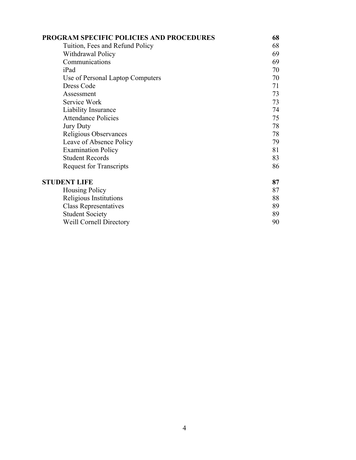| <b>PROGRAM SPECIFIC POLICIES AND PROCEDURES</b> | 68 |
|-------------------------------------------------|----|
| Tuition, Fees and Refund Policy                 | 68 |
| Withdrawal Policy                               | 69 |
| Communications                                  | 69 |
| iPad                                            | 70 |
| Use of Personal Laptop Computers                | 70 |
| Dress Code                                      | 71 |
| Assessment                                      | 73 |
| Service Work                                    | 73 |
| Liability Insurance                             | 74 |
| <b>Attendance Policies</b>                      | 75 |
| <b>Jury Duty</b>                                | 78 |
| Religious Observances                           | 78 |
| Leave of Absence Policy                         | 79 |
| <b>Examination Policy</b>                       | 81 |
| <b>Student Records</b>                          | 83 |
| <b>Request for Transcripts</b>                  | 86 |
| <b>STUDENT LIFE</b>                             | 87 |
| <b>Housing Policy</b>                           | 87 |
| Religious Institutions                          | 88 |
| <b>Class Representatives</b>                    | 89 |
| <b>Student Society</b>                          | 89 |
| <b>Weill Cornell Directory</b>                  | 90 |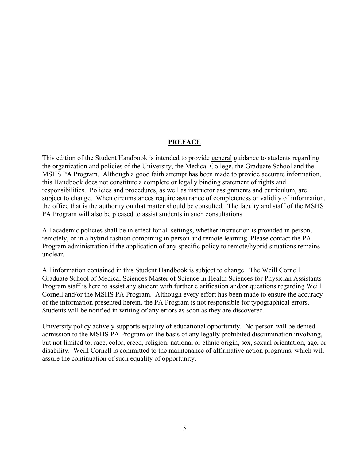#### **PREFACE**

This edition of the Student Handbook is intended to provide general guidance to students regarding the organization and policies of the University, the Medical College, the Graduate School and the MSHS PA Program. Although a good faith attempt has been made to provide accurate information, this Handbook does not constitute a complete or legally binding statement of rights and responsibilities. Policies and procedures, as well as instructor assignments and curriculum, are subject to change. When circumstances require assurance of completeness or validity of information, the office that is the authority on that matter should be consulted. The faculty and staff of the MSHS PA Program will also be pleased to assist students in such consultations.

All academic policies shall be in effect for all settings, whether instruction is provided in person, remotely, or in a hybrid fashion combining in person and remote learning. Please contact the PA Program administration if the application of any specific policy to remote/hybrid situations remains unclear.

All information contained in this Student Handbook is subject to change. The Weill Cornell Graduate School of Medical Sciences Master of Science in Health Sciences for Physician Assistants Program staff is here to assist any student with further clarification and/or questions regarding Weill Cornell and/or the MSHS PA Program. Although every effort has been made to ensure the accuracy of the information presented herein, the PA Program is not responsible for typographical errors. Students will be notified in writing of any errors as soon as they are discovered.

University policy actively supports equality of educational opportunity. No person will be denied admission to the MSHS PA Program on the basis of any legally prohibited discrimination involving, but not limited to, race, color, creed, religion, national or ethnic origin, sex, sexual orientation, age, or disability. Weill Cornell is committed to the maintenance of affirmative action programs, which will assure the continuation of such equality of opportunity.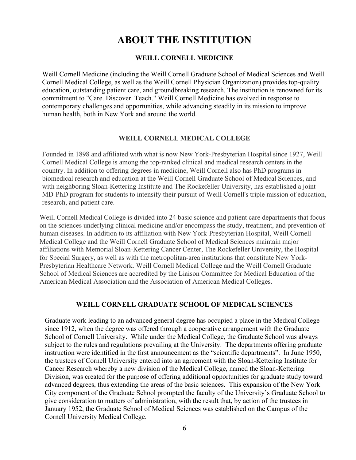# **ABOUT THE INSTITUTION**

#### **WEILL CORNELL MEDICINE**

Weill Cornell Medicine (including the Weill Cornell Graduate School of Medical Sciences and Weill Cornell Medical College, as well as the Weill Cornell Physician Organization) provides top-quality education, outstanding patient care, and groundbreaking research. The institution is renowned for its commitment to "Care. Discover. Teach." Weill Cornell Medicine has evolved in response to contemporary challenges and opportunities, while advancing steadily in its mission to improve human health, both in New York and around the world.

#### **WEILL CORNELL MEDICAL COLLEGE**

Founded in 1898 and affiliated with what is now New York-Presbyterian Hospital since 1927, Weill Cornell Medical College is among the top-ranked clinical and medical research centers in the country. In addition to offering degrees in medicine, Weill Cornell also has PhD programs in biomedical research and education at the Weill Cornell Graduate School of Medical Sciences, and with neighboring Sloan-Kettering Institute and The Rockefeller University, has established a joint MD-PhD program for students to intensify their pursuit of Weill Cornell's triple mission of education, research, and patient care.

Weill Cornell Medical College is divided into 24 basic science and patient care departments that focus on the sciences underlying clinical medicine and/or encompass the study, treatment, and prevention of human diseases. In addition to its affiliation with New York-Presbyterian Hospital, Weill Cornell Medical College and the Weill Cornell Graduate School of Medical Sciences maintain major affiliations with Memorial Sloan-Kettering Cancer Center, The Rockefeller University, the Hospital for Special Surgery, as well as with the metropolitan-area institutions that constitute New York-Presbyterian Healthcare Network. Weill Cornell Medical College and the Weill Cornell Graduate School of Medical Sciences are accredited by the Liaison Committee for Medical Education of the American Medical Association and the Association of American Medical Colleges.

#### **WEILL CORNELL GRADUATE SCHOOL OF MEDICAL SCIENCES**

Graduate work leading to an advanced general degree has occupied a place in the Medical College since 1912, when the degree was offered through a cooperative arrangement with the Graduate School of Cornell University. While under the Medical College, the Graduate School was always subject to the rules and regulations prevailing at the University. The departments offering graduate instruction were identified in the first announcement as the "scientific departments". In June 1950, the trustees of Cornell University entered into an agreement with the Sloan-Kettering Institute for Cancer Research whereby a new division of the Medical College, named the Sloan-Kettering Division, was created for the purpose of offering additional opportunities for graduate study toward advanced degrees, thus extending the areas of the basic sciences. This expansion of the New York City component of the Graduate School prompted the faculty of the University's Graduate School to give consideration to matters of administration, with the result that, by action of the trustees in January 1952, the Graduate School of Medical Sciences was established on the Campus of the Cornell University Medical College.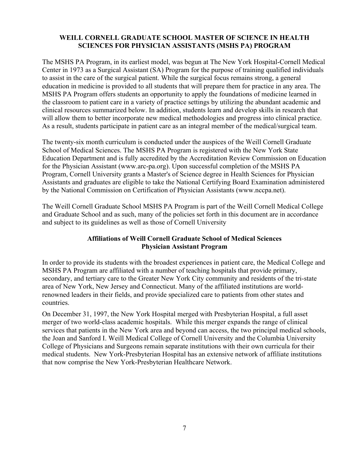#### **WEILL CORNELL GRADUATE SCHOOL MASTER OF SCIENCE IN HEALTH SCIENCES FOR PHYSICIAN ASSISTANTS (MSHS PA) PROGRAM**

The MSHS PA Program, in its earliest model, was begun at The New York Hospital-Cornell Medical Center in 1973 as a Surgical Assistant (SA) Program for the purpose of training qualified individuals to assist in the care of the surgical patient. While the surgical focus remains strong, a general education in medicine is provided to all students that will prepare them for practice in any area. The MSHS PA Program offers students an opportunity to apply the foundations of medicine learned in the classroom to patient care in a variety of practice settings by utilizing the abundant academic and clinical resources summarized below. In addition, students learn and develop skills in research that will allow them to better incorporate new medical methodologies and progress into clinical practice. As a result, students participate in patient care as an integral member of the medical/surgical team.

The twenty-six month curriculum is conducted under the auspices of the Weill Cornell Graduate School of Medical Sciences. The MSHS PA Program is registered with the New York State Education Department and is fully accredited by the Accreditation Review Commission on Education for the Physician Assistant (www.arc-pa.org). Upon successful completion of the MSHS PA Program, Cornell University grants a Master's of Science degree in Health Sciences for Physician Assistants and graduates are eligible to take the National Certifying Board Examination administered by the National Commission on Certification of Physician Assistants (www.nccpa.net).

The Weill Cornell Graduate School MSHS PA Program is part of the Weill Cornell Medical College and Graduate School and as such, many of the policies set forth in this document are in accordance and subject to its guidelines as well as those of Cornell University

# **Affiliations of Weill Cornell Graduate School of Medical Sciences Physician Assistant Program**

In order to provide its students with the broadest experiences in patient care, the Medical College and MSHS PA Program are affiliated with a number of teaching hospitals that provide primary, secondary, and tertiary care to the Greater New York City community and residents of the tri-state area of New York, New Jersey and Connecticut. Many of the affiliated institutions are worldrenowned leaders in their fields, and provide specialized care to patients from other states and countries.

On December 31, 1997, the New York Hospital merged with Presbyterian Hospital, a full asset merger of two world-class academic hospitals. While this merger expands the range of clinical services that patients in the New York area and beyond can access, the two principal medical schools, the Joan and Sanford I. Weill Medical College of Cornell University and the Columbia University College of Physicians and Surgeons remain separate institutions with their own curricula for their medical students. New York-Presbyterian Hospital has an extensive network of affiliate institutions that now comprise the New York-Presbyterian Healthcare Network.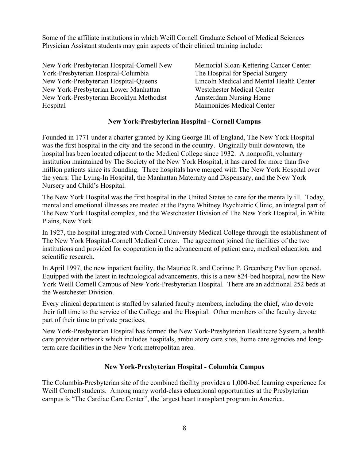Some of the affiliate institutions in which Weill Cornell Graduate School of Medical Sciences Physician Assistant students may gain aspects of their clinical training include:

New York-Presbyterian Hospital-Cornell New York-Presbyterian Hospital-Columbia New York-Presbyterian Hospital-Queens New York-Presbyterian Lower Manhattan New York-Presbyterian Brooklyn Methodist Hospital

Memorial Sloan-Kettering Cancer Center The Hospital for Special Surgery Lincoln Medical and Mental Health Center Westchester Medical Center Amsterdam Nursing Home Maimonides Medical Center

#### **New York-Presbyterian Hospital - Cornell Campus**

Founded in 1771 under a charter granted by King George III of England, The New York Hospital was the first hospital in the city and the second in the country. Originally built downtown, the hospital has been located adjacent to the Medical College since 1932. A nonprofit, voluntary institution maintained by The Society of the New York Hospital, it has cared for more than five million patients since its founding. Three hospitals have merged with The New York Hospital over the years: The Lying-In Hospital, the Manhattan Maternity and Dispensary, and the New York Nursery and Child's Hospital.

The New York Hospital was the first hospital in the United States to care for the mentally ill. Today, mental and emotional illnesses are treated at the Payne Whitney Psychiatric Clinic, an integral part of The New York Hospital complex, and the Westchester Division of The New York Hospital, in White Plains, New York.

In 1927, the hospital integrated with Cornell University Medical College through the establishment of The New York Hospital-Cornell Medical Center. The agreement joined the facilities of the two institutions and provided for cooperation in the advancement of patient care, medical education, and scientific research.

In April 1997, the new inpatient facility, the Maurice R. and Corinne P. Greenberg Pavilion opened. Equipped with the latest in technological advancements, this is a new 824-bed hospital, now the New York Weill Cornell Campus of New York-Presbyterian Hospital. There are an additional 252 beds at the Westchester Division.

Every clinical department is staffed by salaried faculty members, including the chief, who devote their full time to the service of the College and the Hospital. Other members of the faculty devote part of their time to private practices.

New York-Presbyterian Hospital has formed the New York-Presbyterian Healthcare System, a health care provider network which includes hospitals, ambulatory care sites, home care agencies and longterm care facilities in the New York metropolitan area.

#### **New York-Presbyterian Hospital - Columbia Campus**

The Columbia-Presbyterian site of the combined facility provides a 1,000-bed learning experience for Weill Cornell students. Among many world-class educational opportunities at the Presbyterian campus is "The Cardiac Care Center", the largest heart transplant program in America.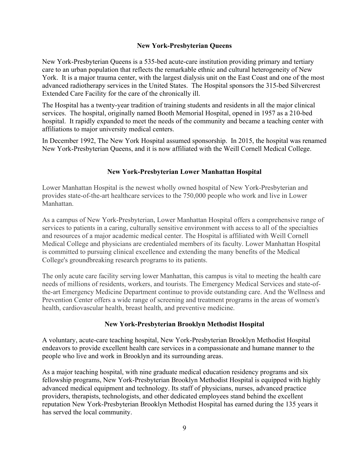#### **New York-Presbyterian Queens**

New York-Presbyterian Queens is a 535-bed acute-care institution providing primary and tertiary care to an urban population that reflects the remarkable ethnic and cultural heterogeneity of New York. It is a major trauma center, with the largest dialysis unit on the East Coast and one of the most advanced radiotherapy services in the United States. The Hospital sponsors the 315-bed Silvercrest Extended Care Facility for the care of the chronically ill.

The Hospital has a twenty-year tradition of training students and residents in all the major clinical services. The hospital, originally named Booth Memorial Hospital, opened in 1957 as a 210-bed hospital. It rapidly expanded to meet the needs of the community and became a teaching center with affiliations to major university medical centers.

In December 1992, The New York Hospital assumed sponsorship. In 2015, the hospital was renamed New York-Presbyterian Queens, and it is now affiliated with the Weill Cornell Medical College.

# **New York-Presbyterian Lower Manhattan Hospital**

Lower Manhattan Hospital is the newest wholly owned hospital of New York-Presbyterian and provides state-of-the-art healthcare services to the 750,000 people who work and live in Lower Manhattan.

As a campus of New York-Presbyterian, Lower Manhattan Hospital offers a comprehensive range of services to patients in a caring, culturally sensitive environment with access to all of the specialties and resources of a major academic medical center. The Hospital is affiliated with Weill Cornell Medical College and physicians are credentialed members of its faculty. Lower Manhattan Hospital is committed to pursuing clinical excellence and extending the many benefits of the Medical College's groundbreaking research programs to its patients.

The only acute care facility serving lower Manhattan, this campus is vital to meeting the health care needs of millions of residents, workers, and tourists. The Emergency Medical Services and state-ofthe-art Emergency Medicine Department continue to provide outstanding care. And the Wellness and Prevention Center offers a wide range of screening and treatment programs in the areas of women's health, cardiovascular health, breast health, and preventive medicine.

# **New York-Presbyterian Brooklyn Methodist Hospital**

A voluntary, acute-care teaching hospital, New York-Presbyterian Brooklyn Methodist Hospital endeavors to provide excellent health care services in a compassionate and humane manner to the people who live and work in Brooklyn and its surrounding areas.

As a major teaching hospital, with nine graduate medical education residency programs and six fellowship programs, New York-Presbyterian Brooklyn Methodist Hospital is equipped with highly advanced medical equipment and technology. Its staff of physicians, nurses, advanced practice providers, therapists, technologists, and other dedicated employees stand behind the excellent reputation New York-Presbyterian Brooklyn Methodist Hospital has earned during the 135 years it has served the local community.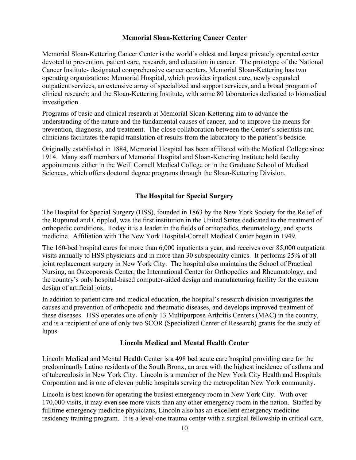# **Memorial Sloan-Kettering Cancer Center**

Memorial Sloan-Kettering Cancer Center is the world's oldest and largest privately operated center devoted to prevention, patient care, research, and education in cancer. The prototype of the National Cancer Institute- designated comprehensive cancer centers, Memorial Sloan-Kettering has two operating organizations: Memorial Hospital, which provides inpatient care, newly expanded outpatient services, an extensive array of specialized and support services, and a broad program of clinical research; and the Sloan-Kettering Institute, with some 80 laboratories dedicated to biomedical investigation.

Programs of basic and clinical research at Memorial Sloan-Kettering aim to advance the understanding of the nature and the fundamental causes of cancer, and to improve the means for prevention, diagnosis, and treatment. The close collaboration between the Center's scientists and clinicians facilitates the rapid translation of results from the laboratory to the patient's bedside.

Originally established in 1884, Memorial Hospital has been affiliated with the Medical College since 1914. Many staff members of Memorial Hospital and Sloan-Kettering Institute hold faculty appointments either in the Weill Cornell Medical College or in the Graduate School of Medical Sciences, which offers doctoral degree programs through the Sloan-Kettering Division.

# **The Hospital for Special Surgery**

The Hospital for Special Surgery (HSS), founded in 1863 by the New York Society for the Relief of the Ruptured and Crippled, was the first institution in the United States dedicated to the treatment of orthopedic conditions. Today it is a leader in the fields of orthopedics, rheumatology, and sports medicine. Affiliation with The New York Hospital-Cornell Medical Center began in 1949.

The 160-bed hospital cares for more than 6,000 inpatients a year, and receives over 85,000 outpatient visits annually to HSS physicians and in more than 30 subspecialty clinics. It performs 25% of all joint replacement surgery in New York City. The hospital also maintains the School of Practical Nursing, an Osteoporosis Center, the International Center for Orthopedics and Rheumatology, and the country's only hospital-based computer-aided design and manufacturing facility for the custom design of artificial joints.

In addition to patient care and medical education, the hospital's research division investigates the causes and prevention of orthopedic and rheumatic diseases, and develops improved treatment of these diseases. HSS operates one of only 13 Multipurpose Arthritis Centers (MAC) in the country, and is a recipient of one of only two SCOR (Specialized Center of Research) grants for the study of lupus.

# **Lincoln Medical and Mental Health Center**

Lincoln Medical and Mental Health Center is a 498 bed acute care hospital providing care for the predominantly Latino residents of the South Bronx, an area with the highest incidence of asthma and of tuberculosis in New York City. Lincoln is a member of the New York City Health and Hospitals Corporation and is one of eleven public hospitals serving the metropolitan New York community.

Lincoln is best known for operating the busiest emergency room in New York City. With over 170,000 visits, it may even see more visits than any other emergency room in the nation. Staffed by fulltime emergency medicine physicians, Lincoln also has an excellent emergency medicine residency training program. It is a level-one trauma center with a surgical fellowship in critical care.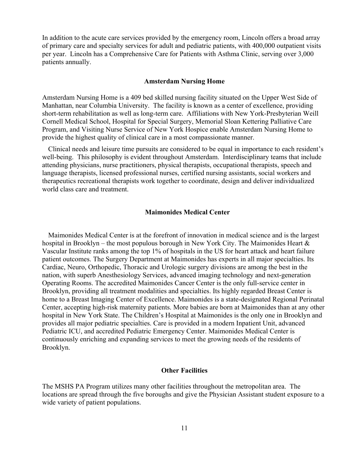In addition to the acute care services provided by the emergency room, Lincoln offers a broad array of primary care and specialty services for adult and pediatric patients, with 400,000 outpatient visits per year. Lincoln has a Comprehensive Care for Patients with Asthma Clinic, serving over 3,000 patients annually.

#### **Amsterdam Nursing Home**

Amsterdam Nursing Home is a 409 bed skilled nursing facility situated on the Upper West Side of Manhattan, near Columbia University. The facility is known as a center of excellence, providing short-term rehabilitation as well as long-term care. Affiliations with New York-Presbyterian Weill Cornell Medical School, Hospital for Special Surgery, Memorial Sloan Kettering Palliative Care Program, and Visiting Nurse Service of New York Hospice enable Amsterdam Nursing Home to provide the highest quality of clinical care in a most compassionate manner.

Clinical needs and leisure time pursuits are considered to be equal in importance to each resident's well-being. This philosophy is evident throughout Amsterdam. Interdisciplinary teams that include attending physicians, nurse practitioners, physical therapists, occupational therapists, speech and language therapists, licensed professional nurses, certified nursing assistants, social workers and therapeutics recreational therapists work together to coordinate, design and deliver individualized world class care and treatment.

#### **Maimonides Medical Center**

Maimonides Medical Center is at the forefront of innovation in medical science and is the largest hospital in Brooklyn – the most populous borough in New York City. The Maimonides Heart & Vascular Institute ranks among the top 1% of hospitals in the US for heart attack and heart failure patient outcomes. The Surgery Department at Maimonides has experts in all major specialties. Its Cardiac, Neuro, Orthopedic, Thoracic and Urologic surgery divisions are among the best in the nation, with superb Anesthesiology Services, advanced imaging technology and next-generation Operating Rooms. The accredited Maimonides Cancer Center is the only full-service center in Brooklyn, providing all treatment modalities and specialties. Its highly regarded Breast Center is home to a Breast Imaging Center of Excellence. Maimonides is a state-designated Regional Perinatal Center, accepting high-risk maternity patients. More babies are born at Maimonides than at any other hospital in New York State. The Children's Hospital at Maimonides is the only one in Brooklyn and provides all major pediatric specialties. Care is provided in a modern Inpatient Unit, advanced Pediatric ICU, and accredited Pediatric Emergency Center. Maimonides Medical Center is continuously enriching and expanding services to meet the growing needs of the residents of Brooklyn.

#### **Other Facilities**

The MSHS PA Program utilizes many other facilities throughout the metropolitan area. The locations are spread through the five boroughs and give the Physician Assistant student exposure to a wide variety of patient populations.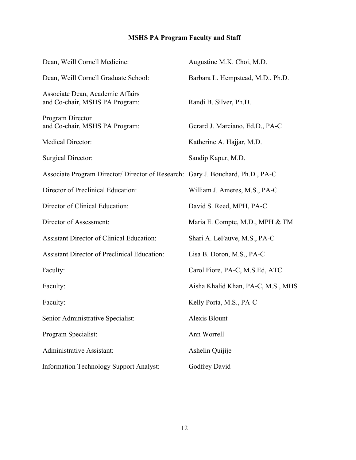# **MSHS PA Program Faculty and Staff**

| Dean, Weill Cornell Medicine:                                                  | Augustine M.K. Choi, M.D.          |
|--------------------------------------------------------------------------------|------------------------------------|
| Dean, Weill Cornell Graduate School:                                           | Barbara L. Hempstead, M.D., Ph.D.  |
| Associate Dean, Academic Affairs<br>and Co-chair, MSHS PA Program:             | Randi B. Silver, Ph.D.             |
| Program Director<br>and Co-chair, MSHS PA Program:                             | Gerard J. Marciano, Ed.D., PA-C    |
| Medical Director:                                                              | Katherine A. Hajjar, M.D.          |
| <b>Surgical Director:</b>                                                      | Sandip Kapur, M.D.                 |
| Associate Program Director/Director of Research: Gary J. Bouchard, Ph.D., PA-C |                                    |
| Director of Preclinical Education:                                             | William J. Ameres, M.S., PA-C      |
| Director of Clinical Education:                                                | David S. Reed, MPH, PA-C           |
| Director of Assessment:                                                        | Maria E. Compte, M.D., MPH & TM    |
| <b>Assistant Director of Clinical Education:</b>                               | Shari A. LeFauve, M.S., PA-C       |
| <b>Assistant Director of Preclinical Education:</b>                            | Lisa B. Doron, M.S., PA-C          |
| Faculty:                                                                       | Carol Fiore, PA-C, M.S.Ed, ATC     |
| Faculty:                                                                       | Aisha Khalid Khan, PA-C, M.S., MHS |
| Faculty:                                                                       | Kelly Porta, M.S., PA-C            |
| Senior Administrative Specialist:                                              | Alexis Blount                      |
| Program Specialist:                                                            | Ann Worrell                        |
| Administrative Assistant:                                                      | Ashelin Quijije                    |
| <b>Information Technology Support Analyst:</b>                                 | Godfrey David                      |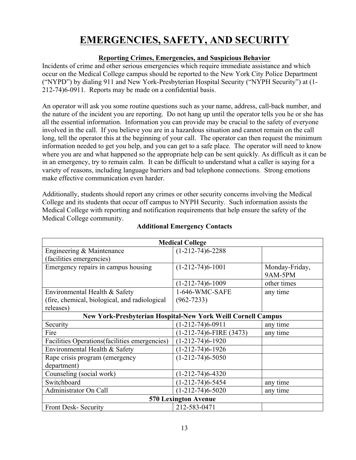# **EMERGENCIES, SAFETY, AND SECURITY**

# **Reporting Crimes, Emergencies, and Suspicious Behavior**

Incidents of crime and other serious emergencies which require immediate assistance and which occur on the Medical College campus should be reported to the New York City Police Department ("NYPD") by dialing 911 and New York-Presbyterian Hospital Security ("NYPH Security") at (1- 212-74)6-0911. Reports may be made on a confidential basis.

An operator will ask you some routine questions such as your name, address, call-back number, and the nature of the incident you are reporting. Do not hang up until the operator tells you he or she has all the essential information. Information you can provide may be crucial to the safety of everyone involved in the call. If you believe you are in a hazardous situation and cannot remain on the call long, tell the operator this at the beginning of your call. The operator can then request the minimum information needed to get you help, and you can get to a safe place. The operator will need to know where you are and what happened so the appropriate help can be sent quickly. As difficult as it can be in an emergency, try to remain calm. It can be difficult to understand what a caller is saying for a variety of reasons, including language barriers and bad telephone connections. Strong emotions make effective communication even harder.

Additionally, students should report any crimes or other security concerns involving the Medical College and its students that occur off campus to NYPH Security. Such information assists the Medical College with reporting and notification requirements that help ensure the safety of the Medical College community.

| <b>Medical College</b>                                              |                              |                |
|---------------------------------------------------------------------|------------------------------|----------------|
| Engineering & Maintenance                                           | $(1-212-74)6-2288$           |                |
| (facilities emergencies)                                            |                              |                |
| Emergency repairs in campus housing                                 | $(1-212-74)6-1001$           | Monday-Friday, |
|                                                                     |                              | <b>9AM-5PM</b> |
|                                                                     | $(1-212-74)6-1009$           | other times    |
| Environmental Health & Safety                                       | 1-646-WMC-SAFE               | any time       |
| (fire, chemical, biological, and radiological                       | $(962 - 7233)$               |                |
| releases)                                                           |                              |                |
| <b>New York-Presbyterian Hospital-New York Weill Cornell Campus</b> |                              |                |
| Security                                                            | $(1-212-74)6-0911$           | any time       |
| Fire                                                                | $(1-212-74)6$ -FIRE $(3473)$ | any time       |
| Facilities Operations (facilities emergencies)                      | $(1-212-74)6-1920$           |                |
| Environmental Health & Safety                                       | $(1-212-74)6-1926$           |                |
| Rape crisis program (emergency                                      | $(1-212-74)6-5050$           |                |
| department)                                                         |                              |                |
| Counseling (social work)                                            | $(1-212-74)6-4320$           |                |
| Switchboard                                                         | $(1-212-74)6-5454$           | any time       |
| Administrator On Call                                               | $(1-212-74)6-5020$           | any time       |
| <b>570 Lexington Avenue</b>                                         |                              |                |
| <b>Front Desk-Security</b>                                          | 212-583-0471                 |                |

#### **Additional Emergency Contacts**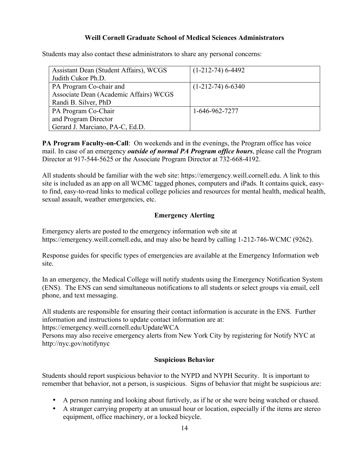#### **Weill Cornell Graduate School of Medical Sciences Administrators**

Students may also contact these administrators to share any personal concerns:

| Assistant Dean (Student Affairs), WCGS | $(1-212-74)$ 6-4492 |
|----------------------------------------|---------------------|
| Judith Cukor Ph.D.                     |                     |
| PA Program Co-chair and                | $(1-212-74)$ 6-6340 |
| Associate Dean (Academic Affairs) WCGS |                     |
| Randi B. Silver, PhD                   |                     |
| PA Program Co-Chair                    | 1-646-962-7277      |
| and Program Director                   |                     |
| Gerard J. Marciano, PA-C, Ed.D.        |                     |

**PA Program Faculty-on-Call**: On weekends and in the evenings, the Program office has voice mail. In case of an emergency *outside of normal PA Program office hours*, please call the Program Director at 917-544-5625 or the Associate Program Director at 732-668-4192.

All students should be familiar with the web site: https://emergency.weill.cornell.edu. A link to this site is included as an app on all WCMC tagged phones, computers and iPads. It contains quick, easyto find, easy-to-read links to medical college policies and resources for mental health, medical health, sexual assault, weather emergencies, etc.

# **Emergency Alerting**

Emergency alerts are posted to the emergency information web site at https://emergency.weill.cornell.edu, and may also be heard by calling 1-212-746-WCMC (9262).

Response guides for specific types of emergencies are available at the Emergency Information web site.

In an emergency, the Medical College will notify students using the Emergency Notification System (ENS). The ENS can send simultaneous notifications to all students or select groups via email, cell phone, and text messaging.

All students are responsible for ensuring their contact information is accurate in the ENS. Further information and instructions to update contact information are at:

https://emergency.weill.cornell.edu/UpdateWCA

Persons may also receive emergency alerts from New York City by registering for Notify NYC at http://nyc.gov/notifynyc

# **Suspicious Behavior**

Students should report suspicious behavior to the NYPD and NYPH Security. It is important to remember that behavior, not a person, is suspicious. Signs of behavior that might be suspicious are:

- A person running and looking about furtively, as if he or she were being watched or chased.
- A stranger carrying property at an unusual hour or location, especially if the items are stereo equipment, office machinery, or a locked bicycle.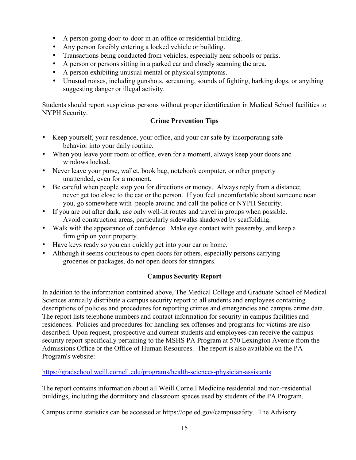- A person going door-to-door in an office or residential building.
- Any person forcibly entering a locked vehicle or building.
- Transactions being conducted from vehicles, especially near schools or parks.
- A person or persons sitting in a parked car and closely scanning the area.
- A person exhibiting unusual mental or physical symptoms.
- Unusual noises, including gunshots, screaming, sounds of fighting, barking dogs, or anything suggesting danger or illegal activity.

Students should report suspicious persons without proper identification in Medical School facilities to NYPH Security.

# **Crime Prevention Tips**

- Keep yourself, your residence, your office, and your car safe by incorporating safe behavior into your daily routine.
- When you leave your room or office, even for a moment, always keep your doors and windows locked.
- Never leave your purse, wallet, book bag, notebook computer, or other property unattended, even for a moment.
- Be careful when people stop you for directions or money. Always reply from a distance; never get too close to the car or the person. If you feel uncomfortable about someone near you, go somewhere with people around and call the police or NYPH Security.
- If you are out after dark, use only well-lit routes and travel in groups when possible. Avoid construction areas, particularly sidewalks shadowed by scaffolding.
- Walk with the appearance of confidence. Make eye contact with passersby, and keep a firm grip on your property.
- Have keys ready so you can quickly get into your car or home.
- Although it seems courteous to open doors for others, especially persons carrying groceries or packages, do not open doors for strangers.

# **Campus Security Report**

In addition to the information contained above, The Medical College and Graduate School of Medical Sciences annually distribute a campus security report to all students and employees containing descriptions of policies and procedures for reporting crimes and emergencies and campus crime data. The report lists telephone numbers and contact information for security in campus facilities and residences. Policies and procedures for handling sex offenses and programs for victims are also described. Upon request, prospective and current students and employees can receive the campus security report specifically pertaining to the MSHS PA Program at 570 Lexington Avenue from the Admissions Office or the Office of Human Resources. The report is also available on the PA Program's website:

https://gradschool.weill.cornell.edu/programs/health-sciences-physician-assistants

The report contains information about all Weill Cornell Medicine residential and non-residential buildings, including the dormitory and classroom spaces used by students of the PA Program.

Campus crime statistics can be accessed at https://ope.ed.gov/campussafety. The Advisory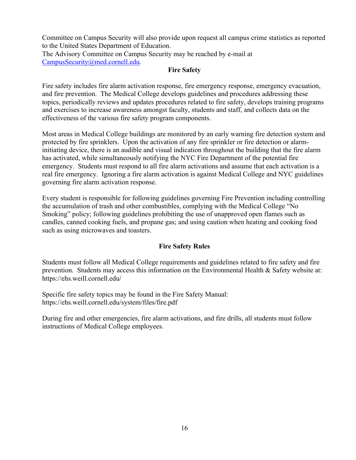Committee on Campus Security will also provide upon request all campus crime statistics as reported to the United States Department of Education.

The Advisory Committee on Campus Security may be reached by e-mail at CampusSecurity@med.cornell.edu.

# **Fire Safety**

Fire safety includes fire alarm activation response, fire emergency response, emergency evacuation, and fire prevention. The Medical College develops guidelines and procedures addressing these topics, periodically reviews and updates procedures related to fire safety, develops training programs and exercises to increase awareness amongst faculty, students and staff, and collects data on the effectiveness of the various fire safety program components.

Most areas in Medical College buildings are monitored by an early warning fire detection system and protected by fire sprinklers. Upon the activation of any fire sprinkler or fire detection or alarminitiating device, there is an audible and visual indication throughout the building that the fire alarm has activated, while simultaneously notifying the NYC Fire Department of the potential fire emergency. Students must respond to all fire alarm activations and assume that each activation is a real fire emergency. Ignoring a fire alarm activation is against Medical College and NYC guidelines governing fire alarm activation response.

Every student is responsible for following guidelines governing Fire Prevention including controlling the accumulation of trash and other combustibles, complying with the Medical College "No Smoking" policy; following guidelines prohibiting the use of unapproved open flames such as candles, canned cooking fuels, and propane gas; and using caution when heating and cooking food such as using microwaves and toasters.

# **Fire Safety Rules**

Students must follow all Medical College requirements and guidelines related to fire safety and fire prevention. Students may access this information on the Environmental Health & Safety website at: https://ehs.weill.cornell.edu/

Specific fire safety topics may be found in the Fire Safety Manual: https://ehs.weill.cornell.edu/system/files/fire.pdf

During fire and other emergencies, fire alarm activations, and fire drills, all students must follow instructions of Medical College employees.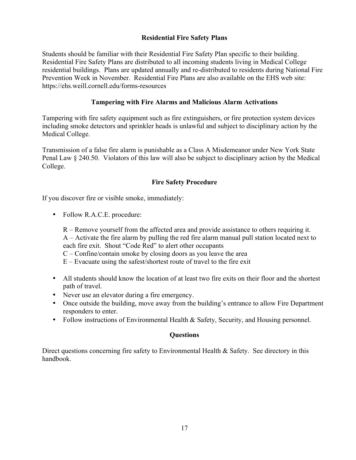# **Residential Fire Safety Plans**

Students should be familiar with their Residential Fire Safety Plan specific to their building. Residential Fire Safety Plans are distributed to all incoming students living in Medical College residential buildings. Plans are updated annually and re-distributed to residents during National Fire Prevention Week in November. Residential Fire Plans are also available on the EHS web site: https://ehs.weill.cornell.edu/forms-resources

#### **Tampering with Fire Alarms and Malicious Alarm Activations**

Tampering with fire safety equipment such as fire extinguishers, or fire protection system devices including smoke detectors and sprinkler heads is unlawful and subject to disciplinary action by the Medical College.

Transmission of a false fire alarm is punishable as a Class A Misdemeanor under New York State Penal Law § 240.50. Violators of this law will also be subject to disciplinary action by the Medical College.

#### **Fire Safety Procedure**

If you discover fire or visible smoke, immediately:

• Follow R.A.C.E. procedure:

R – Remove yourself from the affected area and provide assistance to others requiring it. A – Activate the fire alarm by pulling the red fire alarm manual pull station located next to each fire exit. Shout "Code Red" to alert other occupants

- C Confine/contain smoke by closing doors as you leave the area
- E Evacuate using the safest/shortest route of travel to the fire exit
- All students should know the location of at least two fire exits on their floor and the shortest path of travel.
- Never use an elevator during a fire emergency.
- Once outside the building, move away from the building's entrance to allow Fire Department responders to enter.
- Follow instructions of Environmental Health & Safety, Security, and Housing personnel.

#### **Questions**

Direct questions concerning fire safety to Environmental Health & Safety. See directory in this handbook.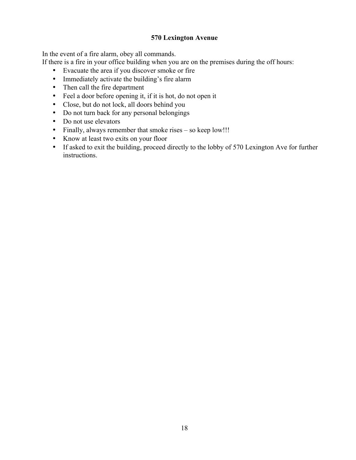#### **570 Lexington Avenue**

In the event of a fire alarm, obey all commands.

If there is a fire in your office building when you are on the premises during the off hours:

- Evacuate the area if you discover smoke or fire
- Immediately activate the building's fire alarm
- Then call the fire department
- Feel a door before opening it, if it is hot, do not open it
- Close, but do not lock, all doors behind you
- Do not turn back for any personal belongings
- Do not use elevators
- Finally, always remember that smoke rises so keep low!!!
- Know at least two exits on your floor
- If asked to exit the building, proceed directly to the lobby of 570 Lexington Ave for further instructions.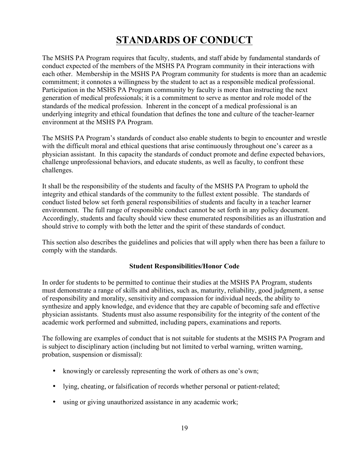# **STANDARDS OF CONDUCT**

The MSHS PA Program requires that faculty, students, and staff abide by fundamental standards of conduct expected of the members of the MSHS PA Program community in their interactions with each other. Membership in the MSHS PA Program community for students is more than an academic commitment; it connotes a willingness by the student to act as a responsible medical professional. Participation in the MSHS PA Program community by faculty is more than instructing the next generation of medical professionals; it is a commitment to serve as mentor and role model of the standards of the medical profession. Inherent in the concept of a medical professional is an underlying integrity and ethical foundation that defines the tone and culture of the teacher-learner environment at the MSHS PA Program.

The MSHS PA Program's standards of conduct also enable students to begin to encounter and wrestle with the difficult moral and ethical questions that arise continuously throughout one's career as a physician assistant. In this capacity the standards of conduct promote and define expected behaviors, challenge unprofessional behaviors, and educate students, as well as faculty, to confront these challenges.

It shall be the responsibility of the students and faculty of the MSHS PA Program to uphold the integrity and ethical standards of the community to the fullest extent possible. The standards of conduct listed below set forth general responsibilities of students and faculty in a teacher learner environment. The full range of responsible conduct cannot be set forth in any policy document. Accordingly, students and faculty should view these enumerated responsibilities as an illustration and should strive to comply with both the letter and the spirit of these standards of conduct.

This section also describes the guidelines and policies that will apply when there has been a failure to comply with the standards.

# **Student Responsibilities/Honor Code**

In order for students to be permitted to continue their studies at the MSHS PA Program, students must demonstrate a range of skills and abilities, such as, maturity, reliability, good judgment, a sense of responsibility and morality, sensitivity and compassion for individual needs, the ability to synthesize and apply knowledge, and evidence that they are capable of becoming safe and effective physician assistants. Students must also assume responsibility for the integrity of the content of the academic work performed and submitted, including papers, examinations and reports.

The following are examples of conduct that is not suitable for students at the MSHS PA Program and is subject to disciplinary action (including but not limited to verbal warning, written warning, probation, suspension or dismissal):

- knowingly or carelessly representing the work of others as one's own;
- lying, cheating, or falsification of records whether personal or patient-related;
- using or giving unauthorized assistance in any academic work;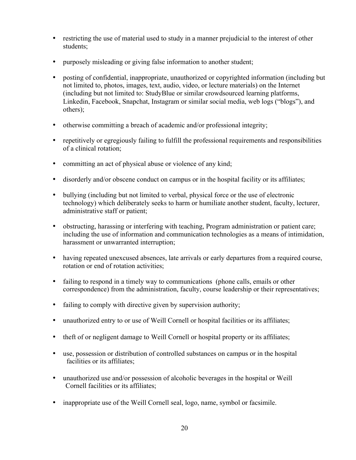- restricting the use of material used to study in a manner prejudicial to the interest of other students;
- purposely misleading or giving false information to another student;
- posting of confidential, inappropriate, unauthorized or copyrighted information (including but not limited to, photos, images, text, audio, video, or lecture materials) on the Internet (including but not limited to: StudyBlue or similar crowdsourced learning platforms, Linkedin, Facebook, Snapchat, Instagram or similar social media, web logs ("blogs"), and others);
- otherwise committing a breach of academic and/or professional integrity;
- repetitively or egregiously failing to fulfill the professional requirements and responsibilities of a clinical rotation;
- committing an act of physical abuse or violence of any kind;
- disorderly and/or obscene conduct on campus or in the hospital facility or its affiliates;
- bullying (including but not limited to verbal, physical force or the use of electronic technology) which deliberately seeks to harm or humiliate another student, faculty, lecturer, administrative staff or patient;
- obstructing, harassing or interfering with teaching, Program administration or patient care; including the use of information and communication technologies as a means of intimidation, harassment or unwarranted interruption;
- having repeated unexcused absences, late arrivals or early departures from a required course, rotation or end of rotation activities;
- failing to respond in a timely way to communications (phone calls, emails or other correspondence) from the administration, faculty, course leadership or their representatives;
- failing to comply with directive given by supervision authority;
- unauthorized entry to or use of Weill Cornell or hospital facilities or its affiliates;
- theft of or negligent damage to Weill Cornell or hospital property or its affiliates;
- use, possession or distribution of controlled substances on campus or in the hospital facilities or its affiliates;
- unauthorized use and/or possession of alcoholic beverages in the hospital or Weill Cornell facilities or its affiliates;
- inappropriate use of the Weill Cornell seal, logo, name, symbol or facsimile.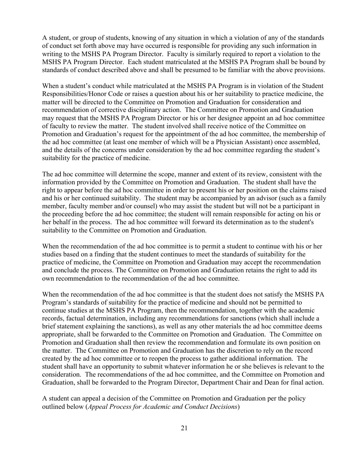A student, or group of students, knowing of any situation in which a violation of any of the standards of conduct set forth above may have occurred is responsible for providing any such information in writing to the MSHS PA Program Director. Faculty is similarly required to report a violation to the MSHS PA Program Director. Each student matriculated at the MSHS PA Program shall be bound by standards of conduct described above and shall be presumed to be familiar with the above provisions.

When a student's conduct while matriculated at the MSHS PA Program is in violation of the Student Responsibilities/Honor Code or raises a question about his or her suitability to practice medicine, the matter will be directed to the Committee on Promotion and Graduation for consideration and recommendation of corrective disciplinary action. The Committee on Promotion and Graduation may request that the MSHS PA Program Director or his or her designee appoint an ad hoc committee of faculty to review the matter. The student involved shall receive notice of the Committee on Promotion and Graduation's request for the appointment of the ad hoc committee, the membership of the ad hoc committee (at least one member of which will be a Physician Assistant) once assembled, and the details of the concerns under consideration by the ad hoc committee regarding the student's suitability for the practice of medicine.

The ad hoc committee will determine the scope, manner and extent of its review, consistent with the information provided by the Committee on Promotion and Graduation. The student shall have the right to appear before the ad hoc committee in order to present his or her position on the claims raised and his or her continued suitability. The student may be accompanied by an advisor (such as a family member, faculty member and/or counsel) who may assist the student but will not be a participant in the proceeding before the ad hoc committee; the student will remain responsible for acting on his or her behalf in the process. The ad hoc committee will forward its determination as to the student's suitability to the Committee on Promotion and Graduation.

When the recommendation of the ad hoc committee is to permit a student to continue with his or her studies based on a finding that the student continues to meet the standards of suitability for the practice of medicine, the Committee on Promotion and Graduation may accept the recommendation and conclude the process. The Committee on Promotion and Graduation retains the right to add its own recommendation to the recommendation of the ad hoc committee.

When the recommendation of the ad hoc committee is that the student does not satisfy the MSHS PA Program's standards of suitability for the practice of medicine and should not be permitted to continue studies at the MSHS PA Program, then the recommendation, together with the academic records, factual determination, including any recommendations for sanctions (which shall include a brief statement explaining the sanctions), as well as any other materials the ad hoc committee deems appropriate, shall be forwarded to the Committee on Promotion and Graduation. The Committee on Promotion and Graduation shall then review the recommendation and formulate its own position on the matter. The Committee on Promotion and Graduation has the discretion to rely on the record created by the ad hoc committee or to reopen the process to gather additional information. The student shall have an opportunity to submit whatever information he or she believes is relevant to the consideration. The recommendations of the ad hoc committee, and the Committee on Promotion and Graduation, shall be forwarded to the Program Director, Department Chair and Dean for final action.

A student can appeal a decision of the Committee on Promotion and Graduation per the policy outlined below (*Appeal Process for Academic and Conduct Decisions*)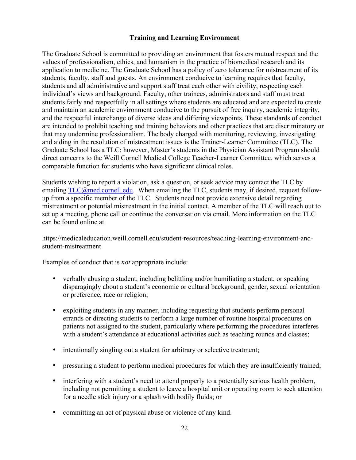# **Training and Learning Environment**

The Graduate School is committed to providing an environment that fosters mutual respect and the values of professionalism, ethics, and humanism in the practice of biomedical research and its application to medicine. The Graduate School has a policy of zero tolerance for mistreatment of its students, faculty, staff and guests. An environment conducive to learning requires that faculty, students and all administrative and support staff treat each other with civility, respecting each individual's views and background. Faculty, other trainees, administrators and staff must treat students fairly and respectfully in all settings where students are educated and are expected to create and maintain an academic environment conducive to the pursuit of free inquiry, academic integrity, and the respectful interchange of diverse ideas and differing viewpoints. These standards of conduct are intended to prohibit teaching and training behaviors and other practices that are discriminatory or that may undermine professionalism. The body charged with monitoring, reviewing, investigating and aiding in the resolution of mistreatment issues is the Trainer-Learner Committee (TLC). The Graduate School has a TLC; however, Master's students in the Physician Assistant Program should direct concerns to the Weill Cornell Medical College Teacher-Learner Committee, which serves a comparable function for students who have significant clinical roles.

Students wishing to report a violation, ask a question, or seek advice may contact the TLC by emailing TLC@med.cornell.edu. When emailing the TLC, students may, if desired, request followup from a specific member of the TLC. Students need not provide extensive detail regarding mistreatment or potential mistreatment in the initial contact. A member of the TLC will reach out to set up a meeting, phone call or continue the conversation via email. More information on the TLC can be found online at

https://medicaleducation.weill.cornell.edu/student-resources/teaching-learning-environment-andstudent-mistreatment

Examples of conduct that is *not* appropriate include:

- verbally abusing a student, including belittling and/or humiliating a student, or speaking disparagingly about a student's economic or cultural background, gender, sexual orientation or preference, race or religion;
- exploiting students in any manner, including requesting that students perform personal errands or directing students to perform a large number of routine hospital procedures on patients not assigned to the student, particularly where performing the procedures interferes with a student's attendance at educational activities such as teaching rounds and classes;
- intentionally singling out a student for arbitrary or selective treatment;
- pressuring a student to perform medical procedures for which they are insufficiently trained;
- interfering with a student's need to attend properly to a potentially serious health problem, including not permitting a student to leave a hospital unit or operating room to seek attention for a needle stick injury or a splash with bodily fluids; or
- committing an act of physical abuse or violence of any kind.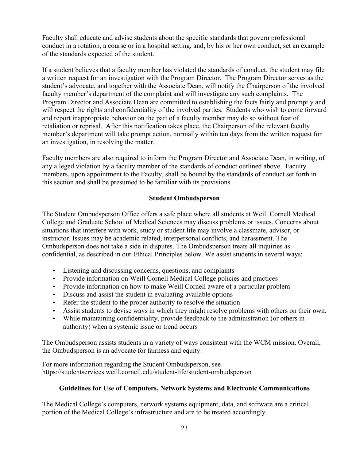Faculty shall educate and advise students about the specific standards that govern professional conduct in a rotation, a course or in a hospital setting, and, by his or her own conduct, set an example of the standards expected of the student.

If a student believes that a faculty member has violated the standards of conduct, the student may file a written request for an investigation with the Program Director. The Program Director serves as the student's advocate, and together with the Associate Dean, will notify the Chairperson of the involved faculty member's department of the complaint and will investigate any such complaints. The Program Director and Associate Dean are committed to establishing the facts fairly and promptly and will respect the rights and confidentiality of the involved parties. Students who wish to come forward and report inappropriate behavior on the part of a faculty member may do so without fear of retaliation or reprisal. After this notification takes place, the Chairperson of the relevant faculty member's department will take prompt action, normally within ten days from the written request for an investigation, in resolving the matter.

Faculty members are also required to inform the Program Director and Associate Dean, in writing, of any alleged violation by a faculty member of the standards of conduct outlined above. Faculty members, upon appointment to the Faculty, shall be bound by the standards of conduct set forth in this section and shall be presumed to be familiar with its provisions.

# **Student Ombudsperson**

The Student Ombudsperson Office offers a safe place where all students at Weill Cornell Medical College and Graduate School of Medical Sciences may discuss problems or issues. Concerns about situations that interfere with work, study or student life may involve a classmate, advisor, or instructor. Issues may be academic related, interpersonal conflicts, and harassment. The Ombudsperson does not take a side in disputes. The Ombudsperson treats all inquiries as confidential, as described in our Ethical Principles below. We assist students in several ways:

- Listening and discussing concerns, questions, and complaints
- Provide information on Weill Cornell Medical College policies and practices
- Provide information on how to make Weill Cornell aware of a particular problem
- Discuss and assist the student in evaluating available options
- Refer the student to the proper authority to resolve the situation
- Assist students to devise ways in which they might resolve problems with others on their own.
- While maintaining confidentiality, provide feedback to the administration (or others in authority) when a systemic issue or trend occurs

The Ombudsperson assists students in a variety of ways consistent with the WCM mission. Overall, the Ombudsperson is an advocate for fairness and equity.

For more information regarding the Student Ombudsperson, see https://studentservices.weill.cornell.edu/student-life/student-ombudsperson

# **Guidelines for Use of Computers, Network Systems and Electronic Communications**

The Medical College's computers, network systems equipment, data, and software are a critical portion of the Medical College's infrastructure and are to be treated accordingly.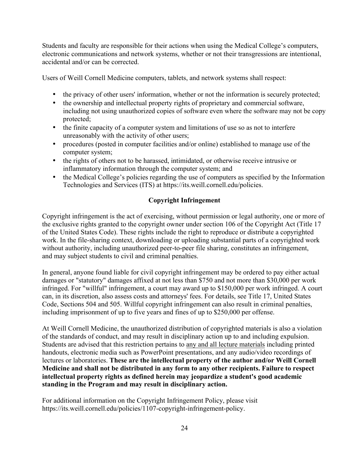Students and faculty are responsible for their actions when using the Medical College's computers, electronic communications and network systems, whether or not their transgressions are intentional, accidental and/or can be corrected.

Users of Weill Cornell Medicine computers, tablets, and network systems shall respect:

- the privacy of other users' information, whether or not the information is securely protected;
- the ownership and intellectual property rights of proprietary and commercial software, including not using unauthorized copies of software even where the software may not be copy protected;
- the finite capacity of a computer system and limitations of use so as not to interfere unreasonably with the activity of other users;
- procedures (posted in computer facilities and/or online) established to manage use of the computer system;
- the rights of others not to be harassed, intimidated, or otherwise receive intrusive or inflammatory information through the computer system; and
- the Medical College's policies regarding the use of computers as specified by the Information Technologies and Services (ITS) at https://its.weill.cornell.edu/policies.

# **Copyright Infringement**

Copyright infringement is the act of exercising, without permission or legal authority, one or more of the exclusive rights granted to the copyright owner under section 106 of the Copyright Act (Title 17 of the United States Code). These rights include the right to reproduce or distribute a copyrighted work. In the file-sharing context, downloading or uploading substantial parts of a copyrighted work without authority, including unauthorized peer-to-peer file sharing, constitutes an infringement, and may subject students to civil and criminal penalties.

In general, anyone found liable for civil copyright infringement may be ordered to pay either actual damages or "statutory" damages affixed at not less than \$750 and not more than \$30,000 per work infringed. For "willful" infringement, a court may award up to \$150,000 per work infringed. A court can, in its discretion, also assess costs and attorneys' fees. For details, see Title 17, United States Code, Sections 504 and 505. Willful copyright infringement can also result in criminal penalties, including imprisonment of up to five years and fines of up to \$250,000 per offense.

At Weill Cornell Medicine, the unauthorized distribution of copyrighted materials is also a violation of the standards of conduct, and may result in disciplinary action up to and including expulsion. Students are advised that this restriction pertains to any and all lecture materials including printed handouts, electronic media such as PowerPoint presentations, and any audio/video recordings of lectures or laboratories. **These are the intellectual property of the author and/or Weill Cornell Medicine and shall not be distributed in any form to any other recipients. Failure to respect intellectual property rights as defined herein may jeopardize a student's good academic standing in the Program and may result in disciplinary action.**

For additional information on the Copyright Infringement Policy, please visit https://its.weill.cornell.edu/policies/1107-copyright-infringement-policy.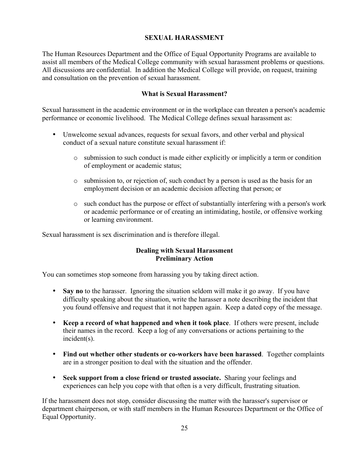# **SEXUAL HARASSMENT**

The Human Resources Department and the Office of Equal Opportunity Programs are available to assist all members of the Medical College community with sexual harassment problems or questions. All discussions are confidential. In addition the Medical College will provide, on request, training and consultation on the prevention of sexual harassment.

#### **What is Sexual Harassment?**

Sexual harassment in the academic environment or in the workplace can threaten a person's academic performance or economic livelihood. The Medical College defines sexual harassment as:

- Unwelcome sexual advances, requests for sexual favors, and other verbal and physical conduct of a sexual nature constitute sexual harassment if:
	- o submission to such conduct is made either explicitly or implicitly a term or condition of employment or academic status;
	- o submission to, or rejection of, such conduct by a person is used as the basis for an employment decision or an academic decision affecting that person; or
	- o such conduct has the purpose or effect of substantially interfering with a person's work or academic performance or of creating an intimidating, hostile, or offensive working or learning environment.

Sexual harassment is sex discrimination and is therefore illegal.

#### **Dealing with Sexual Harassment Preliminary Action**

You can sometimes stop someone from harassing you by taking direct action.

- **Say no** to the harasser. Ignoring the situation seldom will make it go away. If you have difficulty speaking about the situation, write the harasser a note describing the incident that you found offensive and request that it not happen again. Keep a dated copy of the message.
- **Keep a record of what happened and when it took place**. If others were present, include their names in the record. Keep a log of any conversations or actions pertaining to the incident(s).
- **Find out whether other students or co-workers have been harassed**. Together complaints are in a stronger position to deal with the situation and the offender.
- **Seek support from a close friend or trusted associate.** Sharing your feelings and experiences can help you cope with that often is a very difficult, frustrating situation.

If the harassment does not stop, consider discussing the matter with the harasser's supervisor or department chairperson, or with staff members in the Human Resources Department or the Office of Equal Opportunity.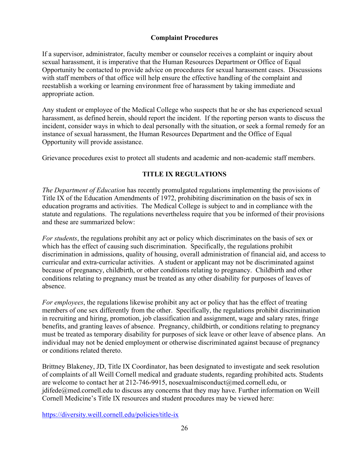#### **Complaint Procedures**

If a supervisor, administrator, faculty member or counselor receives a complaint or inquiry about sexual harassment, it is imperative that the Human Resources Department or Office of Equal Opportunity be contacted to provide advice on procedures for sexual harassment cases. Discussions with staff members of that office will help ensure the effective handling of the complaint and reestablish a working or learning environment free of harassment by taking immediate and appropriate action.

Any student or employee of the Medical College who suspects that he or she has experienced sexual harassment, as defined herein, should report the incident. If the reporting person wants to discuss the incident, consider ways in which to deal personally with the situation, or seek a formal remedy for an instance of sexual harassment, the Human Resources Department and the Office of Equal Opportunity will provide assistance.

Grievance procedures exist to protect all students and academic and non-academic staff members.

# **TITLE IX REGULATIONS**

*The Department of Education* has recently promulgated regulations implementing the provisions of Title IX of the Education Amendments of 1972, prohibiting discrimination on the basis of sex in education programs and activities. The Medical College is subject to and in compliance with the statute and regulations. The regulations nevertheless require that you be informed of their provisions and these are summarized below:

*For students*, the regulations prohibit any act or policy which discriminates on the basis of sex or which has the effect of causing such discrimination. Specifically, the regulations prohibit discrimination in admissions, quality of housing, overall administration of financial aid, and access to curricular and extra-curricular activities. A student or applicant may not be discriminated against because of pregnancy, childbirth, or other conditions relating to pregnancy. Childbirth and other conditions relating to pregnancy must be treated as any other disability for purposes of leaves of absence.

*For employees*, the regulations likewise prohibit any act or policy that has the effect of treating members of one sex differently from the other. Specifically, the regulations prohibit discrimination in recruiting and hiring, promotion, job classification and assignment, wage and salary rates, fringe benefits, and granting leaves of absence. Pregnancy, childbirth, or conditions relating to pregnancy must be treated as temporary disability for purposes of sick leave or other leave of absence plans. An individual may not be denied employment or otherwise discriminated against because of pregnancy or conditions related thereto.

Brittney Blakeney, JD, Title IX Coordinator, has been designated to investigate and seek resolution of complaints of all Weill Cornell medical and graduate students, regarding prohibited acts. Students are welcome to contact her at 212-746-9915, nosexualmisconduct@med.cornell.edu, or jdifede@med.cornell.edu to discuss any concerns that they may have. Further information on Weill Cornell Medicine's Title IX resources and student procedures may be viewed here:

https://diversity.weill.cornell.edu/policies/title-ix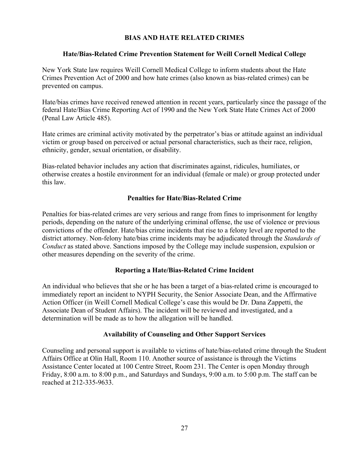#### **BIAS AND HATE RELATED CRIMES**

#### **Hate/Bias-Related Crime Prevention Statement for Weill Cornell Medical College**

New York State law requires Weill Cornell Medical College to inform students about the Hate Crimes Prevention Act of 2000 and how hate crimes (also known as bias-related crimes) can be prevented on campus.

Hate/bias crimes have received renewed attention in recent years, particularly since the passage of the federal Hate/Bias Crime Reporting Act of 1990 and the New York State Hate Crimes Act of 2000 (Penal Law Article 485).

Hate crimes are criminal activity motivated by the perpetrator's bias or attitude against an individual victim or group based on perceived or actual personal characteristics, such as their race, religion, ethnicity, gender, sexual orientation, or disability.

Bias-related behavior includes any action that discriminates against, ridicules, humiliates, or otherwise creates a hostile environment for an individual (female or male) or group protected under this law.

#### **Penalties for Hate/Bias-Related Crime**

Penalties for bias-related crimes are very serious and range from fines to imprisonment for lengthy periods, depending on the nature of the underlying criminal offense, the use of violence or previous convictions of the offender. Hate/bias crime incidents that rise to a felony level are reported to the district attorney. Non-felony hate/bias crime incidents may be adjudicated through the *Standards of Conduct* as stated above. Sanctions imposed by the College may include suspension, expulsion or other measures depending on the severity of the crime.

#### **Reporting a Hate/Bias-Related Crime Incident**

An individual who believes that she or he has been a target of a bias-related crime is encouraged to immediately report an incident to NYPH Security, the Senior Associate Dean, and the Affirmative Action Officer (in Weill Cornell Medical College's case this would be Dr. Dana Zappetti, the Associate Dean of Student Affairs). The incident will be reviewed and investigated, and a determination will be made as to how the allegation will be handled.

#### **Availability of Counseling and Other Support Services**

Counseling and personal support is available to victims of hate/bias-related crime through the Student Affairs Office at Olin Hall, Room 110. Another source of assistance is through the Victims Assistance Center located at 100 Centre Street, Room 231. The Center is open Monday through Friday, 8:00 a.m. to 8:00 p.m., and Saturdays and Sundays, 9:00 a.m. to 5:00 p.m. The staff can be reached at 212-335-9633.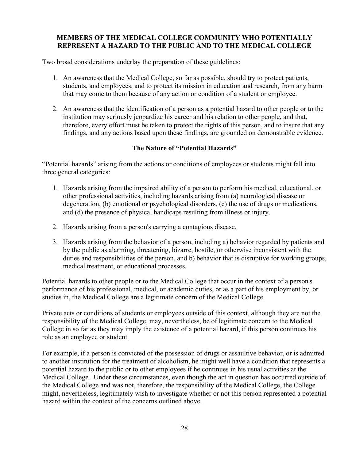#### **MEMBERS OF THE MEDICAL COLLEGE COMMUNITY WHO POTENTIALLY REPRESENT A HAZARD TO THE PUBLIC AND TO THE MEDICAL COLLEGE**

Two broad considerations underlay the preparation of these guidelines:

- 1. An awareness that the Medical College, so far as possible, should try to protect patients, students, and employees, and to protect its mission in education and research, from any harm that may come to them because of any action or condition of a student or employee.
- 2. An awareness that the identification of a person as a potential hazard to other people or to the institution may seriously jeopardize his career and his relation to other people, and that, therefore, every effort must be taken to protect the rights of this person, and to insure that any findings, and any actions based upon these findings, are grounded on demonstrable evidence.

# **The Nature of "Potential Hazards"**

"Potential hazards" arising from the actions or conditions of employees or students might fall into three general categories:

- 1. Hazards arising from the impaired ability of a person to perform his medical, educational, or other professional activities, including hazards arising from (a) neurological disease or degeneration, (b) emotional or psychological disorders, (c) the use of drugs or medications, and (d) the presence of physical handicaps resulting from illness or injury.
- 2. Hazards arising from a person's carrying a contagious disease.
- 3. Hazards arising from the behavior of a person, including a) behavior regarded by patients and by the public as alarming, threatening, bizarre, hostile, or otherwise inconsistent with the duties and responsibilities of the person, and b) behavior that is disruptive for working groups, medical treatment, or educational processes.

Potential hazards to other people or to the Medical College that occur in the context of a person's performance of his professional, medical, or academic duties, or as a part of his employment by, or studies in, the Medical College are a legitimate concern of the Medical College.

Private acts or conditions of students or employees outside of this context, although they are not the responsibility of the Medical College, may, nevertheless, be of legitimate concern to the Medical College in so far as they may imply the existence of a potential hazard, if this person continues his role as an employee or student.

For example, if a person is convicted of the possession of drugs or assaultive behavior, or is admitted to another institution for the treatment of alcoholism, he might well have a condition that represents a potential hazard to the public or to other employees if he continues in his usual activities at the Medical College. Under these circumstances, even though the act in question has occurred outside of the Medical College and was not, therefore, the responsibility of the Medical College, the College might, nevertheless, legitimately wish to investigate whether or not this person represented a potential hazard within the context of the concerns outlined above.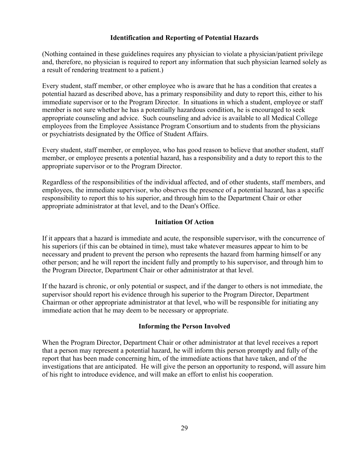#### **Identification and Reporting of Potential Hazards**

(Nothing contained in these guidelines requires any physician to violate a physician/patient privilege and, therefore, no physician is required to report any information that such physician learned solely as a result of rendering treatment to a patient.)

Every student, staff member, or other employee who is aware that he has a condition that creates a potential hazard as described above, has a primary responsibility and duty to report this, either to his immediate supervisor or to the Program Director. In situations in which a student, employee or staff member is not sure whether he has a potentially hazardous condition, he is encouraged to seek appropriate counseling and advice. Such counseling and advice is available to all Medical College employees from the Employee Assistance Program Consortium and to students from the physicians or psychiatrists designated by the Office of Student Affairs.

Every student, staff member, or employee, who has good reason to believe that another student, staff member, or employee presents a potential hazard, has a responsibility and a duty to report this to the appropriate supervisor or to the Program Director.

Regardless of the responsibilities of the individual affected, and of other students, staff members, and employees, the immediate supervisor, who observes the presence of a potential hazard, has a specific responsibility to report this to his superior, and through him to the Department Chair or other appropriate administrator at that level, and to the Dean's Office.

#### **Initiation Of Action**

If it appears that a hazard is immediate and acute, the responsible supervisor, with the concurrence of his superiors (if this can be obtained in time), must take whatever measures appear to him to be necessary and prudent to prevent the person who represents the hazard from harming himself or any other person; and he will report the incident fully and promptly to his supervisor, and through him to the Program Director, Department Chair or other administrator at that level.

If the hazard is chronic, or only potential or suspect, and if the danger to others is not immediate, the supervisor should report his evidence through his superior to the Program Director, Department Chairman or other appropriate administrator at that level, who will be responsible for initiating any immediate action that he may deem to be necessary or appropriate.

#### **Informing the Person Involved**

When the Program Director, Department Chair or other administrator at that level receives a report that a person may represent a potential hazard, he will inform this person promptly and fully of the report that has been made concerning him, of the immediate actions that have taken, and of the investigations that are anticipated. He will give the person an opportunity to respond, will assure him of his right to introduce evidence, and will make an effort to enlist his cooperation.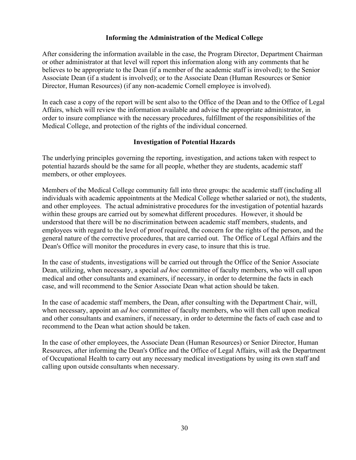#### **Informing the Administration of the Medical College**

After considering the information available in the case, the Program Director, Department Chairman or other administrator at that level will report this information along with any comments that he believes to be appropriate to the Dean (if a member of the academic staff is involved); to the Senior Associate Dean (if a student is involved); or to the Associate Dean (Human Resources or Senior Director, Human Resources) (if any non-academic Cornell employee is involved).

In each case a copy of the report will be sent also to the Office of the Dean and to the Office of Legal Affairs, which will review the information available and advise the appropriate administrator, in order to insure compliance with the necessary procedures, fulfillment of the responsibilities of the Medical College, and protection of the rights of the individual concerned.

#### **Investigation of Potential Hazards**

The underlying principles governing the reporting, investigation, and actions taken with respect to potential hazards should be the same for all people, whether they are students, academic staff members, or other employees.

Members of the Medical College community fall into three groups: the academic staff (including all individuals with academic appointments at the Medical College whether salaried or not), the students, and other employees. The actual administrative procedures for the investigation of potential hazards within these groups are carried out by somewhat different procedures. However, it should be understood that there will be no discrimination between academic staff members, students, and employees with regard to the level of proof required, the concern for the rights of the person, and the general nature of the corrective procedures, that are carried out. The Office of Legal Affairs and the Dean's Office will monitor the procedures in every case, to insure that this is true.

In the case of students, investigations will be carried out through the Office of the Senior Associate Dean, utilizing, when necessary, a special *ad hoc* committee of faculty members, who will call upon medical and other consultants and examiners, if necessary, in order to determine the facts in each case, and will recommend to the Senior Associate Dean what action should be taken.

In the case of academic staff members, the Dean, after consulting with the Department Chair, will, when necessary, appoint an *ad hoc* committee of faculty members, who will then call upon medical and other consultants and examiners, if necessary, in order to determine the facts of each case and to recommend to the Dean what action should be taken.

In the case of other employees, the Associate Dean (Human Resources) or Senior Director, Human Resources, after informing the Dean's Office and the Office of Legal Affairs, will ask the Department of Occupational Health to carry out any necessary medical investigations by using its own staff and calling upon outside consultants when necessary.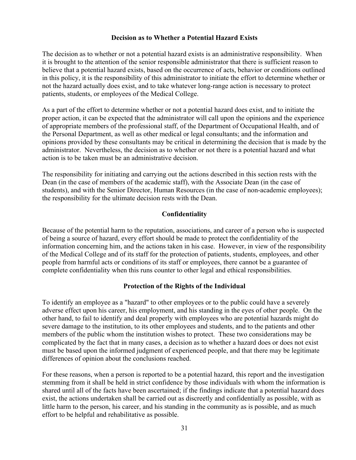#### **Decision as to Whether a Potential Hazard Exists**

The decision as to whether or not a potential hazard exists is an administrative responsibility. When it is brought to the attention of the senior responsible administrator that there is sufficient reason to believe that a potential hazard exists, based on the occurrence of acts, behavior or conditions outlined in this policy, it is the responsibility of this administrator to initiate the effort to determine whether or not the hazard actually does exist, and to take whatever long-range action is necessary to protect patients, students, or employees of the Medical College.

As a part of the effort to determine whether or not a potential hazard does exist, and to initiate the proper action, it can be expected that the administrator will call upon the opinions and the experience of appropriate members of the professional staff, of the Department of Occupational Health, and of the Personal Department, as well as other medical or legal consultants; and the information and opinions provided by these consultants may be critical in determining the decision that is made by the administrator. Nevertheless, the decision as to whether or not there is a potential hazard and what action is to be taken must be an administrative decision.

The responsibility for initiating and carrying out the actions described in this section rests with the Dean (in the case of members of the academic staff), with the Associate Dean (in the case of students), and with the Senior Director, Human Resources (in the case of non-academic employees); the responsibility for the ultimate decision rests with the Dean.

#### **Confidentiality**

Because of the potential harm to the reputation, associations, and career of a person who is suspected of being a source of hazard, every effort should be made to protect the confidentiality of the information concerning him, and the actions taken in his case. However, in view of the responsibility of the Medical College and of its staff for the protection of patients, students, employees, and other people from harmful acts or conditions of its staff or employees, there cannot be a guarantee of complete confidentiality when this runs counter to other legal and ethical responsibilities.

#### **Protection of the Rights of the Individual**

To identify an employee as a "hazard" to other employees or to the public could have a severely adverse effect upon his career, his employment, and his standing in the eyes of other people. On the other hand, to fail to identify and deal properly with employees who are potential hazards might do severe damage to the institution, to its other employees and students, and to the patients and other members of the public whom the institution wishes to protect. These two considerations may be complicated by the fact that in many cases, a decision as to whether a hazard does or does not exist must be based upon the informed judgment of experienced people, and that there may be legitimate differences of opinion about the conclusions reached.

For these reasons, when a person is reported to be a potential hazard, this report and the investigation stemming from it shall be held in strict confidence by those individuals with whom the information is shared until all of the facts have been ascertained; if the findings indicate that a potential hazard does exist, the actions undertaken shall be carried out as discreetly and confidentially as possible, with as little harm to the person, his career, and his standing in the community as is possible, and as much effort to be helpful and rehabilitative as possible.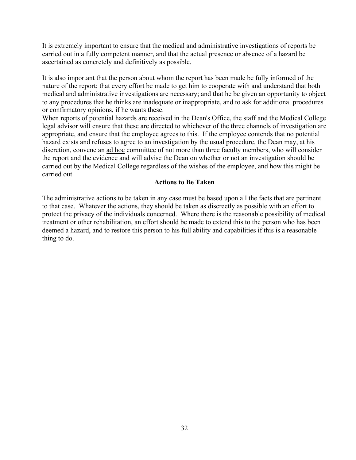It is extremely important to ensure that the medical and administrative investigations of reports be carried out in a fully competent manner, and that the actual presence or absence of a hazard be ascertained as concretely and definitively as possible.

It is also important that the person about whom the report has been made be fully informed of the nature of the report; that every effort be made to get him to cooperate with and understand that both medical and administrative investigations are necessary; and that he be given an opportunity to object to any procedures that he thinks are inadequate or inappropriate, and to ask for additional procedures or confirmatory opinions, if he wants these.

When reports of potential hazards are received in the Dean's Office, the staff and the Medical College legal advisor will ensure that these are directed to whichever of the three channels of investigation are appropriate, and ensure that the employee agrees to this. If the employee contends that no potential hazard exists and refuses to agree to an investigation by the usual procedure, the Dean may, at his discretion, convene an ad hoc committee of not more than three faculty members, who will consider the report and the evidence and will advise the Dean on whether or not an investigation should be carried out by the Medical College regardless of the wishes of the employee, and how this might be carried out.

#### **Actions to Be Taken**

The administrative actions to be taken in any case must be based upon all the facts that are pertinent to that case. Whatever the actions, they should be taken as discreetly as possible with an effort to protect the privacy of the individuals concerned. Where there is the reasonable possibility of medical treatment or other rehabilitation, an effort should be made to extend this to the person who has been deemed a hazard, and to restore this person to his full ability and capabilities if this is a reasonable thing to do.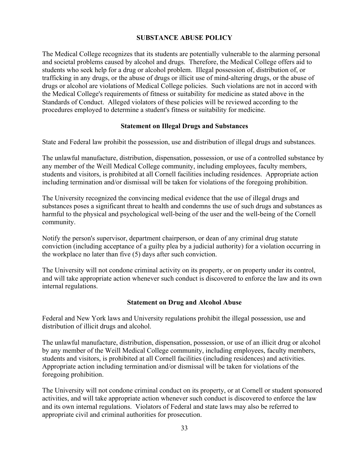#### **SUBSTANCE ABUSE POLICY**

The Medical College recognizes that its students are potentially vulnerable to the alarming personal and societal problems caused by alcohol and drugs. Therefore, the Medical College offers aid to students who seek help for a drug or alcohol problem. Illegal possession of, distribution of, or trafficking in any drugs, or the abuse of drugs or illicit use of mind-altering drugs, or the abuse of drugs or alcohol are violations of Medical College policies. Such violations are not in accord with the Medical College's requirements of fitness or suitability for medicine as stated above in the Standards of Conduct. Alleged violators of these policies will be reviewed according to the procedures employed to determine a student's fitness or suitability for medicine.

#### **Statement on Illegal Drugs and Substances**

State and Federal law prohibit the possession, use and distribution of illegal drugs and substances.

The unlawful manufacture, distribution, dispensation, possession, or use of a controlled substance by any member of the Weill Medical College community, including employees, faculty members, students and visitors, is prohibited at all Cornell facilities including residences. Appropriate action including termination and/or dismissal will be taken for violations of the foregoing prohibition.

The University recognized the convincing medical evidence that the use of illegal drugs and substances poses a significant threat to health and condemns the use of such drugs and substances as harmful to the physical and psychological well-being of the user and the well-being of the Cornell community.

Notify the person's supervisor, department chairperson, or dean of any criminal drug statute conviction (including acceptance of a guilty plea by a judicial authority) for a violation occurring in the workplace no later than five (5) days after such conviction.

The University will not condone criminal activity on its property, or on property under its control, and will take appropriate action whenever such conduct is discovered to enforce the law and its own internal regulations.

# **Statement on Drug and Alcohol Abuse**

Federal and New York laws and University regulations prohibit the illegal possession, use and distribution of illicit drugs and alcohol.

The unlawful manufacture, distribution, dispensation, possession, or use of an illicit drug or alcohol by any member of the Weill Medical College community, including employees, faculty members, students and visitors, is prohibited at all Cornell facilities (including residences) and activities. Appropriate action including termination and/or dismissal will be taken for violations of the foregoing prohibition.

The University will not condone criminal conduct on its property, or at Cornell or student sponsored activities, and will take appropriate action whenever such conduct is discovered to enforce the law and its own internal regulations. Violators of Federal and state laws may also be referred to appropriate civil and criminal authorities for prosecution.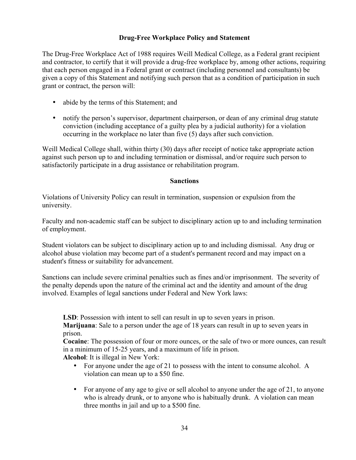# **Drug-Free Workplace Policy and Statement**

The Drug-Free Workplace Act of 1988 requires Weill Medical College, as a Federal grant recipient and contractor, to certify that it will provide a drug-free workplace by, among other actions, requiring that each person engaged in a Federal grant or contract (including personnel and consultants) be given a copy of this Statement and notifying such person that as a condition of participation in such grant or contract, the person will:

- abide by the terms of this Statement; and
- notify the person's supervisor, department chairperson, or dean of any criminal drug statute conviction (including acceptance of a guilty plea by a judicial authority) for a violation occurring in the workplace no later than five (5) days after such conviction.

Weill Medical College shall, within thirty (30) days after receipt of notice take appropriate action against such person up to and including termination or dismissal, and/or require such person to satisfactorily participate in a drug assistance or rehabilitation program.

#### **Sanctions**

Violations of University Policy can result in termination, suspension or expulsion from the university.

Faculty and non-academic staff can be subject to disciplinary action up to and including termination of employment.

Student violators can be subject to disciplinary action up to and including dismissal. Any drug or alcohol abuse violation may become part of a student's permanent record and may impact on a student's fitness or suitability for advancement.

Sanctions can include severe criminal penalties such as fines and/or imprisonment. The severity of the penalty depends upon the nature of the criminal act and the identity and amount of the drug involved. Examples of legal sanctions under Federal and New York laws:

**LSD**: Possession with intent to sell can result in up to seven years in prison.

**Marijuana**: Sale to a person under the age of 18 years can result in up to seven years in prison.

**Cocaine**: The possession of four or more ounces, or the sale of two or more ounces, can result in a minimum of 15-25 years, and a maximum of life in prison.

**Alcohol**: It is illegal in New York:

- For anyone under the age of 21 to possess with the intent to consume alcohol. A violation can mean up to a \$50 fine.
- For anyone of any age to give or sell alcohol to anyone under the age of 21, to anyone who is already drunk, or to anyone who is habitually drunk. A violation can mean three months in jail and up to a \$500 fine.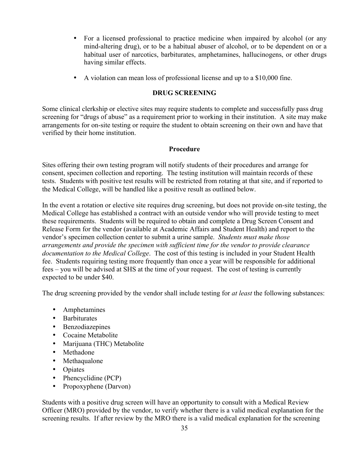- For a licensed professional to practice medicine when impaired by alcohol (or any mind-altering drug), or to be a habitual abuser of alcohol, or to be dependent on or a habitual user of narcotics, barbiturates, amphetamines, hallucinogens, or other drugs having similar effects.
- A violation can mean loss of professional license and up to a \$10,000 fine.

#### **DRUG SCREENING**

Some clinical clerkship or elective sites may require students to complete and successfully pass drug screening for "drugs of abuse" as a requirement prior to working in their institution. A site may make arrangements for on-site testing or require the student to obtain screening on their own and have that verified by their home institution.

#### **Procedure**

Sites offering their own testing program will notify students of their procedures and arrange for consent, specimen collection and reporting. The testing institution will maintain records of these tests. Students with positive test results will be restricted from rotating at that site, and if reported to the Medical College, will be handled like a positive result as outlined below.

In the event a rotation or elective site requires drug screening, but does not provide on-site testing, the Medical College has established a contract with an outside vendor who will provide testing to meet these requirements. Students will be required to obtain and complete a Drug Screen Consent and Release Form for the vendor (available at Academic Affairs and Student Health) and report to the vendor's specimen collection center to submit a urine sample. *Students must make those arrangements and provide the specimen with sufficient time for the vendor to provide clearance documentation to the Medical College*. The cost of this testing is included in your Student Health fee. Students requiring testing more frequently than once a year will be responsible for additional fees – you will be advised at SHS at the time of your request. The cost of testing is currently expected to be under \$40.

The drug screening provided by the vendor shall include testing for *at least* the following substances:

- Amphetamines
- Barbiturates
- Benzodiazepines
- Cocaine Metabolite
- Marijuana (THC) Metabolite
- Methadone
- Methaqualone
- Opiates
- Phencyclidine (PCP)
- Propoxyphene (Darvon)

Students with a positive drug screen will have an opportunity to consult with a Medical Review Officer (MRO) provided by the vendor, to verify whether there is a valid medical explanation for the screening results. If after review by the MRO there is a valid medical explanation for the screening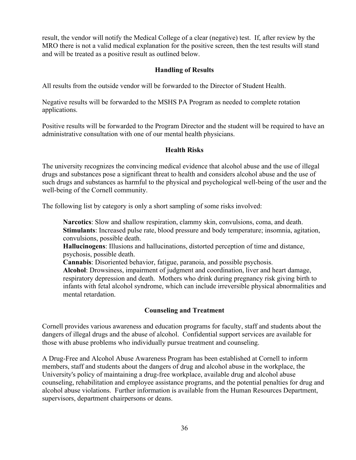result, the vendor will notify the Medical College of a clear (negative) test. If, after review by the MRO there is not a valid medical explanation for the positive screen, then the test results will stand and will be treated as a positive result as outlined below.

# **Handling of Results**

All results from the outside vendor will be forwarded to the Director of Student Health.

Negative results will be forwarded to the MSHS PA Program as needed to complete rotation applications.

Positive results will be forwarded to the Program Director and the student will be required to have an administrative consultation with one of our mental health physicians.

# **Health Risks**

The university recognizes the convincing medical evidence that alcohol abuse and the use of illegal drugs and substances pose a significant threat to health and considers alcohol abuse and the use of such drugs and substances as harmful to the physical and psychological well-being of the user and the well-being of the Cornell community.

The following list by category is only a short sampling of some risks involved:

**Narcotics**: Slow and shallow respiration, clammy skin, convulsions, coma, and death. **Stimulants**: Increased pulse rate, blood pressure and body temperature; insomnia, agitation, convulsions, possible death.

**Hallucinogens**: Illusions and hallucinations, distorted perception of time and distance, psychosis, possible death.

**Cannabis**: Disoriented behavior, fatigue, paranoia, and possible psychosis.

**Alcohol**: Drowsiness, impairment of judgment and coordination, liver and heart damage, respiratory depression and death. Mothers who drink during pregnancy risk giving birth to infants with fetal alcohol syndrome, which can include irreversible physical abnormalities and mental retardation.

# **Counseling and Treatment**

Cornell provides various awareness and education programs for faculty, staff and students about the dangers of illegal drugs and the abuse of alcohol. Confidential support services are available for those with abuse problems who individually pursue treatment and counseling.

A Drug-Free and Alcohol Abuse Awareness Program has been established at Cornell to inform members, staff and students about the dangers of drug and alcohol abuse in the workplace, the University's policy of maintaining a drug-free workplace, available drug and alcohol abuse counseling, rehabilitation and employee assistance programs, and the potential penalties for drug and alcohol abuse violations. Further information is available from the Human Resources Department, supervisors, department chairpersons or deans.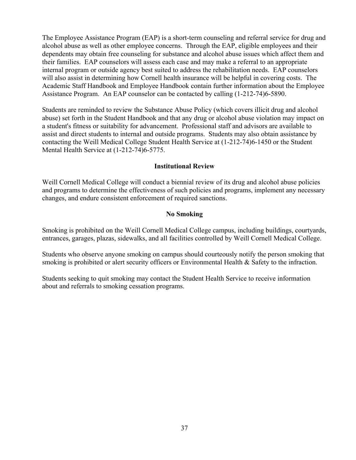The Employee Assistance Program (EAP) is a short-term counseling and referral service for drug and alcohol abuse as well as other employee concerns. Through the EAP, eligible employees and their dependents may obtain free counseling for substance and alcohol abuse issues which affect them and their families. EAP counselors will assess each case and may make a referral to an appropriate internal program or outside agency best suited to address the rehabilitation needs. EAP counselors will also assist in determining how Cornell health insurance will be helpful in covering costs. The Academic Staff Handbook and Employee Handbook contain further information about the Employee Assistance Program. An EAP counselor can be contacted by calling (1-212-74)6-5890.

Students are reminded to review the Substance Abuse Policy (which covers illicit drug and alcohol abuse) set forth in the Student Handbook and that any drug or alcohol abuse violation may impact on a student's fitness or suitability for advancement. Professional staff and advisors are available to assist and direct students to internal and outside programs. Students may also obtain assistance by contacting the Weill Medical College Student Health Service at (1-212-74)6-1450 or the Student Mental Health Service at (1-212-74)6-5775.

#### **Institutional Review**

Weill Cornell Medical College will conduct a biennial review of its drug and alcohol abuse policies and programs to determine the effectiveness of such policies and programs, implement any necessary changes, and endure consistent enforcement of required sanctions.

#### **No Smoking**

Smoking is prohibited on the Weill Cornell Medical College campus, including buildings, courtyards, entrances, garages, plazas, sidewalks, and all facilities controlled by Weill Cornell Medical College.

Students who observe anyone smoking on campus should courteously notify the person smoking that smoking is prohibited or alert security officers or Environmental Health & Safety to the infraction.

Students seeking to quit smoking may contact the Student Health Service to receive information about and referrals to smoking cessation programs.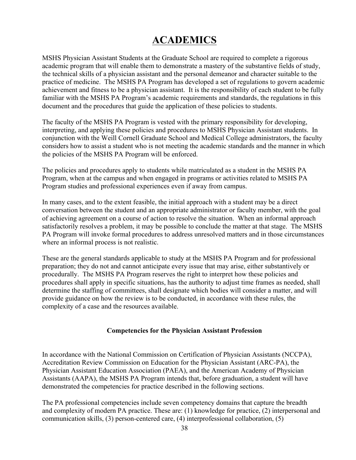# **ACADEMICS**

MSHS Physician Assistant Students at the Graduate School are required to complete a rigorous academic program that will enable them to demonstrate a mastery of the substantive fields of study, the technical skills of a physician assistant and the personal demeanor and character suitable to the practice of medicine. The MSHS PA Program has developed a set of regulations to govern academic achievement and fitness to be a physician assistant. It is the responsibility of each student to be fully familiar with the MSHS PA Program's academic requirements and standards, the regulations in this document and the procedures that guide the application of these policies to students.

The faculty of the MSHS PA Program is vested with the primary responsibility for developing, interpreting, and applying these policies and procedures to MSHS Physician Assistant students. In conjunction with the Weill Cornell Graduate School and Medical College administrators, the faculty considers how to assist a student who is not meeting the academic standards and the manner in which the policies of the MSHS PA Program will be enforced.

The policies and procedures apply to students while matriculated as a student in the MSHS PA Program, when at the campus and when engaged in programs or activities related to MSHS PA Program studies and professional experiences even if away from campus.

In many cases, and to the extent feasible, the initial approach with a student may be a direct conversation between the student and an appropriate administrator or faculty member, with the goal of achieving agreement on a course of action to resolve the situation. When an informal approach satisfactorily resolves a problem, it may be possible to conclude the matter at that stage. The MSHS PA Program will invoke formal procedures to address unresolved matters and in those circumstances where an informal process is not realistic.

These are the general standards applicable to study at the MSHS PA Program and for professional preparation; they do not and cannot anticipate every issue that may arise, either substantively or procedurally. The MSHS PA Program reserves the right to interpret how these policies and procedures shall apply in specific situations, has the authority to adjust time frames as needed, shall determine the staffing of committees, shall designate which bodies will consider a matter, and will provide guidance on how the review is to be conducted, in accordance with these rules, the complexity of a case and the resources available.

#### **Competencies for the Physician Assistant Profession**

In accordance with the National Commission on Certification of Physician Assistants (NCCPA), Accreditation Review Commission on Education for the Physician Assistant (ARC-PA), the Physician Assistant Education Association (PAEA), and the American Academy of Physician Assistants (AAPA), the MSHS PA Program intends that, before graduation, a student will have demonstrated the competencies for practice described in the following sections.

The PA professional competencies include seven competency domains that capture the breadth and complexity of modern PA practice. These are: (1) knowledge for practice, (2) interpersonal and communication skills, (3) person-centered care, (4) interprofessional collaboration, (5)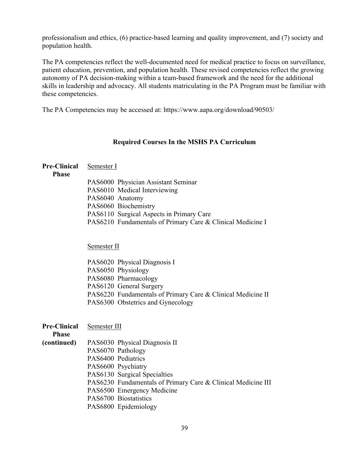professionalism and ethics, (6) practice-based learning and quality improvement, and (7) society and population health.

The PA competencies reflect the well-documented need for medical practice to focus on surveillance, patient education, prevention, and population health. These revised competencies reflect the growing autonomy of PA decision-making within a team-based framework and the need for the additional skills in leadership and advocacy. All students matriculating in the PA Program must be familiar with these competencies.

The PA Competencies may be accessed at: https://www.aapa.org/download/90503/

#### **Required Courses In the MSHS PA Curriculum**

#### **Pre-Clinical**  Semester I

#### **Phase**

| PAS6000 Physician Assistant Seminar                        |
|------------------------------------------------------------|
| PAS6010 Medical Interviewing                               |
| PAS6040 Anatomy                                            |
| PAS6060 Biochemistry                                       |
| PAS6110 Surgical Aspects in Primary Care                   |
| PAS6210 Fundamentals of Primary Care & Clinical Medicine I |

Semester II

| PAS6020 Physical Diagnosis I                                |
|-------------------------------------------------------------|
| PAS6050 Physiology                                          |
| PAS6080 Pharmacology                                        |
| PAS6120 General Surgery                                     |
| PAS6220 Fundamentals of Primary Care & Clinical Medicine II |
| PAS6300 Obstetrics and Gynecology                           |
|                                                             |

| <b>Pre-Clinical</b> | Semester III                                                 |
|---------------------|--------------------------------------------------------------|
| <b>Phase</b>        |                                                              |
| (continued)         | PAS6030 Physical Diagnosis II                                |
|                     | PAS6070 Pathology                                            |
|                     | PAS6400 Pediatrics                                           |
|                     | PAS6600 Psychiatry                                           |
|                     | PAS6130 Surgical Specialties                                 |
|                     | PAS6230 Fundamentals of Primary Care & Clinical Medicine III |
|                     | PAS6500 Emergency Medicine                                   |
|                     | PAS6700 Biostatistics                                        |
|                     | PAS6800 Epidemiology                                         |
|                     |                                                              |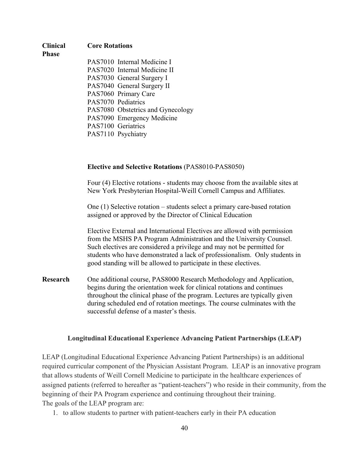# **Clinical Phase Core Rotations** PAS7010 Internal Medicine I PAS7020 Internal Medicine II

PAS7030 General Surgery I PAS7040 General Surgery II PAS7060 Primary Care PAS7070 Pediatrics PAS7080 Obstetrics and Gynecology PAS7090 Emergency Medicine PAS7100 Geriatrics PAS7110 Psychiatry

#### **Elective and Selective Rotations** (PAS8010-PAS8050)

Four (4) Elective rotations - students may choose from the available sites at New York Presbyterian Hospital-Weill Cornell Campus and Affiliates.

One (1) Selective rotation – students select a primary care-based rotation assigned or approved by the Director of Clinical Education

Elective External and International Electives are allowed with permission from the MSHS PA Program Administration and the University Counsel. Such electives are considered a privilege and may not be permitted for students who have demonstrated a lack of professionalism. Only students in good standing will be allowed to participate in these electives.

**Research** One additional course, PAS8000 Research Methodology and Application, begins during the orientation week for clinical rotations and continues throughout the clinical phase of the program. Lectures are typically given during scheduled end of rotation meetings. The course culminates with the successful defense of a master's thesis.

#### **Longitudinal Educational Experience Advancing Patient Partnerships (LEAP)**

LEAP (Longitudinal Educational Experience Advancing Patient Partnerships) is an additional required curricular component of the Physician Assistant Program. LEAP is an innovative program that allows students of Weill Cornell Medicine to participate in the healthcare experiences of assigned patients (referred to hereafter as "patient-teachers") who reside in their community, from the beginning of their PA Program experience and continuing throughout their training. The goals of the LEAP program are:

1. to allow students to partner with patient-teachers early in their PA education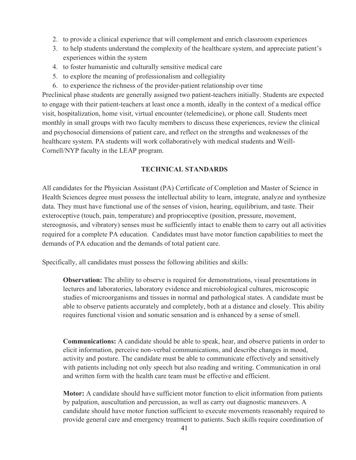- 2. to provide a clinical experience that will complement and enrich classroom experiences
- 3. to help students understand the complexity of the healthcare system, and appreciate patient's experiences within the system
- 4. to foster humanistic and culturally sensitive medical care
- 5. to explore the meaning of professionalism and collegiality
- 6. to experience the richness of the provider-patient relationship over time

Preclinical phase students are generally assigned two patient-teachers initially. Students are expected to engage with their patient-teachers at least once a month, ideally in the context of a medical office visit, hospitalization, home visit, virtual encounter (telemedicine), or phone call. Students meet monthly in small groups with two faculty members to discuss these experiences, review the clinical and psychosocial dimensions of patient care, and reflect on the strengths and weaknesses of the healthcare system. PA students will work collaboratively with medical students and Weill-Cornell/NYP faculty in the LEAP program.

#### **TECHNICAL STANDARDS**

All candidates for the Physician Assistant (PA) Certificate of Completion and Master of Science in Health Sciences degree must possess the intellectual ability to learn, integrate, analyze and synthesize data. They must have functional use of the senses of vision, hearing, equilibrium, and taste. Their exteroceptive (touch, pain, temperature) and proprioceptive (position, pressure, movement, stereognosis, and vibratory) senses must be sufficiently intact to enable them to carry out all activities required for a complete PA education. Candidates must have motor function capabilities to meet the demands of PA education and the demands of total patient care.

Specifically, all candidates must possess the following abilities and skills:

**Observation:** The ability to observe is required for demonstrations, visual presentations in lectures and laboratories, laboratory evidence and microbiological cultures, microscopic studies of microorganisms and tissues in normal and pathological states. A candidate must be able to observe patients accurately and completely, both at a distance and closely. This ability requires functional vision and somatic sensation and is enhanced by a sense of smell.

**Communications:** A candidate should be able to speak, hear, and observe patients in order to elicit information, perceive non-verbal communications, and describe changes in mood, activity and posture. The candidate must be able to communicate effectively and sensitively with patients including not only speech but also reading and writing. Communication in oral and written form with the health care team must be effective and efficient.

**Motor:** A candidate should have sufficient motor function to elicit information from patients by palpation, auscultation and percussion, as well as carry out diagnostic maneuvers. A candidate should have motor function sufficient to execute movements reasonably required to provide general care and emergency treatment to patients. Such skills require coordination of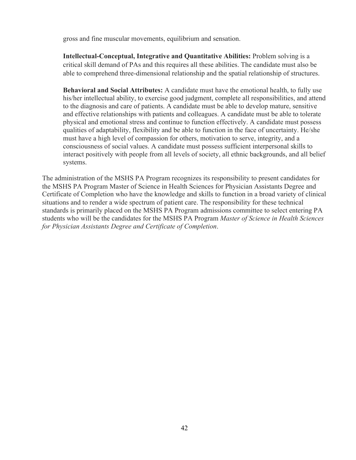gross and fine muscular movements, equilibrium and sensation.

**Intellectual-Conceptual, Integrative and Quantitative Abilities:** Problem solving is a critical skill demand of PAs and this requires all these abilities. The candidate must also be able to comprehend three-dimensional relationship and the spatial relationship of structures.

**Behavioral and Social Attributes:** A candidate must have the emotional health, to fully use his/her intellectual ability, to exercise good judgment, complete all responsibilities, and attend to the diagnosis and care of patients. A candidate must be able to develop mature, sensitive and effective relationships with patients and colleagues. A candidate must be able to tolerate physical and emotional stress and continue to function effectively. A candidate must possess qualities of adaptability, flexibility and be able to function in the face of uncertainty. He/she must have a high level of compassion for others, motivation to serve, integrity, and a consciousness of social values. A candidate must possess sufficient interpersonal skills to interact positively with people from all levels of society, all ethnic backgrounds, and all belief systems.

The administration of the MSHS PA Program recognizes its responsibility to present candidates for the MSHS PA Program Master of Science in Health Sciences for Physician Assistants Degree and Certificate of Completion who have the knowledge and skills to function in a broad variety of clinical situations and to render a wide spectrum of patient care. The responsibility for these technical standards is primarily placed on the MSHS PA Program admissions committee to select entering PA students who will be the candidates for the MSHS PA Program *Master of Science in Health Sciences for Physician Assistants Degree and Certificate of Completion*.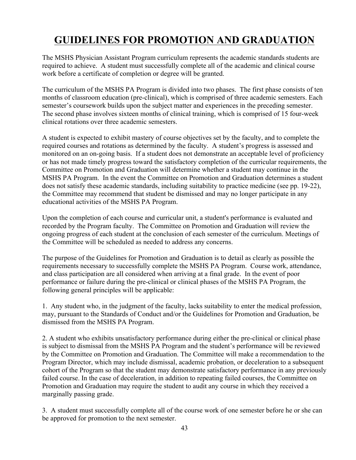# **GUIDELINES FOR PROMOTION AND GRADUATION**

The MSHS Physician Assistant Program curriculum represents the academic standards students are required to achieve. A student must successfully complete all of the academic and clinical course work before a certificate of completion or degree will be granted.

The curriculum of the MSHS PA Program is divided into two phases. The first phase consists of ten months of classroom education (pre-clinical), which is comprised of three academic semesters. Each semester's coursework builds upon the subject matter and experiences in the preceding semester. The second phase involves sixteen months of clinical training, which is comprised of 15 four-week clinical rotations over three academic semesters.

A student is expected to exhibit mastery of course objectives set by the faculty, and to complete the required courses and rotations as determined by the faculty. A student's progress is assessed and monitored on an on-going basis. If a student does not demonstrate an acceptable level of proficiency or has not made timely progress toward the satisfactory completion of the curricular requirements, the Committee on Promotion and Graduation will determine whether a student may continue in the MSHS PA Program. In the event the Committee on Promotion and Graduation determines a student does not satisfy these academic standards, including suitability to practice medicine (see pp. 19-22), the Committee may recommend that student be dismissed and may no longer participate in any educational activities of the MSHS PA Program.

Upon the completion of each course and curricular unit, a student's performance is evaluated and recorded by the Program faculty. The Committee on Promotion and Graduation will review the ongoing progress of each student at the conclusion of each semester of the curriculum. Meetings of the Committee will be scheduled as needed to address any concerns.

The purpose of the Guidelines for Promotion and Graduation is to detail as clearly as possible the requirements necessary to successfully complete the MSHS PA Program. Course work, attendance, and class participation are all considered when arriving at a final grade. In the event of poor performance or failure during the pre-clinical or clinical phases of the MSHS PA Program, the following general principles will be applicable:

1. Any student who, in the judgment of the faculty, lacks suitability to enter the medical profession, may, pursuant to the Standards of Conduct and/or the Guidelines for Promotion and Graduation, be dismissed from the MSHS PA Program.

2. A student who exhibits unsatisfactory performance during either the pre-clinical or clinical phase is subject to dismissal from the MSHS PA Program and the student's performance will be reviewed by the Committee on Promotion and Graduation. The Committee will make a recommendation to the Program Director, which may include dismissal, academic probation, or deceleration to a subsequent cohort of the Program so that the student may demonstrate satisfactory performance in any previously failed course. In the case of deceleration, in addition to repeating failed courses, the Committee on Promotion and Graduation may require the student to audit any course in which they received a marginally passing grade.

3. A student must successfully complete all of the course work of one semester before he or she can be approved for promotion to the next semester.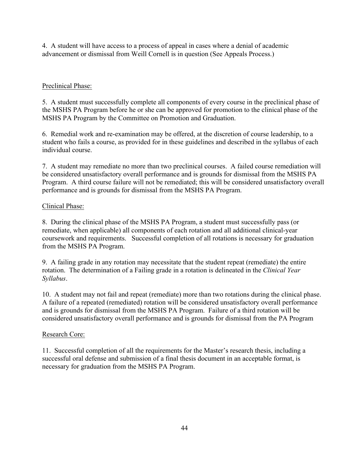4. A student will have access to a process of appeal in cases where a denial of academic advancement or dismissal from Weill Cornell is in question (See Appeals Process.)

# Preclinical Phase:

5. A student must successfully complete all components of every course in the preclinical phase of the MSHS PA Program before he or she can be approved for promotion to the clinical phase of the MSHS PA Program by the Committee on Promotion and Graduation.

6. Remedial work and re-examination may be offered, at the discretion of course leadership, to a student who fails a course, as provided for in these guidelines and described in the syllabus of each individual course.

7. A student may remediate no more than two preclinical courses. A failed course remediation will be considered unsatisfactory overall performance and is grounds for dismissal from the MSHS PA Program. A third course failure will not be remediated; this will be considered unsatisfactory overall performance and is grounds for dismissal from the MSHS PA Program.

#### Clinical Phase:

8. During the clinical phase of the MSHS PA Program, a student must successfully pass (or remediate, when applicable) all components of each rotation and all additional clinical-year coursework and requirements. Successful completion of all rotations is necessary for graduation from the MSHS PA Program.

9. A failing grade in any rotation may necessitate that the student repeat (remediate) the entire rotation. The determination of a Failing grade in a rotation is delineated in the *Clinical Year Syllabus*.

10. A student may not fail and repeat (remediate) more than two rotations during the clinical phase. A failure of a repeated (remediated) rotation will be considered unsatisfactory overall performance and is grounds for dismissal from the MSHS PA Program. Failure of a third rotation will be considered unsatisfactory overall performance and is grounds for dismissal from the PA Program

#### Research Core:

11. Successful completion of all the requirements for the Master's research thesis, including a successful oral defense and submission of a final thesis document in an acceptable format, is necessary for graduation from the MSHS PA Program.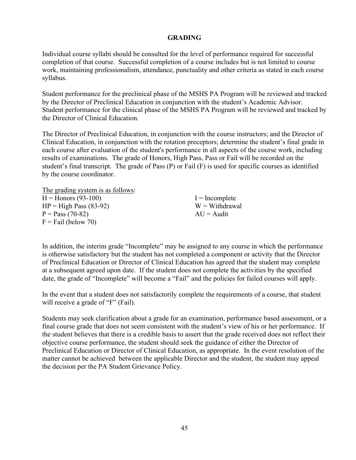#### **GRADING**

Individual course syllabi should be consulted for the level of performance required for successful completion of that course. Successful completion of a course includes but is not limited to course work, maintaining professionalism, attendance, punctuality and other criteria as stated in each course syllabus.

Student performance for the preclinical phase of the MSHS PA Program will be reviewed and tracked by the Director of Preclinical Education in conjunction with the student's Academic Advisor. Student performance for the clinical phase of the MSHS PA Program will be reviewed and tracked by the Director of Clinical Education.

The Director of Preclinical Education, in conjunction with the course instructors; and the Director of Clinical Education, in conjunction with the rotation preceptors; determine the student's final grade in each course after evaluation of the student's performance in all aspects of the course work, including results of examinations. The grade of Honors, High Pass, Pass or Fail will be recorded on the student's final transcript. The grade of Pass (P) or Fail (F) is used for specific courses as identified by the course coordinator.

The grading system is as follows:

| $H =$ Honors (93-100)    | $I = Incomplete$ |
|--------------------------|------------------|
| $HP = High Pass (83-92)$ | $W = With drawn$ |
| $P = Pass (70-82)$       | $AU =$ Audit     |
| $F =$ Fail (below 70)    |                  |

In addition, the interim grade "Incomplete" may be assigned to any course in which the performance is otherwise satisfactory but the student has not completed a component or activity that the Director of Preclinical Education or Director of Clinical Education has agreed that the student may complete at a subsequent agreed upon date. If the student does not complete the activities by the specified date, the grade of "Incomplete" will become a "Fail" and the policies for failed courses will apply.

In the event that a student does not satisfactorily complete the requirements of a course, that student will receive a grade of "F" (Fail).

Students may seek clarification about a grade for an examination, performance based assessment, or a final course grade that does not seem consistent with the student's view of his or her performance. If the student believes that there is a credible basis to assert that the grade received does not reflect their objective course performance, the student should seek the guidance of either the Director of Preclinical Education or Director of Clinical Education, as appropriate. In the event resolution of the matter cannot be achieved between the applicable Director and the student, the student may appeal the decision per the PA Student Grievance Policy.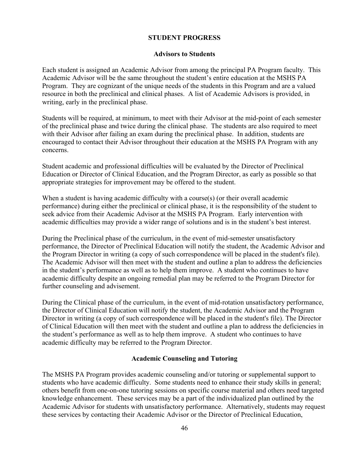#### **STUDENT PROGRESS**

#### **Advisors to Students**

Each student is assigned an Academic Advisor from among the principal PA Program faculty. This Academic Advisor will be the same throughout the student's entire education at the MSHS PA Program. They are cognizant of the unique needs of the students in this Program and are a valued resource in both the preclinical and clinical phases. A list of Academic Advisors is provided, in writing, early in the preclinical phase.

Students will be required, at minimum, to meet with their Advisor at the mid-point of each semester of the preclinical phase and twice during the clinical phase. The students are also required to meet with their Advisor after failing an exam during the preclinical phase. In addition, students are encouraged to contact their Advisor throughout their education at the MSHS PA Program with any concerns.

Student academic and professional difficulties will be evaluated by the Director of Preclinical Education or Director of Clinical Education, and the Program Director, as early as possible so that appropriate strategies for improvement may be offered to the student.

When a student is having academic difficulty with a course(s) (or their overall academic performance) during either the preclinical or clinical phase, it is the responsibility of the student to seek advice from their Academic Advisor at the MSHS PA Program. Early intervention with academic difficulties may provide a wider range of solutions and is in the student's best interest.

During the Preclinical phase of the curriculum, in the event of mid-semester unsatisfactory performance, the Director of Preclinical Education will notify the student, the Academic Advisor and the Program Director in writing (a copy of such correspondence will be placed in the student's file). The Academic Advisor will then meet with the student and outline a plan to address the deficiencies in the student's performance as well as to help them improve. A student who continues to have academic difficulty despite an ongoing remedial plan may be referred to the Program Director for further counseling and advisement.

During the Clinical phase of the curriculum, in the event of mid-rotation unsatisfactory performance, the Director of Clinical Education will notify the student, the Academic Advisor and the Program Director in writing (a copy of such correspondence will be placed in the student's file). The Director of Clinical Education will then meet with the student and outline a plan to address the deficiencies in the student's performance as well as to help them improve. A student who continues to have academic difficulty may be referred to the Program Director.

#### **Academic Counseling and Tutoring**

The MSHS PA Program provides academic counseling and/or tutoring or supplemental support to students who have academic difficulty. Some students need to enhance their study skills in general; others benefit from one-on-one tutoring sessions on specific course material and others need targeted knowledge enhancement. These services may be a part of the individualized plan outlined by the Academic Advisor for students with unsatisfactory performance. Alternatively, students may request these services by contacting their Academic Advisor or the Director of Preclinical Education,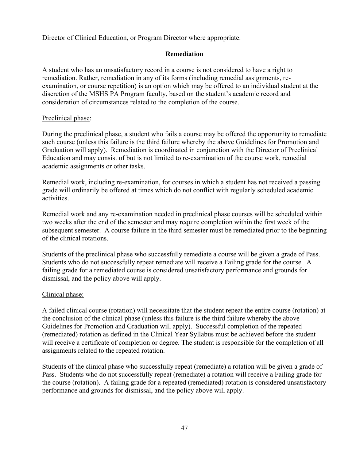Director of Clinical Education, or Program Director where appropriate.

#### **Remediation**

A student who has an unsatisfactory record in a course is not considered to have a right to remediation. Rather, remediation in any of its forms (including remedial assignments, reexamination, or course repetition) is an option which may be offered to an individual student at the discretion of the MSHS PA Program faculty, based on the student's academic record and consideration of circumstances related to the completion of the course.

#### Preclinical phase:

During the preclinical phase, a student who fails a course may be offered the opportunity to remediate such course (unless this failure is the third failure whereby the above Guidelines for Promotion and Graduation will apply). Remediation is coordinated in conjunction with the Director of Preclinical Education and may consist of but is not limited to re-examination of the course work, remedial academic assignments or other tasks.

Remedial work, including re-examination, for courses in which a student has not received a passing grade will ordinarily be offered at times which do not conflict with regularly scheduled academic activities.

Remedial work and any re-examination needed in preclinical phase courses will be scheduled within two weeks after the end of the semester and may require completion within the first week of the subsequent semester. A course failure in the third semester must be remediated prior to the beginning of the clinical rotations.

Students of the preclinical phase who successfully remediate a course will be given a grade of Pass. Students who do not successfully repeat remediate will receive a Failing grade for the course. A failing grade for a remediated course is considered unsatisfactory performance and grounds for dismissal, and the policy above will apply.

#### Clinical phase:

A failed clinical course (rotation) will necessitate that the student repeat the entire course (rotation) at the conclusion of the clinical phase (unless this failure is the third failure whereby the above Guidelines for Promotion and Graduation will apply). Successful completion of the repeated (remediated) rotation as defined in the Clinical Year Syllabus must be achieved before the student will receive a certificate of completion or degree. The student is responsible for the completion of all assignments related to the repeated rotation.

Students of the clinical phase who successfully repeat (remediate) a rotation will be given a grade of Pass. Students who do not successfully repeat (remediate) a rotation will receive a Failing grade for the course (rotation). A failing grade for a repeated (remediated) rotation is considered unsatisfactory performance and grounds for dismissal, and the policy above will apply.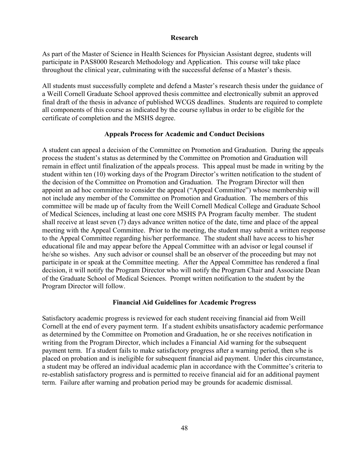#### **Research**

As part of the Master of Science in Health Sciences for Physician Assistant degree, students will participate in PAS8000 Research Methodology and Application. This course will take place throughout the clinical year, culminating with the successful defense of a Master's thesis.

All students must successfully complete and defend a Master's research thesis under the guidance of a Weill Cornell Graduate School approved thesis committee and electronically submit an approved final draft of the thesis in advance of published WCGS deadlines. Students are required to complete all components of this course as indicated by the course syllabus in order to be eligible for the certificate of completion and the MSHS degree.

#### **Appeals Process for Academic and Conduct Decisions**

A student can appeal a decision of the Committee on Promotion and Graduation. During the appeals process the student's status as determined by the Committee on Promotion and Graduation will remain in effect until finalization of the appeals process. This appeal must be made in writing by the student within ten (10) working days of the Program Director's written notification to the student of the decision of the Committee on Promotion and Graduation. The Program Director will then appoint an ad hoc committee to consider the appeal ("Appeal Committee") whose membership will not include any member of the Committee on Promotion and Graduation. The members of this committee will be made up of faculty from the Weill Cornell Medical College and Graduate School of Medical Sciences, including at least one core MSHS PA Program faculty member. The student shall receive at least seven (7) days advance written notice of the date, time and place of the appeal meeting with the Appeal Committee. Prior to the meeting, the student may submit a written response to the Appeal Committee regarding his/her performance. The student shall have access to his/her educational file and may appear before the Appeal Committee with an advisor or legal counsel if he/she so wishes. Any such advisor or counsel shall be an observer of the proceeding but may not participate in or speak at the Committee meeting. After the Appeal Committee has rendered a final decision, it will notify the Program Director who will notify the Program Chair and Associate Dean of the Graduate School of Medical Sciences. Prompt written notification to the student by the Program Director will follow.

#### **Financial Aid Guidelines for Academic Progress**

Satisfactory academic progress is reviewed for each student receiving financial aid from Weill Cornell at the end of every payment term. If a student exhibits unsatisfactory academic performance as determined by the Committee on Promotion and Graduation, he or she receives notification in writing from the Program Director, which includes a Financial Aid warning for the subsequent payment term. If a student fails to make satisfactory progress after a warning period, then s/he is placed on probation and is ineligible for subsequent financial aid payment. Under this circumstance, a student may be offered an individual academic plan in accordance with the Committee's criteria to re-establish satisfactory progress and is permitted to receive financial aid for an additional payment term. Failure after warning and probation period may be grounds for academic dismissal.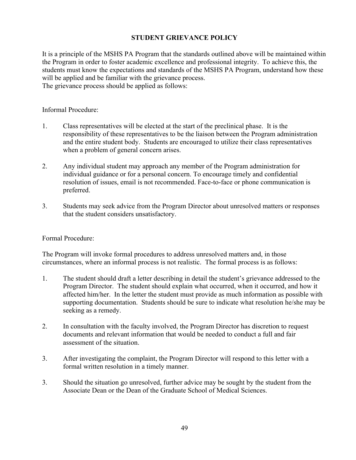#### **STUDENT GRIEVANCE POLICY**

It is a principle of the MSHS PA Program that the standards outlined above will be maintained within the Program in order to foster academic excellence and professional integrity. To achieve this, the students must know the expectations and standards of the MSHS PA Program, understand how these will be applied and be familiar with the grievance process. The grievance process should be applied as follows:

Informal Procedure:

- 1. Class representatives will be elected at the start of the preclinical phase. It is the responsibility of these representatives to be the liaison between the Program administration and the entire student body. Students are encouraged to utilize their class representatives when a problem of general concern arises.
- 2. Any individual student may approach any member of the Program administration for individual guidance or for a personal concern. To encourage timely and confidential resolution of issues, email is not recommended. Face-to-face or phone communication is preferred.
- 3. Students may seek advice from the Program Director about unresolved matters or responses that the student considers unsatisfactory.

#### Formal Procedure:

The Program will invoke formal procedures to address unresolved matters and, in those circumstances, where an informal process is not realistic. The formal process is as follows:

- 1. The student should draft a letter describing in detail the student's grievance addressed to the Program Director. The student should explain what occurred, when it occurred, and how it affected him/her. In the letter the student must provide as much information as possible with supporting documentation. Students should be sure to indicate what resolution he/she may be seeking as a remedy.
- 2. In consultation with the faculty involved, the Program Director has discretion to request documents and relevant information that would be needed to conduct a full and fair assessment of the situation.
- 3. After investigating the complaint, the Program Director will respond to this letter with a formal written resolution in a timely manner.
- 3. Should the situation go unresolved, further advice may be sought by the student from the Associate Dean or the Dean of the Graduate School of Medical Sciences.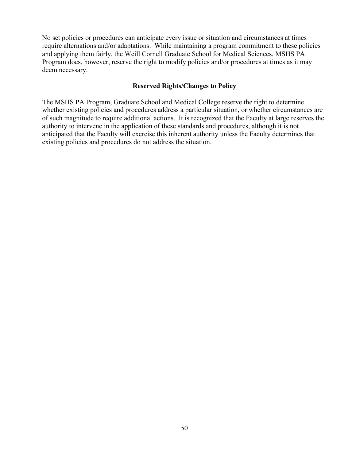No set policies or procedures can anticipate every issue or situation and circumstances at times require alternations and/or adaptations. While maintaining a program commitment to these policies and applying them fairly, the Weill Cornell Graduate School for Medical Sciences, MSHS PA Program does, however, reserve the right to modify policies and/or procedures at times as it may deem necessary.

#### **Reserved Rights/Changes to Policy**

The MSHS PA Program, Graduate School and Medical College reserve the right to determine whether existing policies and procedures address a particular situation, or whether circumstances are of such magnitude to require additional actions. It is recognized that the Faculty at large reserves the authority to intervene in the application of these standards and procedures, although it is not anticipated that the Faculty will exercise this inherent authority unless the Faculty determines that existing policies and procedures do not address the situation.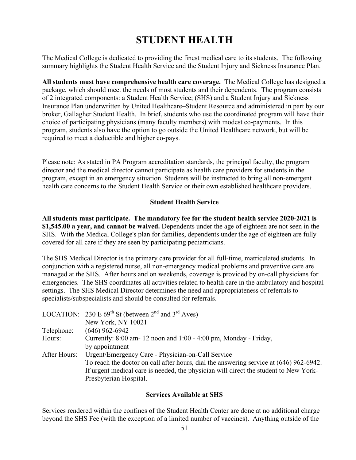# **STUDENT HEALTH**

The Medical College is dedicated to providing the finest medical care to its students. The following summary highlights the Student Health Service and the Student Injury and Sickness Insurance Plan.

**All students must have comprehensive health care coverage.** The Medical College has designed a package, which should meet the needs of most students and their dependents. The program consists of 2 integrated components: a Student Health Service; (SHS) and a Student Injury and Sickness Insurance Plan underwritten by United Healthcare–Student Resource and administered in part by our broker, Gallagher Student Health. In brief, students who use the coordinated program will have their choice of participating physicians (many faculty members) with modest co-payments. In this program, students also have the option to go outside the United Healthcare network, but will be required to meet a deductible and higher co-pays.

Please note: As stated in PA Program accreditation standards, the principal faculty, the program director and the medical director cannot participate as health care providers for students in the program, except in an emergency situation. Students will be instructed to bring all non-emergent health care concerns to the Student Health Service or their own established healthcare providers.

#### **Student Health Service**

**All students must participate. The mandatory fee for the student health service 2020-2021 is \$1,545.00 a year, and cannot be waived.** Dependents under the age of eighteen are not seen in the SHS. With the Medical College's plan for families, dependents under the age of eighteen are fully covered for all care if they are seen by participating pediatricians.

The SHS Medical Director is the primary care provider for all full-time, matriculated students. In conjunction with a registered nurse, all non-emergency medical problems and preventive care are managed at the SHS. After hours and on weekends, coverage is provided by on-call physicians for emergencies. The SHS coordinates all activities related to health care in the ambulatory and hospital settings. The SHS Medical Director determines the need and appropriateness of referrals to specialists/subspecialists and should be consulted for referrals.

|              | LOCATION: 230 E $69^{th}$ St (between 2 <sup>nd</sup> and 3 <sup>rd</sup> Aves)        |
|--------------|----------------------------------------------------------------------------------------|
|              | New York, NY 10021                                                                     |
| Telephone:   | $(646)$ 962-6942                                                                       |
| Hours:       | Currently: $8:00$ am-12 noon and $1:00 - 4:00$ pm, Monday - Friday,                    |
|              | by appointment                                                                         |
| After Hours: | Urgent/Emergency Care - Physician-on-Call Service                                      |
|              | To reach the doctor on call after hours, dial the answering service at (646) 962-6942. |
|              | If urgent medical care is needed, the physician will direct the student to New York-   |
|              | Presbyterian Hospital.                                                                 |

#### **Services Available at SHS**

Services rendered within the confines of the Student Health Center are done at no additional charge beyond the SHS Fee (with the exception of a limited number of vaccines). Anything outside of the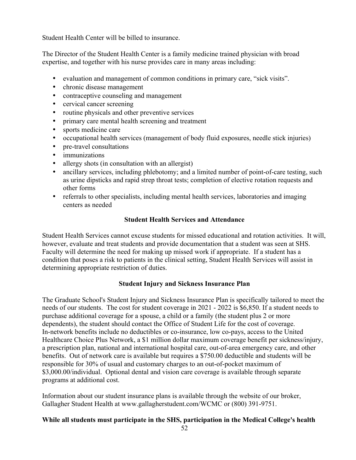Student Health Center will be billed to insurance.

The Director of the Student Health Center is a family medicine trained physician with broad expertise, and together with his nurse provides care in many areas including:

- evaluation and management of common conditions in primary care, "sick visits".
- chronic disease management
- contraceptive counseling and management
- cervical cancer screening
- routine physicals and other preventive services
- primary care mental health screening and treatment
- sports medicine care
- occupational health services (management of body fluid exposures, needle stick injuries)
- pre-travel consultations
- immunizations
- allergy shots (in consultation with an allergist)
- ancillary services, including phlebotomy; and a limited number of point-of-care testing, such as urine dipsticks and rapid strep throat tests; completion of elective rotation requests and other forms
- referrals to other specialists, including mental health services, laboratories and imaging centers as needed

#### **Student Health Services and Attendance**

Student Health Services cannot excuse students for missed educational and rotation activities. It will, however, evaluate and treat students and provide documentation that a student was seen at SHS. Faculty will determine the need for making up missed work if appropriate. If a student has a condition that poses a risk to patients in the clinical setting, Student Health Services will assist in determining appropriate restriction of duties.

#### **Student Injury and Sickness Insurance Plan**

The Graduate School's Student Injury and Sickness Insurance Plan is specifically tailored to meet the needs of our students. The cost for student coverage in 2021 - 2022 is \$6,850. If a student needs to purchase additional coverage for a spouse, a child or a family (the student plus 2 or more dependents), the student should contact the Office of Student Life for the cost of coverage. In-network benefits include no deductibles or co-insurance, low co-pays, access to the United Healthcare Choice Plus Network, a \$1 million dollar maximum coverage benefit per sickness/injury, a prescription plan, national and international hospital care, out-of-area emergency care, and other benefits. Out of network care is available but requires a \$750.00 deductible and students will be responsible for 30% of usual and customary charges to an out-of-pocket maximum of \$3,000.00/individual. Optional dental and vision care coverage is available through separate programs at additional cost.

Information about our student insurance plans is available through the website of our broker, Gallagher Student Health at www.gallagherstudent.com/WCMC or (800) 391-9751.

# **While all students must participate in the SHS, participation in the Medical College's health**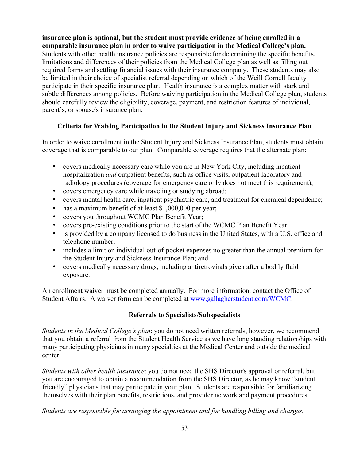**insurance plan is optional, but the student must provide evidence of being enrolled in a comparable insurance plan in order to waive participation in the Medical College's plan.** Students with other health insurance policies are responsible for determining the specific benefits, limitations and differences of their policies from the Medical College plan as well as filling out required forms and settling financial issues with their insurance company. These students may also be limited in their choice of specialist referral depending on which of the Weill Cornell faculty participate in their specific insurance plan. Health insurance is a complex matter with stark and subtle differences among policies. Before waiving participation in the Medical College plan, students should carefully review the eligibility, coverage, payment, and restriction features of individual, parent's, or spouse's insurance plan.

#### **Criteria for Waiving Participation in the Student Injury and Sickness Insurance Plan**

In order to waive enrollment in the Student Injury and Sickness Insurance Plan, students must obtain coverage that is comparable to our plan. Comparable coverage requires that the alternate plan:

- covers medically necessary care while you are in New York City, including inpatient hospitalization *and* outpatient benefits, such as office visits, outpatient laboratory and radiology procedures (coverage for emergency care only does not meet this requirement);
- covers emergency care while traveling or studying abroad;
- covers mental health care, inpatient psychiatric care, and treatment for chemical dependence;
- has a maximum benefit of at least \$1,000,000 per year;
- covers you throughout WCMC Plan Benefit Year;
- covers pre-existing conditions prior to the start of the WCMC Plan Benefit Year;
- is provided by a company licensed to do business in the United States, with a U.S. office and telephone number;
- includes a limit on individual out-of-pocket expenses no greater than the annual premium for the Student Injury and Sickness Insurance Plan; and
- covers medically necessary drugs, including antiretrovirals given after a bodily fluid exposure.

An enrollment waiver must be completed annually. For more information, contact the Office of Student Affairs. A waiver form can be completed at www.gallagherstudent.com/WCMC.

#### **Referrals to Specialists/Subspecialists**

*Students in the Medical College's plan*: you do not need written referrals, however, we recommend that you obtain a referral from the Student Health Service as we have long standing relationships with many participating physicians in many specialties at the Medical Center and outside the medical center.

*Students with other health insurance*: you do not need the SHS Director's approval or referral, but you are encouraged to obtain a recommendation from the SHS Director, as he may know "student friendly" physicians that may participate in your plan. Students are responsible for familiarizing themselves with their plan benefits, restrictions, and provider network and payment procedures.

*Students are responsible for arranging the appointment and for handling billing and charges.*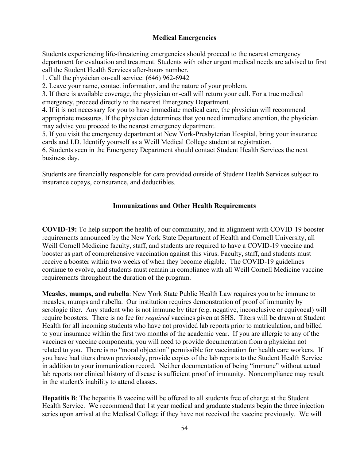#### **Medical Emergencies**

Students experiencing life-threatening emergencies should proceed to the nearest emergency department for evaluation and treatment. Students with other urgent medical needs are advised to first call the Student Health Services after-hours number.

1. Call the physician on-call service: (646) 962-6942

2. Leave your name, contact information, and the nature of your problem.

3. If there is available coverage, the physician on-call will return your call. For a true medical emergency, proceed directly to the nearest Emergency Department.

4. If it is not necessary for you to have immediate medical care, the physician will recommend appropriate measures. If the physician determines that you need immediate attention, the physician may advise you proceed to the nearest emergency department.

5. If you visit the emergency department at New York-Presbyterian Hospital, bring your insurance cards and I.D. Identify yourself as a Weill Medical College student at registration.

6. Students seen in the Emergency Department should contact Student Health Services the next business day.

Students are financially responsible for care provided outside of Student Health Services subject to insurance copays, coinsurance, and deductibles.

#### **Immunizations and Other Health Requirements**

**COVID-19:** To help support the health of our community, and in alignment with COVID-19 booster requirements announced by the New York State Department of Health and Cornell University, all Weill Cornell Medicine faculty, staff, and students are required to have a COVID-19 vaccine and booster as part of comprehensive vaccination against this virus. Faculty, staff, and students must receive a booster within two weeks of when they become eligible. The COVID-19 guidelines continue to evolve, and students must remain in compliance with all Weill Cornell Medicine vaccine requirements throughout the duration of the program.

**Measles, mumps, and rubella**: New York State Public Health Law requires you to be immune to measles, mumps and rubella. Our institution requires demonstration of proof of immunity by serologic titer. Any student who is not immune by titer (e.g. negative, inconclusive or equivocal) will require boosters. There is no fee for *required* vaccines given at SHS. Titers will be drawn at Student Health for all incoming students who have not provided lab reports prior to matriculation, and billed to your insurance within the first two months of the academic year. If you are allergic to any of the vaccines or vaccine components, you will need to provide documentation from a physician not related to you. There is no "moral objection" permissible for vaccination for health care workers. If you have had titers drawn previously, provide copies of the lab reports to the Student Health Service in addition to your immunization record. Neither documentation of being "immune" without actual lab reports nor clinical history of disease is sufficient proof of immunity. Noncompliance may result in the student's inability to attend classes.

**Hepatitis B**: The hepatitis B vaccine will be offered to all students free of charge at the Student Health Service. We recommend that 1st year medical and graduate students begin the three injection series upon arrival at the Medical College if they have not received the vaccine previously. We will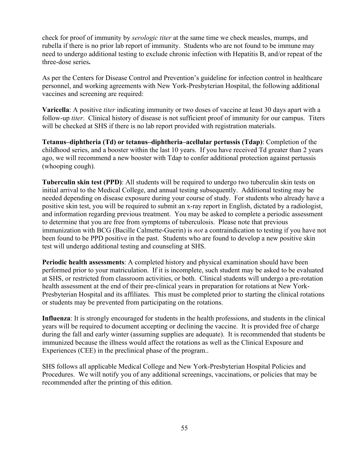check for proof of immunity by *serologic titer* at the same time we check measles, mumps, and rubella if there is no prior lab report of immunity. Students who are not found to be immune may need to undergo additional testing to exclude chronic infection with Hepatitis B, and/or repeat of the three-dose series**.**

As per the Centers for Disease Control and Prevention's guideline for infection control in healthcare personnel, and working agreements with New York-Presbyterian Hospital, the following additional vaccines and screening are required:

**Varicella**: A positive *titer* indicating immunity or two doses of vaccine at least 30 days apart with a follow-up *titer*. Clinical history of disease is not sufficient proof of immunity for our campus. Titers will be checked at SHS if there is no lab report provided with registration materials.

**Tetanus–diphtheria (Td) or tetanus–diphtheria–acellular pertussis (Tdap)**: Completion of the childhood series, and a booster within the last 10 years. If you have received Td greater than 2 years ago, we will recommend a new booster with Tdap to confer additional protection against pertussis (whooping cough).

**Tuberculin skin test (PPD)**: All students will be required to undergo two tuberculin skin tests on initial arrival to the Medical College, and annual testing subsequently. Additional testing may be needed depending on disease exposure during your course of study. For students who already have a positive skin test, you will be required to submit an x-ray report in English, dictated by a radiologist, and information regarding previous treatment. You may be asked to complete a periodic assessment to determine that you are free from symptoms of tuberculosis. Please note that previous immunization with BCG (Bacille Calmette-Guerin) is *not* a contraindication to testing if you have not been found to be PPD positive in the past. Students who are found to develop a new positive skin test will undergo additional testing and counseling at SHS.

**Periodic health assessments**: A completed history and physical examination should have been performed prior to your matriculation. If it is incomplete, such student may be asked to be evaluated at SHS, or restricted from classroom activities, or both. Clinical students will undergo a pre-rotation health assessment at the end of their pre-clinical years in preparation for rotations at New York-Presbyterian Hospital and its affiliates. This must be completed prior to starting the clinical rotations or students may be prevented from participating on the rotations.

**Influenza**: It is strongly encouraged for students in the health professions, and students in the clinical years will be required to document accepting or declining the vaccine. It is provided free of charge during the fall and early winter (assuming supplies are adequate). It is recommended that students be immunized because the illness would affect the rotations as well as the Clinical Exposure and Experiences (CEE) in the preclinical phase of the program..

SHS follows all applicable Medical College and New York-Presbyterian Hospital Policies and Procedures. We will notify you of any additional screenings, vaccinations, or policies that may be recommended after the printing of this edition.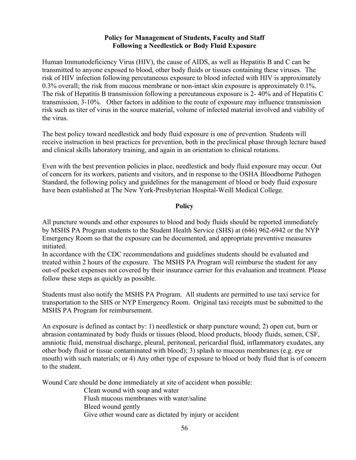#### **Policy for Management of Students, Faculty and Staff Following a Needlestick or Body Fluid Exposure**

Human Immunodeficiency Virus (HIV), the cause of AIDS, as well as Hepatitis B and C can be transmitted to anyone exposed to blood, other body fluids or tissues containing these viruses. The risk of HIV infection following percutaneous exposure to blood infected with HIV is approximately 0.3% overall; the risk from mucous membrane or non-intact skin exposure is approximately 0.1%. The risk of Hepatitis B transmission following a percutaneous exposure is 2- 40% and of Hepatitis C transmission, 3-10%. Other factors in addition to the route of exposure may influence transmission risk such as titer of virus in the source material, volume of infected material involved and viability of the virus.

The best policy toward needlestick and body fluid exposure is one of prevention. Students will receive instruction in best practices for prevention, both in the preclinical phase through lecture based and clinical skills laboratory training, and again in an orientation to clinical rotations.

Even with the best prevention policies in place, needlestick and body fluid exposure may occur. Out of concern for its workers, patients and visitors, and in response to the OSHA Bloodborne Pathogen Standard, the following policy and guidelines for the management of blood or body fluid exposure have been established at The New York-Presbyterian Hospital-Weill Medical College.

#### **Policy**

All puncture wounds and other exposures to blood and body fluids should be reported immediately by MSHS PA Program students to the Student Health Service (SHS) at (646) 962-6942 or the NYP Emergency Room so that the exposure can be documented, and appropriate preventive measures initiated.

In accordance with the CDC recommendations and guidelines students should be evaluated and treated within 2 hours of the exposure. The MSHS PA Program will reimburse the student for any out-of pocket expenses not covered by their insurance carrier for this evaluation and treatment. Please follow these steps as quickly as possible.

Students must also notify the MSHS PA Program. All students are permitted to use taxi service for transportation to the SHS or NYP Emergency Room. Original taxi receipts must be submitted to the MSHS PA Program for reimbursement.

An exposure is defined as contact by: 1) needlestick or sharp puncture wound; 2) open cut, burn or abrasion contaminated by body fluids or tissues (blood, blood products, bloody fluids, semen, CSF, amniotic fluid, menstrual discharge, pleural, peritoneal, pericardial fluid, inflammatory exudates, any other body fluid or tissue contaminated with blood); 3) splash to mucous membranes (e.g. eye or mouth) with such materials; or 4) Any other type of exposure to blood or body fluid that is of concern to the student.

Wound Care should be done immediately at site of accident when possible:

Clean wound with soap and water

Flush mucous membranes with water/saline

Bleed wound gently

Give other wound care as dictated by injury or accident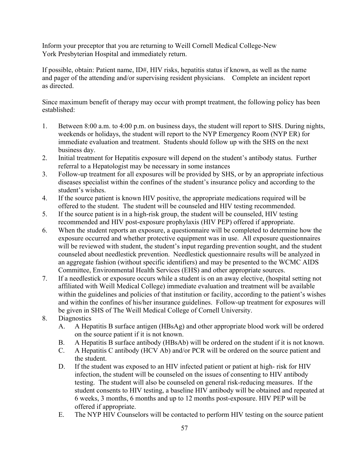Inform your preceptor that you are returning to Weill Cornell Medical College-New York Presbyterian Hospital and immediately return.

If possible, obtain: Patient name, ID#, HIV risks, hepatitis status if known, as well as the name and pager of the attending and/or supervising resident physicians. Complete an incident report as directed.

Since maximum benefit of therapy may occur with prompt treatment, the following policy has been established:

- 1. Between 8:00 a.m. to 4:00 p.m. on business days, the student will report to SHS. During nights, weekends or holidays, the student will report to the NYP Emergency Room (NYP ER) for immediate evaluation and treatment. Students should follow up with the SHS on the next business day.
- 2. Initial treatment for Hepatitis exposure will depend on the student's antibody status. Further referral to a Hepatologist may be necessary in some instances
- 3. Follow-up treatment for all exposures will be provided by SHS, or by an appropriate infectious diseases specialist within the confines of the student's insurance policy and according to the student's wishes.
- 4. If the source patient is known HIV positive, the appropriate medications required will be offered to the student. The student will be counseled and HIV testing recommended.
- 5. If the source patient is in a high-risk group, the student will be counseled, HIV testing recommended and HIV post-exposure prophylaxis (HIV PEP) offered if appropriate.
- 6. When the student reports an exposure, a questionnaire will be completed to determine how the exposure occurred and whether protective equipment was in use. All exposure questionnaires will be reviewed with student, the student's input regarding prevention sought, and the student counseled about needlestick prevention. Needlestick questionnaire results will be analyzed in an aggregate fashion (without specific identifiers) and may be presented to the WCMC AIDS Committee, Environmental Health Services (EHS) and other appropriate sources.
- 7. If a needlestick or exposure occurs while a student is on an away elective, (hospital setting not affiliated with Weill Medical College) immediate evaluation and treatment will be available within the guidelines and policies of that institution or facility, according to the patient's wishes and within the confines of his/her insurance guidelines. Follow-up treatment for exposures will be given in SHS of The Weill Medical College of Cornell University.
- 8. Diagnostics
	- A. A Hepatitis B surface antigen (HBsAg) and other appropriate blood work will be ordered on the source patient if it is not known.
	- B. A Hepatitis B surface antibody (HBsAb) will be ordered on the student if it is not known.
	- C. A Hepatitis C antibody (HCV Ab) and/or PCR will be ordered on the source patient and the student.
	- D. If the student was exposed to an HIV infected patient or patient at high- risk for HIV infection, the student will be counseled on the issues of consenting to HIV antibody testing. The student will also be counseled on general risk-reducing measures. If the student consents to HIV testing, a baseline HIV antibody will be obtained and repeated at 6 weeks, 3 months, 6 months and up to 12 months post-exposure. HIV PEP will be offered if appropriate.
	- E. The NYP HIV Counselors will be contacted to perform HIV testing on the source patient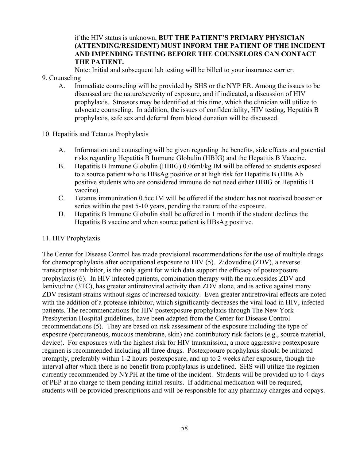#### if the HIV status is unknown, **BUT THE PATIENT'S PRIMARY PHYSICIAN (ATTENDING/RESIDENT) MUST INFORM THE PATIENT OF THE INCIDENT AND IMPENDING TESTING BEFORE THE COUNSELORS CAN CONTACT THE PATIENT.**

Note: Initial and subsequent lab testing will be billed to your insurance carrier.

- 9. Counseling
	- A. Immediate counseling will be provided by SHS or the NYP ER. Among the issues to be discussed are the nature/severity of exposure, and if indicated, a discussion of HIV prophylaxis. Stressors may be identified at this time, which the clinician will utilize to advocate counseling. In addition, the issues of confidentiality, HIV testing, Hepatitis B prophylaxis, safe sex and deferral from blood donation will be discussed.
- 10. Hepatitis and Tetanus Prophylaxis
	- A. Information and counseling will be given regarding the benefits, side effects and potential risks regarding Hepatitis B Immune Globulin (HBIG) and the Hepatitis B Vaccine.
	- B. Hepatitis B Immune Globulin (HBIG) 0.06ml/kg IM will be offered to students exposed to a source patient who is HBsAg positive or at high risk for Hepatitis B (HBs Ab positive students who are considered immune do not need either HBIG or Hepatitis B vaccine).
	- C. Tetanus immunization 0.5cc IM will be offered if the student has not received booster or series within the past 5-10 years, pending the nature of the exposure.
	- D. Hepatitis B Immune Globulin shall be offered in 1 month if the student declines the Hepatitis B vaccine and when source patient is HBsAg positive.

#### 11. HIV Prophylaxis

The Center for Disease Control has made provisional recommendations for the use of multiple drugs for chemoprophylaxis after occupational exposure to HIV (5). Zidovudine (ZDV), a reverse transcriptase inhibitor, is the only agent for which data support the efficacy of postexposure prophylaxis (6). In HIV infected patients, combination therapy with the nucleosides ZDV and lamivudine (3TC), has greater antiretroviral activity than ZDV alone, and is active against many ZDV resistant strains without signs of increased toxicity. Even greater antiretroviral effects are noted with the addition of a protease inhibitor, which significantly decreases the viral load in HIV, infected patients. The recommendations for HIV postexposure prophylaxis through The New York - Presbyterian Hospital guidelines, have been adapted from the Center for Disease Control recommendations (5). They are based on risk assessment of the exposure including the type of exposure (percutaneous, mucous membrane, skin) and contributory risk factors (e.g., source material, device). For exposures with the highest risk for HIV transmission, a more aggressive postexposure regimen is recommended including all three drugs. Postexposure prophylaxis should be initiated promptly, preferably within 1-2 hours postexposure, and up to 2 weeks after exposure, though the interval after which there is no benefit from prophylaxis is undefined. SHS will utilize the regimen currently recommended by NYPH at the time of the incident. Students will be provided up to 4-days of PEP at no charge to them pending initial results. If additional medication will be required, students will be provided prescriptions and will be responsible for any pharmacy charges and copays.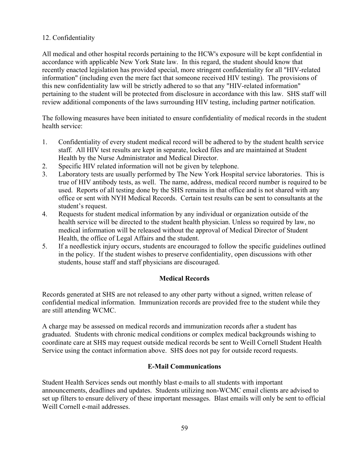#### 12. Confidentiality

All medical and other hospital records pertaining to the HCW's exposure will be kept confidential in accordance with applicable New York State law. In this regard, the student should know that recently enacted legislation has provided special, more stringent confidentiality for all "HIV-related information" (including even the mere fact that someone received HIV testing). The provisions of this new confidentiality law will be strictly adhered to so that any "HIV-related information" pertaining to the student will be protected from disclosure in accordance with this law. SHS staff will review additional components of the laws surrounding HIV testing, including partner notification.

The following measures have been initiated to ensure confidentiality of medical records in the student health service:

- 1. Confidentiality of every student medical record will be adhered to by the student health service staff. All HIV test results are kept in separate, locked files and are maintained at Student Health by the Nurse Administrator and Medical Director.
- 2. Specific HIV related information will not be given by telephone.
- 3. Laboratory tests are usually performed by The New York Hospital service laboratories. This is true of HIV antibody tests, as well. The name, address, medical record number is required to be used. Reports of all testing done by the SHS remains in that office and is not shared with any office or sent with NYH Medical Records. Certain test results can be sent to consultants at the student's request.
- 4. Requests for student medical information by any individual or organization outside of the health service will be directed to the student health physician. Unless so required by law, no medical information will be released without the approval of Medical Director of Student Health, the office of Legal Affairs and the student.
- 5. If a needlestick injury occurs, students are encouraged to follow the specific guidelines outlined in the policy. If the student wishes to preserve confidentiality, open discussions with other students, house staff and staff physicians are discouraged.

# **Medical Records**

Records generated at SHS are not released to any other party without a signed, written release of confidential medical information. Immunization records are provided free to the student while they are still attending WCMC.

A charge may be assessed on medical records and immunization records after a student has graduated. Students with chronic medical conditions or complex medical backgrounds wishing to coordinate care at SHS may request outside medical records be sent to Weill Cornell Student Health Service using the contact information above. SHS does not pay for outside record requests.

#### **E-Mail Communications**

Student Health Services sends out monthly blast e-mails to all students with important announcements, deadlines and updates. Students utilizing non-WCMC email clients are advised to set up filters to ensure delivery of these important messages. Blast emails will only be sent to official Weill Cornell e-mail addresses.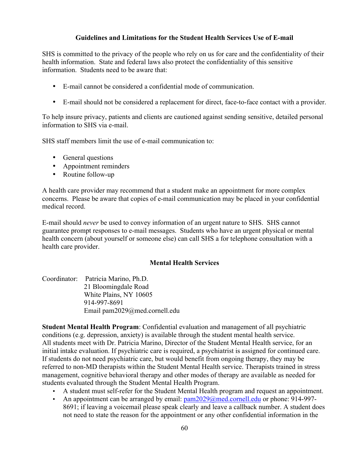#### **Guidelines and Limitations for the Student Health Services Use of E-mail**

SHS is committed to the privacy of the people who rely on us for care and the confidentiality of their health information. State and federal laws also protect the confidentiality of this sensitive information. Students need to be aware that:

- E-mail cannot be considered a confidential mode of communication.
- E-mail should not be considered a replacement for direct, face-to-face contact with a provider.

To help insure privacy, patients and clients are cautioned against sending sensitive, detailed personal information to SHS via e-mail.

SHS staff members limit the use of e-mail communication to:

- General questions
- Appointment reminders
- Routine follow-up

A health care provider may recommend that a student make an appointment for more complex concerns. Please be aware that copies of e-mail communication may be placed in your confidential medical record.

E-mail should *never* be used to convey information of an urgent nature to SHS. SHS cannot guarantee prompt responses to e-mail messages. Students who have an urgent physical or mental health concern (about yourself or someone else) can call SHS a for telephone consultation with a health care provider.

#### **Mental Health Services**

Coordinator: Patricia Marino, Ph.D. 21 Bloomingdale Road White Plains, NY 10605 914-997-8691 Email pam2029@med.cornell.edu

**Student Mental Health Program**: Confidential evaluation and management of all psychiatric conditions (e.g. depression, anxiety) is available through the student mental health service. All students meet with Dr. Patricia Marino, Director of the Student Mental Health service, for an initial intake evaluation. If psychiatric care is required, a psychiatrist is assigned for continued care. If students do not need psychiatric care, but would benefit from ongoing therapy, they may be referred to non-MD therapists within the Student Mental Health service. Therapists trained in stress management, cognitive behavioral therapy and other modes of therapy are available as needed for students evaluated through the Student Mental Health Program.

- A student must self-refer for the Student Mental Health program and request an appointment.
- An appointment can be arranged by email:  $pam2029@med.cornell.edu$  or phone: 914-997-8691; if leaving a voicemail please speak clearly and leave a callback number. A student does not need to state the reason for the appointment or any other confidential information in the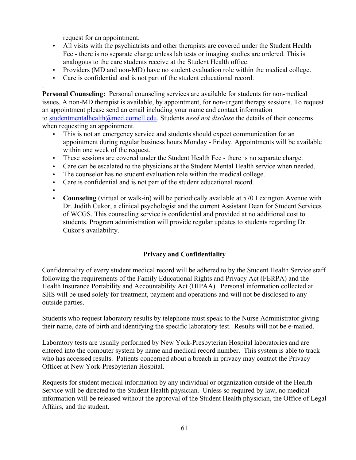request for an appointment.

- All visits with the psychiatrists and other therapists are covered under the Student Health Fee - there is no separate charge unless lab tests or imaging studies are ordered. This is analogous to the care students receive at the Student Health office.
- Providers (MD and non-MD) have no student evaluation role within the medical college.
- Care is confidential and is not part of the student educational record.

**Personal Counseling:** Personal counseling services are available for students for non-medical issues. A non-MD therapist is available, by appointment, for non-urgent therapy sessions. To request an appointment please send an email including your name and contact information to studentmentalhealth@med.cornell.edu. Students *need not disclose* the details of their concerns when requesting an appointment.

- This is not an emergency service and students should expect communication for an appointment during regular business hours Monday - Friday. Appointments will be available within one week of the request.
- These sessions are covered under the Student Health Fee there is no separate charge.
- Care can be escalated to the physicians at the Student Mental Health service when needed.
- The counselor has no student evaluation role within the medical college.
- Care is confidential and is not part of the student educational record.
- •

.

• **Counseling** (virtual or walk-in) will be periodically available at 570 Lexington Avenue with Dr. Judith Cukor, a clinical psychologist and the current Assistant Dean for Student Services of WCGS. This counseling service is confidential and provided at no additional cost to students. Program administration will provide regular updates to students regarding Dr. Cukor's availability.

# **Privacy and Confidentiality**

Confidentiality of every student medical record will be adhered to by the Student Health Service staff following the requirements of the Family Educational Rights and Privacy Act (FERPA) and the Health Insurance Portability and Accountability Act (HIPAA). Personal information collected at SHS will be used solely for treatment, payment and operations and will not be disclosed to any outside parties.

Students who request laboratory results by telephone must speak to the Nurse Administrator giving their name, date of birth and identifying the specific laboratory test. Results will not be e-mailed.

Laboratory tests are usually performed by New York-Presbyterian Hospital laboratories and are entered into the computer system by name and medical record number. This system is able to track who has accessed results. Patients concerned about a breach in privacy may contact the Privacy Officer at New York-Presbyterian Hospital.

Requests for student medical information by any individual or organization outside of the Health Service will be directed to the Student Health physician. Unless so required by law, no medical information will be released without the approval of the Student Health physician, the Office of Legal Affairs, and the student.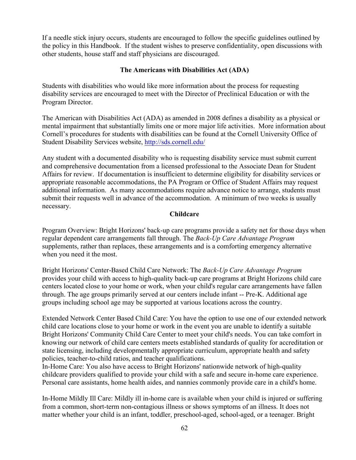If a needle stick injury occurs, students are encouraged to follow the specific guidelines outlined by the policy in this Handbook. If the student wishes to preserve confidentiality, open discussions with other students, house staff and staff physicians are discouraged.

#### **The Americans with Disabilities Act (ADA)**

Students with disabilities who would like more information about the process for requesting disability services are encouraged to meet with the Director of Preclinical Education or with the Program Director.

The American with Disabilities Act (ADA) as amended in 2008 defines a disability as a physical or mental impairment that substantially limits one or more major life activities. More information about Cornell's procedures for students with disabilities can be found at the Cornell University Office of Student Disability Services website, http://sds.cornell.edu/

Any student with a documented disability who is requesting disability service must submit current and comprehensive documentation from a licensed professional to the Associate Dean for Student Affairs for review. If documentation is insufficient to determine eligibility for disability services or appropriate reasonable accommodations, the PA Program or Office of Student Affairs may request additional information. As many accommodations require advance notice to arrange, students must submit their requests well in advance of the accommodation. A minimum of two weeks is usually necessary.

#### **Childcare**

Program Overview: Bright Horizons' back-up care programs provide a safety net for those days when regular dependent care arrangements fall through. The *Back-Up Care Advantage Program* supplements, rather than replaces, these arrangements and is a comforting emergency alternative when you need it the most.

Bright Horizons' Center-Based Child Care Network: The *Back-Up Care Advantage Program* provides your child with access to high-quality back-up care programs at Bright Horizons child care centers located close to your home or work, when your child's regular care arrangements have fallen through. The age groups primarily served at our centers include infant -- Pre-K. Additional age groups including school age may be supported at various locations across the country.

Extended Network Center Based Child Care: You have the option to use one of our extended network child care locations close to your home or work in the event you are unable to identify a suitable Bright Horizons' Community Child Care Center to meet your child's needs. You can take comfort in knowing our network of child care centers meets established standards of quality for accreditation or state licensing, including developmentally appropriate curriculum, appropriate health and safety policies, teacher-to-child ratios, and teacher qualifications.

In-Home Care: You also have access to Bright Horizons' nationwide network of high-quality childcare providers qualified to provide your child with a safe and secure in-home care experience. Personal care assistants, home health aides, and nannies commonly provide care in a child's home.

In-Home Mildly Ill Care: Mildly ill in-home care is available when your child is injured or suffering from a common, short-term non-contagious illness or shows symptoms of an illness. It does not matter whether your child is an infant, toddler, preschool-aged, school-aged, or a teenager. Bright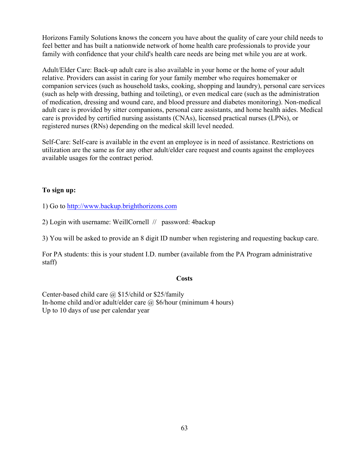Horizons Family Solutions knows the concern you have about the quality of care your child needs to feel better and has built a nationwide network of home health care professionals to provide your family with confidence that your child's health care needs are being met while you are at work.

Adult/Elder Care: Back-up adult care is also available in your home or the home of your adult relative. Providers can assist in caring for your family member who requires homemaker or companion services (such as household tasks, cooking, shopping and laundry), personal care services (such as help with dressing, bathing and toileting), or even medical care (such as the administration of medication, dressing and wound care, and blood pressure and diabetes monitoring). Non-medical adult care is provided by sitter companions, personal care assistants, and home health aides. Medical care is provided by certified nursing assistants (CNAs), licensed practical nurses (LPNs), or registered nurses (RNs) depending on the medical skill level needed.

Self-Care: Self-care is available in the event an employee is in need of assistance. Restrictions on utilization are the same as for any other adult/elder care request and counts against the employees available usages for the contract period.

#### **To sign up:**

1) Go to http://www.backup.brighthorizons.com

2) Login with username: WeillCornell // password: 4backup

3) You will be asked to provide an 8 digit ID number when registering and requesting backup care.

For PA students: this is your student I.D. number (available from the PA Program administrative staff)

#### **Costs**

Center-based child care  $\omega$  \$15/child or \$25/family In-home child and/or adult/elder care  $\omega$  \$6/hour (minimum 4 hours) Up to 10 days of use per calendar year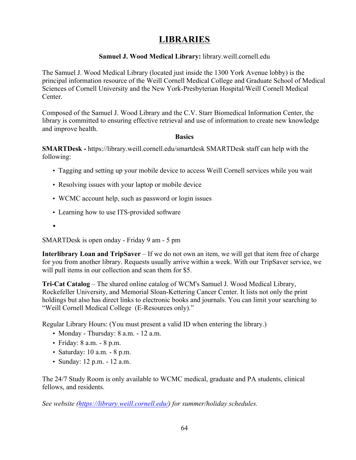# **LIBRARIES**

#### **Samuel J. Wood Medical Library:** library.weill.cornell.edu

The Samuel J. Wood Medical Library (located just inside the 1300 York Avenue lobby) is the principal information resource of the Weill Cornell Medical College and Graduate School of Medical Sciences of Cornell University and the New York-Presbyterian Hospital/Weill Cornell Medical Center.

Composed of the Samuel J. Wood Library and the C.V. Starr Biomedical Information Center, the library is committed to ensuring effective retrieval and use of information to create new knowledge and improve health.

#### **Basics**

**SMARTDesk -** https://library.weill.cornell.edu/smartdesk SMARTDesk staff can help with the following:

- Tagging and setting up your mobile device to access Weill Cornell services while you wait
- Resolving issues with your laptop or mobile device
- WCMC account help, such as password or login issues
- Learning how to use ITS-provided software
- •

SMARTDesk is open onday - Friday 9 am - 5 pm

**Interlibrary Loan and TripSaver** – If we do not own an item, we will get that item free of charge for you from another library. Requests usually arrive within a week. With our TripSaver service, we will pull items in our collection and scan them for \$5.

**Tri-Cat Catalog** – The shared online catalog of WCM's Samuel J. Wood Medical Library, Rockefeller University, and Memorial Sloan-Kettering Cancer Center. It lists not only the print holdings but also has direct links to electronic books and journals. You can limit your searching to "Weill Cornell Medical College (E-Resources only)."

Regular Library Hours: (You must present a valid ID when entering the library.)

- Monday Thursday: 8 a.m. 12 a.m.
- Friday: 8 a.m. 8 p.m.
- Saturday: 10 a.m. 8 p.m.
- Sunday: 12 p.m. 12 a.m.

The 24/7 Study Room is only available to WCMC medical, graduate and PA students, clinical fellows, and residents.

*See website (https://library.weill.cornell.edu/) for summer/holiday schedules.*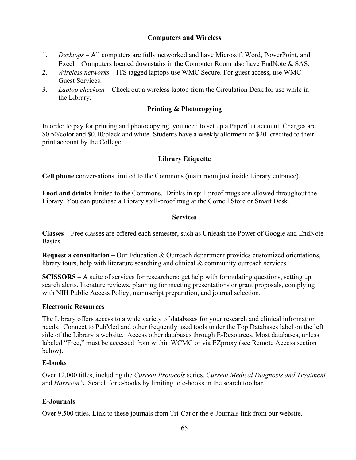#### **Computers and Wireless**

- 1. *Desktops* All computers are fully networked and have Microsoft Word, PowerPoint, and Excel. Computers located downstairs in the Computer Room also have EndNote & SAS.
- 2. *Wireless networks*  ITS tagged laptops use WMC Secure. For guest access, use WMC Guest Services.
- 3. *Laptop checkout* Check out a wireless laptop from the Circulation Desk for use while in the Library.

#### **Printing & Photocopying**

In order to pay for printing and photocopying, you need to set up a PaperCut account. Charges are \$0.50/color and \$0.10/black and white. Students have a weekly allotment of \$20 credited to their print account by the College.

#### **Library Etiquette**

**Cell phone** conversations limited to the Commons (main room just inside Library entrance).

**Food and drinks** limited to the Commons. Drinks in spill-proof mugs are allowed throughout the Library. You can purchase a Library spill-proof mug at the Cornell Store or Smart Desk.

#### **Services**

**Classes** – Free classes are offered each semester, such as Unleash the Power of Google and EndNote **Basics** 

**Request a consultation** – Our Education & Outreach department provides customized orientations, library tours, help with literature searching and clinical & community outreach services.

**SCISSORS** – A suite of services for researchers: get help with formulating questions, setting up search alerts, literature reviews, planning for meeting presentations or grant proposals, complying with NIH Public Access Policy, manuscript preparation, and journal selection.

#### **Electronic Resources**

The Library offers access to a wide variety of databases for your research and clinical information needs. Connect to PubMed and other frequently used tools under the Top Databases label on the left side of the Library's website. Access other databases through E-Resources. Most databases, unless labeled "Free," must be accessed from within WCMC or via EZproxy (see Remote Access section below).

#### **E-books**

Over 12,000 titles, including the *Current Protocols* series, *Current Medical Diagnosis and Treatment* and *Harrison's*. Search for e-books by limiting to e-books in the search toolbar.

#### **E-Journals**

Over 9,500 titles. Link to these journals from Tri-Cat or the e-Journals link from our website.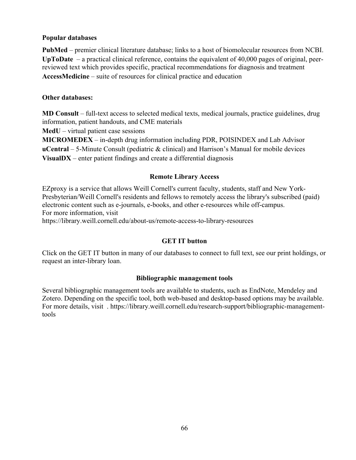#### **Popular databases**

**PubMed** – premier clinical literature database; links to a host of biomolecular resources from NCBI. **UpToDate** – a practical clinical reference, contains the equivalent of 40,000 pages of original, peerreviewed text which provides specific, practical recommendations for diagnosis and treatment **AccessMedicine** – suite of resources for clinical practice and education

#### **Other databases:**

**MD Consult** – full-text access to selected medical texts, medical journals, practice guidelines, drug information, patient handouts, and CME materials

**MedU** – virtual patient case sessions

**MICROMEDEX** – in-depth drug information including PDR, POISINDEX and Lab Advisor **uCentral** – 5-Minute Consult (pediatric & clinical) and Harrison's Manual for mobile devices **VisualDX** – enter patient findings and create a differential diagnosis

#### **Remote Library Access**

EZproxy is a service that allows Weill Cornell's current faculty, students, staff and New York-Presbyterian/Weill Cornell's residents and fellows to remotely access the library's subscribed (paid) electronic content such as e-journals, e-books, and other e-resources while off-campus. For more information, visit

https://library.weill.cornell.edu/about-us/remote-access-to-library-resources

#### **GET IT button**

Click on the GET IT button in many of our databases to connect to full text, see our print holdings, or request an inter-library loan.

#### **Bibliographic management tools**

Several bibliographic management tools are available to students, such as EndNote, Mendeley and Zotero. Depending on the specific tool, both web-based and desktop-based options may be available. For more details, visit . https://library.weill.cornell.edu/research-support/bibliographic-managementtools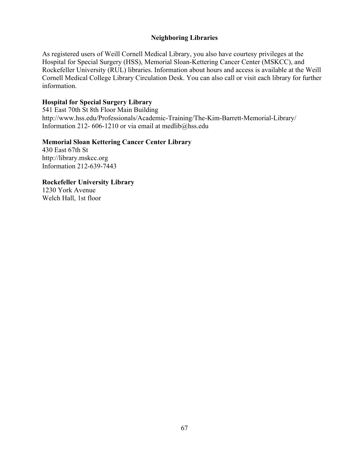#### **Neighboring Libraries**

As registered users of Weill Cornell Medical Library, you also have courtesy privileges at the Hospital for Special Surgery (HSS), Memorial Sloan-Kettering Cancer Center (MSKCC), and Rockefeller University (RUL) libraries. Information about hours and access is available at the Weill Cornell Medical College Library Circulation Desk. You can also call or visit each library for further information.

#### **Hospital for Special Surgery Library**

541 East 70th St 8th Floor Main Building http://www.hss.edu/Professionals/Academic-Training/The-Kim-Barrett-Memorial-Library/ Information 212- 606-1210 or via email at medlib@hss.edu

#### **Memorial Sloan Kettering Cancer Center Library**

430 East 67th St http://library.mskcc.org Information 212-639-7443

**Rockefeller University Library** 

1230 York Avenue Welch Hall, 1st floor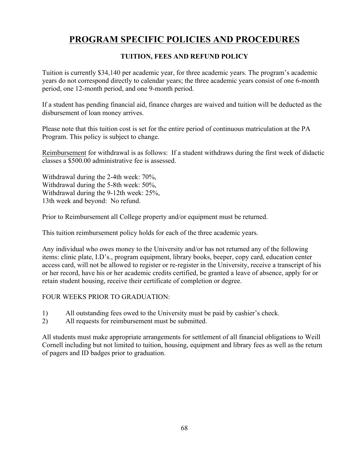# **PROGRAM SPECIFIC POLICIES AND PROCEDURES**

#### **TUITION, FEES AND REFUND POLICY**

Tuition is currently \$34,140 per academic year, for three academic years. The program's academic years do not correspond directly to calendar years; the three academic years consist of one 6-month period, one 12-month period, and one 9-month period.

If a student has pending financial aid, finance charges are waived and tuition will be deducted as the disbursement of loan money arrives.

Please note that this tuition cost is set for the entire period of continuous matriculation at the PA Program. This policy is subject to change.

Reimbursement for withdrawal is as follows: If a student withdraws during the first week of didactic classes a \$500.00 administrative fee is assessed.

Withdrawal during the 2-4th week: 70%, Withdrawal during the 5-8th week: 50%, Withdrawal during the 9-12th week: 25%, 13th week and beyond: No refund.

Prior to Reimbursement all College property and/or equipment must be returned.

This tuition reimbursement policy holds for each of the three academic years.

Any individual who owes money to the University and/or has not returned any of the following items: clinic plate, I.D's., program equipment, library books, beeper, copy card, education center access card, will not be allowed to register or re-register in the University, receive a transcript of his or her record, have his or her academic credits certified, be granted a leave of absence, apply for or retain student housing, receive their certificate of completion or degree.

#### FOUR WEEKS PRIOR TO GRADUATION:

- 1) All outstanding fees owed to the University must be paid by cashier's check.
- 2) All requests for reimbursement must be submitted.

All students must make appropriate arrangements for settlement of all financial obligations to Weill Cornell including but not limited to tuition, housing, equipment and library fees as well as the return of pagers and ID badges prior to graduation.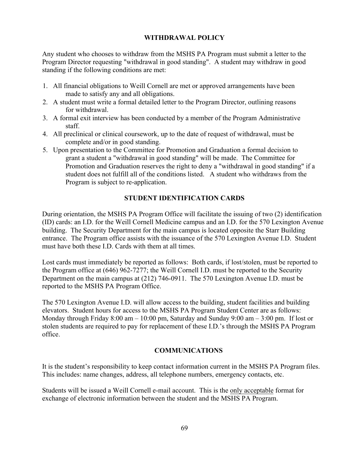#### **WITHDRAWAL POLICY**

Any student who chooses to withdraw from the MSHS PA Program must submit a letter to the Program Director requesting "withdrawal in good standing". A student may withdraw in good standing if the following conditions are met:

- 1. All financial obligations to Weill Cornell are met or approved arrangements have been made to satisfy any and all obligations.
- 2. A student must write a formal detailed letter to the Program Director, outlining reasons for withdrawal.
- 3. A formal exit interview has been conducted by a member of the Program Administrative staff.
- 4. All preclinical or clinical coursework, up to the date of request of withdrawal, must be complete and/or in good standing.
- 5. Upon presentation to the Committee for Promotion and Graduation a formal decision to grant a student a "withdrawal in good standing" will be made. The Committee for Promotion and Graduation reserves the right to deny a "withdrawal in good standing" if a student does not fulfill all of the conditions listed. A student who withdraws from the Program is subject to re-application.

#### **STUDENT IDENTIFICATION CARDS**

During orientation, the MSHS PA Program Office will facilitate the issuing of two (2) identification (ID) cards: an I.D. for the Weill Cornell Medicine campus and an I.D. for the 570 Lexington Avenue building. The Security Department for the main campus is located opposite the Starr Building entrance. The Program office assists with the issuance of the 570 Lexington Avenue I.D. Student must have both these I.D. Cards with them at all times.

Lost cards must immediately be reported as follows: Both cards, if lost/stolen, must be reported to the Program office at (646) 962-7277; the Weill Cornell I.D. must be reported to the Security Department on the main campus at (212) 746-0911. The 570 Lexington Avenue I.D. must be reported to the MSHS PA Program Office.

The 570 Lexington Avenue I.D. will allow access to the building, student facilities and building elevators. Student hours for access to the MSHS PA Program Student Center are as follows: Monday through Friday 8:00 am – 10:00 pm, Saturday and Sunday 9:00 am – 3:00 pm. If lost or stolen students are required to pay for replacement of these I.D.'s through the MSHS PA Program office.

#### **COMMUNICATIONS**

It is the student's responsibility to keep contact information current in the MSHS PA Program files. This includes: name changes, address, all telephone numbers, emergency contacts, etc.

Students will be issued a Weill Cornell e-mail account. This is the only acceptable format for exchange of electronic information between the student and the MSHS PA Program.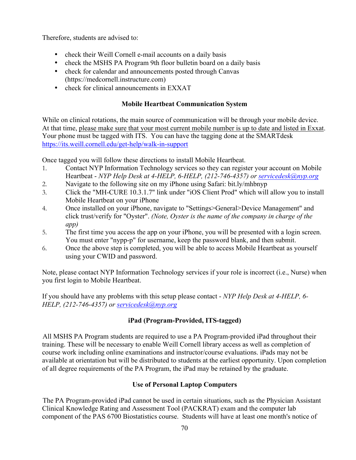Therefore, students are advised to:

- check their Weill Cornell e-mail accounts on a daily basis
- check the MSHS PA Program 9th floor bulletin board on a daily basis
- check for calendar and announcements posted through Canvas (https://medcornell.instructure.com)
- check for clinical announcements in EXXAT

# **Mobile Heartbeat Communication System**

While on clinical rotations, the main source of communication will be through your mobile device. At that time, please make sure that your most current mobile number is up to date and listed in Exxat. Your phone must be tagged with ITS. You can have the tagging done at the SMARTdesk https://its.weill.cornell.edu/get-help/walk-in-support

Once tagged you will follow these directions to install Mobile Heartbeat.

- 1. Contact NYP Information Technology services so they can register your account on Mobile Heartbeat - *NYP Help Desk at 4-HELP, 6-HELP, (212-746-4357) or servicedesk@nyp.org*
- 2. Navigate to the following site on my iPhone using Safari: bit.ly/mhbnyp
- 3. Click the "MH-CURE 10.3.1.7" link under "iOS Client Prod" which will allow you to install Mobile Heartbeat on your iPhone
- 4. Once installed on your iPhone, navigate to "Settings>General>Device Management" and click trust/verify for "Oyster". *(Note, Oyster is the name of the company in charge of the app)*
- 5. The first time you access the app on your iPhone, you will be presented with a login screen. You must enter "nypp-p" for username, keep the password blank, and then submit.
- 6. Once the above step is completed, you will be able to access Mobile Heartbeat as yourself using your CWID and password.

Note, please contact NYP Information Technology services if your role is incorrect (i.e., Nurse) when you first login to Mobile Heartbeat.

If you should have any problems with this setup please contact - *NYP Help Desk at 4-HELP, 6- HELP, (212-746-4357) or servicedesk@nyp.org*

# **iPad (Program-Provided, ITS-tagged)**

All MSHS PA Program students are required to use a PA Program-provided iPad throughout their training. These will be necessary to enable Weill Cornell library access as well as completion of course work including online examinations and instructor/course evaluations. iPads may not be available at orientation but will be distributed to students at the earliest opportunity. Upon completion of all degree requirements of the PA Program, the iPad may be retained by the graduate.

# **Use of Personal Laptop Computers**

The PA Program-provided iPad cannot be used in certain situations, such as the Physician Assistant Clinical Knowledge Rating and Assessment Tool (PACKRAT) exam and the computer lab component of the PAS 6700 Biostatistics course. Students will have at least one month's notice of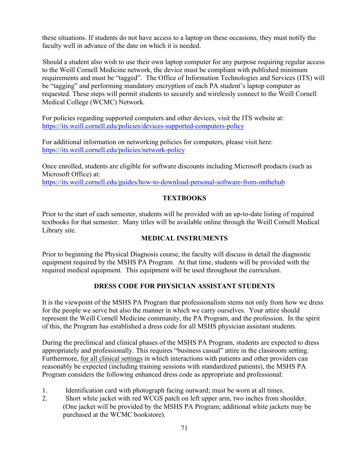these situations. If students do not have access to a laptop on these occasions, they must notify the faculty well in advance of the date on which it is needed.

Should a student also wish to use their own laptop computer for any purpose requiring regular access to the Weill Cornell Medicine network, the device must be compliant with published minimum requirements and must be "tagged". The Office of Information Technologies and Services (ITS) will be "tagging" and performing mandatory encryption of each PA student's laptop computer as requested. These steps will permit students to securely and wirelessly connect to the Weill Cornell Medical College (WCMC) Network.

For policies regarding supported computers and other devices, visit the ITS website at: https://its.weill.cornell.edu/policies/devices-supported-computers-policy

For additional information on networking policies for computers, please visit here: https://its.weill.cornell.edu/policies/network-policy

Once enrolled, students are eligible for software discounts including Microsoft products (such as Microsoft Office) at:

https://its.weill.cornell.edu/guides/how-to-download-personal-software-from-onthehub

# **TEXTBOOKS**

Prior to the start of each semester, students will be provided with an up-to-date listing of required textbooks for that semester. Many titles will be available online through the Weill Cornell Medical Library site.

#### **MEDICAL INSTRUMENTS**

Prior to beginning the Physical Diagnosis course, the faculty will discuss in detail the diagnostic equipment required by the MSHS PA Program. At that time, students will be provided with the required medical equipment. This equipment will be used throughout the curriculum.

# **DRESS CODE FOR PHYSICIAN ASSISTANT STUDENTS**

It is the viewpoint of the MSHS PA Program that professionalism stems not only from how we dress for the people we serve but also the manner in which we carry ourselves. Your attire should represent the Weill Cornell Medicine community, the PA Program, and the profession. In the spirit of this, the Program has established a dress code for all MSHS physician assistant students.

During the preclinical and clinical phases of the MSHS PA Program, students are expected to dress appropriately and professionally. This requires "business casual" attire in the classroom setting. Furthermore, for all clinical settings in which interactions with patients and other providers can reasonably be expected (including training sessions with standardized patients), the MSHS PA Program considers the following enhanced dress code as appropriate and professional:

- 1. Identification card with photograph facing outward; must be worn at all times.
- 2. Short white jacket with red WCGS patch on left upper arm, two inches from shoulder. (One jacket will be provided by the MSHS PA Program; additional white jackets may be purchased at the WCMC bookstore).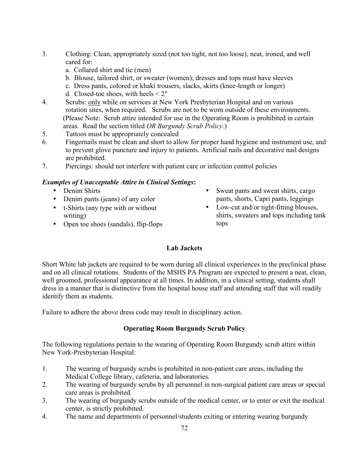- 3. Clothing: Clean, appropriately sized (not too tight, not too loose), neat, ironed, and well cared for:
	- a. Collared shirt and tie (men)
	- b. Blouse, tailored shirt, or sweater (women); dresses and tops must have sleeves
	- c. Dress pants, colored or khaki trousers, slacks, skirts (knee-length or longer)
	- d. Closed-toe shoes, with heels < 2"
- 4. Scrubs: only while on services at New York Presbyterian Hospital and on various rotation sites, when required. Scrubs are not to be worn outside of these environments. (Please Note: Scrub attire intended for use in the Operating Room is prohibited in certain areas. Read the section titled *OR Burgundy Scrub Policy*.)
- 5. Tattoos must be appropriately concealed
- 6. Fingernails must be clean and short to allow for proper hand hygiene and instrument use, and to prevent glove puncture and injury to patients. Artificial nails and decorative nail designs are prohibited.
- 7. Piercings: should not interfere with patient care or infection control policies

#### *Examples of Unacceptable Attire in Clinical Settings***:**

- Denim Shirts
- Denim pants (jeans) of any color
- t-Shirts (any type with or without writing)
- Open toe shoes (sandals), flip-flops
- Sweat pants and sweat shirts, cargo pants, shorts, Capri pants, leggings
- Low-cut and/or tight-fitting blouses, shirts, sweaters and tops including tank tops

# **Lab Jackets**

Short White lab jackets are required to be worn during all clinical experiences in the preclinical phase and on all clinical rotations. Students of the MSHS PA Program are expected to present a neat, clean, well groomed, professional appearance at all times. In addition, in a clinical setting, students shall dress in a manner that is distinctive from the hospital house staff and attending staff that will readily identify them as students.

Failure to adhere the above dress code may result in disciplinary action.

# **Operating Room Burgundy Scrub Policy**

The following regulations pertain to the wearing of Operating Room Burgundy scrub attire within New York-Presbyterian Hospital:

- 1. The wearing of burgundy scrubs is prohibited in non-patient care areas, including the Medical College library, cafeteria, and laboratories.
- 2. The wearing of burgundy scrubs by all personnel in non-surgical patient care areas or special care areas is prohibited.
- 3. The wearing of burgundy scrubs outside of the medical center, or to enter or exit the medical center, is strictly prohibited.
- 4. The name and departments of personnel/students exiting or entering wearing burgundy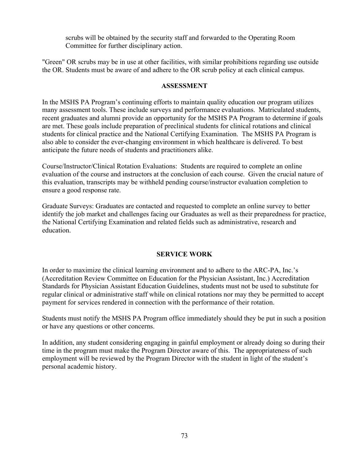scrubs will be obtained by the security staff and forwarded to the Operating Room Committee for further disciplinary action.

"Green" OR scrubs may be in use at other facilities, with similar prohibitions regarding use outside the OR. Students must be aware of and adhere to the OR scrub policy at each clinical campus.

#### **ASSESSMENT**

In the MSHS PA Program's continuing efforts to maintain quality education our program utilizes many assessment tools. These include surveys and performance evaluations. Matriculated students, recent graduates and alumni provide an opportunity for the MSHS PA Program to determine if goals are met. These goals include preparation of preclinical students for clinical rotations and clinical students for clinical practice and the National Certifying Examination. The MSHS PA Program is also able to consider the ever-changing environment in which healthcare is delivered. To best anticipate the future needs of students and practitioners alike.

Course/Instructor/Clinical Rotation Evaluations: Students are required to complete an online evaluation of the course and instructors at the conclusion of each course. Given the crucial nature of this evaluation, transcripts may be withheld pending course/instructor evaluation completion to ensure a good response rate.

Graduate Surveys: Graduates are contacted and requested to complete an online survey to better identify the job market and challenges facing our Graduates as well as their preparedness for practice, the National Certifying Examination and related fields such as administrative, research and education.

# **SERVICE WORK**

In order to maximize the clinical learning environment and to adhere to the ARC-PA, Inc.'s (Accreditation Review Committee on Education for the Physician Assistant, Inc.) Accreditation Standards for Physician Assistant Education Guidelines, students must not be used to substitute for regular clinical or administrative staff while on clinical rotations nor may they be permitted to accept payment for services rendered in connection with the performance of their rotation.

Students must notify the MSHS PA Program office immediately should they be put in such a position or have any questions or other concerns.

In addition, any student considering engaging in gainful employment or already doing so during their time in the program must make the Program Director aware of this. The appropriateness of such employment will be reviewed by the Program Director with the student in light of the student's personal academic history.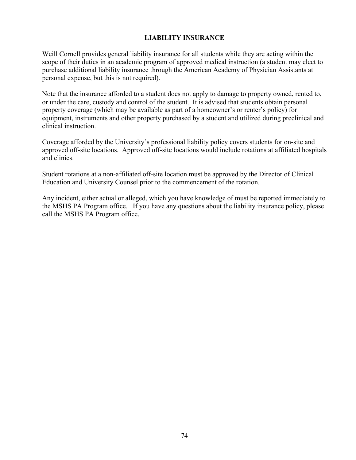# **LIABILITY INSURANCE**

Weill Cornell provides general liability insurance for all students while they are acting within the scope of their duties in an academic program of approved medical instruction (a student may elect to purchase additional liability insurance through the American Academy of Physician Assistants at personal expense, but this is not required).

Note that the insurance afforded to a student does not apply to damage to property owned, rented to, or under the care, custody and control of the student. It is advised that students obtain personal property coverage (which may be available as part of a homeowner's or renter's policy) for equipment, instruments and other property purchased by a student and utilized during preclinical and clinical instruction.

Coverage afforded by the University's professional liability policy covers students for on-site and approved off-site locations. Approved off-site locations would include rotations at affiliated hospitals and clinics.

Student rotations at a non-affiliated off-site location must be approved by the Director of Clinical Education and University Counsel prior to the commencement of the rotation.

Any incident, either actual or alleged, which you have knowledge of must be reported immediately to the MSHS PA Program office. If you have any questions about the liability insurance policy, please call the MSHS PA Program office.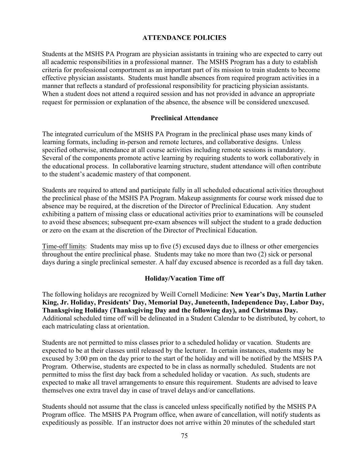#### **ATTENDANCE POLICIES**

Students at the MSHS PA Program are physician assistants in training who are expected to carry out all academic responsibilities in a professional manner. The MSHS Program has a duty to establish criteria for professional comportment as an important part of its mission to train students to become effective physician assistants. Students must handle absences from required program activities in a manner that reflects a standard of professional responsibility for practicing physician assistants. When a student does not attend a required session and has not provided in advance an appropriate request for permission or explanation of the absence, the absence will be considered unexcused.

#### **Preclinical Attendance**

The integrated curriculum of the MSHS PA Program in the preclinical phase uses many kinds of learning formats, including in-person and remote lectures, and collaborative designs. Unless specified otherwise, attendance at all course activities including remote sessions is mandatory. Several of the components promote active learning by requiring students to work collaboratively in the educational process. In collaborative learning structure, student attendance will often contribute to the student's academic mastery of that component.

Students are required to attend and participate fully in all scheduled educational activities throughout the preclinical phase of the MSHS PA Program. Makeup assignments for course work missed due to absence may be required, at the discretion of the Director of Preclinical Education. Any student exhibiting a pattern of missing class or educational activities prior to examinations will be counseled to avoid these absences; subsequent pre-exam absences will subject the student to a grade deduction or zero on the exam at the discretion of the Director of Preclinical Education.

Time-off limits: Students may miss up to five (5) excused days due to illness or other emergencies throughout the entire preclinical phase. Students may take no more than two (2) sick or personal days during a single preclinical semester. A half day excused absence is recorded as a full day taken.

# **Holiday/Vacation Time off**

The following holidays are recognized by Weill Cornell Medicine: **New Year's Day, Martin Luther King, Jr. Holiday, Presidents' Day, Memorial Day, Juneteenth, Independence Day, Labor Day, Thanksgiving Holiday (Thanksgiving Day and the following day), and Christmas Day.** Additional scheduled time off will be delineated in a Student Calendar to be distributed, by cohort, to each matriculating class at orientation.

Students are not permitted to miss classes prior to a scheduled holiday or vacation. Students are expected to be at their classes until released by the lecturer. In certain instances, students may be excused by 3:00 pm on the day prior to the start of the holiday and will be notified by the MSHS PA Program. Otherwise, students are expected to be in class as normally scheduled. Students are not permitted to miss the first day back from a scheduled holiday or vacation. As such, students are expected to make all travel arrangements to ensure this requirement. Students are advised to leave themselves one extra travel day in case of travel delays and/or cancellations.

Students should not assume that the class is canceled unless specifically notified by the MSHS PA Program office. The MSHS PA Program office, when aware of cancellation, will notify students as expeditiously as possible. If an instructor does not arrive within 20 minutes of the scheduled start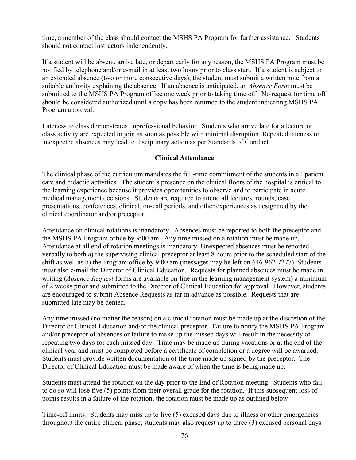time, a member of the class should contact the MSHS PA Program for further assistance. Students should not contact instructors independently.

If a student will be absent, arrive late, or depart early for any reason, the MSHS PA Program must be notified by telephone and/or e-mail in at least two hours prior to class start. If a student is subject to an extended absence (two or more consecutive days), the student must submit a written note from a suitable authority explaining the absence. If an absence is anticipated, an *Absence Form* must be submitted to the MSHS PA Program office one week prior to taking time off. No request for time off should be considered authorized until a copy has been returned to the student indicating MSHS PA Program approval.

Lateness to class demonstrates unprofessional behavior. Students who arrive late for a lecture or class activity are expected to join as soon as possible with minimal disruption. Repeated lateness or unexpected absences may lead to disciplinary action as per Standards of Conduct.

# **Clinical Attendance**

The clinical phase of the curriculum mandates the full-time commitment of the students in all patient care and didactic activities. The student's presence on the clinical floors of the hospital is critical to the learning experience because it provides opportunities to observe and to participate in acute medical management decisions. Students are required to attend all lectures, rounds, case presentations, conferences, clinical, on-call periods, and other experiences as designated by the clinical coordinator and/or preceptor.

Attendance on clinical rotations is mandatory. Absences must be reported to both the preceptor and the MSHS PA Program office by 9:00 am. Any time missed on a rotation must be made up. Attendance at all end of rotation meetings is mandatory. Unexpected absences must be reported verbally to both a) the supervising clinical preceptor at least 8 hours prior to the scheduled start of the shift as well as b) the Program office by 9:00 am (messages may be left on 646-962-7277). Students must also e-mail the Director of Clinical Education. Requests for planned absences must be made in writing (*Absence Request* forms are available on-line in the learning management system) a minimum of 2 weeks prior and submitted to the Director of Clinical Education for approval. However, students are encouraged to submit Absence Requests as far in advance as possible. Requests that are submitted late may be denied.

Any time missed (no matter the reason) on a clinical rotation must be made up at the discretion of the Director of Clinical Education and/or the clinical preceptor. Failure to notify the MSHS PA Program and/or preceptor of absences or failure to make up the missed days will result in the necessity of repeating two days for each missed day. Time may be made up during vacations or at the end of the clinical year and must be completed before a certificate of completion or a degree will be awarded. Students must provide written documentation of the time made up signed by the preceptor. The Director of Clinical Education must be made aware of when the time is being made up.

Students must attend the rotation on the day prior to the End of Rotation meeting. Students who fail to do so will lose five (5) points from their overall grade for the rotation. If this subsequent loss of points results in a failure of the rotation, the rotation must be made up as outlined below

Time-off limits: Students may miss up to five (5) excused days due to illness or other emergencies throughout the entire clinical phase; students may also request up to three (3) excused personal days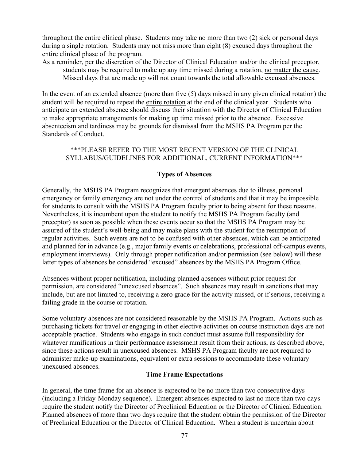throughout the entire clinical phase. Students may take no more than two (2) sick or personal days during a single rotation. Students may not miss more than eight (8) excused days throughout the entire clinical phase of the program.

As a reminder, per the discretion of the Director of Clinical Education and/or the clinical preceptor, students may be required to make up any time missed during a rotation, no matter the cause. Missed days that are made up will not count towards the total allowable excused absences.

In the event of an extended absence (more than five (5) days missed in any given clinical rotation) the student will be required to repeat the entire rotation at the end of the clinical year. Students who anticipate an extended absence should discuss their situation with the Director of Clinical Education to make appropriate arrangements for making up time missed prior to the absence. Excessive absenteeism and tardiness may be grounds for dismissal from the MSHS PA Program per the Standards of Conduct.

# \*\*\*PLEASE REFER TO THE MOST RECENT VERSION OF THE CLINICAL SYLLABUS/GUIDELINES FOR ADDITIONAL, CURRENT INFORMATION\*\*\*

# **Types of Absences**

Generally, the MSHS PA Program recognizes that emergent absences due to illness, personal emergency or family emergency are not under the control of students and that it may be impossible for students to consult with the MSHS PA Program faculty prior to being absent for these reasons. Nevertheless, it is incumbent upon the student to notify the MSHS PA Program faculty (and preceptor) as soon as possible when these events occur so that the MSHS PA Program may be assured of the student's well-being and may make plans with the student for the resumption of regular activities. Such events are not to be confused with other absences, which can be anticipated and planned for in advance (e.g., major family events or celebrations, professional off-campus events, employment interviews). Only through proper notification and/or permission (see below) will these latter types of absences be considered "excused" absences by the MSHS PA Program Office.

Absences without proper notification, including planned absences without prior request for permission, are considered "unexcused absences". Such absences may result in sanctions that may include, but are not limited to, receiving a zero grade for the activity missed, or if serious, receiving a failing grade in the course or rotation.

Some voluntary absences are not considered reasonable by the MSHS PA Program. Actions such as purchasing tickets for travel or engaging in other elective activities on course instruction days are not acceptable practice. Students who engage in such conduct must assume full responsibility for whatever ramifications in their performance assessment result from their actions, as described above, since these actions result in unexcused absences. MSHS PA Program faculty are not required to administer make-up examinations, equivalent or extra sessions to accommodate these voluntary unexcused absences.

# **Time Frame Expectations**

In general, the time frame for an absence is expected to be no more than two consecutive days (including a Friday-Monday sequence). Emergent absences expected to last no more than two days require the student notify the Director of Preclinical Education or the Director of Clinical Education. Planned absences of more than two days require that the student obtain the permission of the Director of Preclinical Education or the Director of Clinical Education. When a student is uncertain about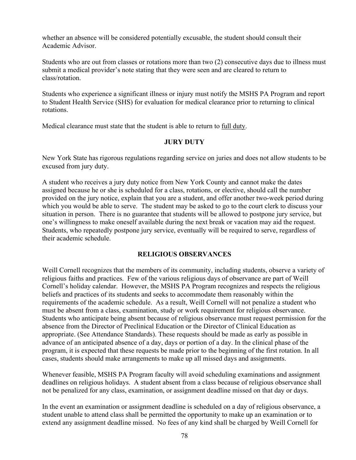whether an absence will be considered potentially excusable, the student should consult their Academic Advisor.

Students who are out from classes or rotations more than two (2) consecutive days due to illness must submit a medical provider's note stating that they were seen and are cleared to return to class/rotation.

Students who experience a significant illness or injury must notify the MSHS PA Program and report to Student Health Service (SHS) for evaluation for medical clearance prior to returning to clinical rotations.

Medical clearance must state that the student is able to return to full duty.

# **JURY DUTY**

New York State has rigorous regulations regarding service on juries and does not allow students to be excused from jury duty.

A student who receives a jury duty notice from New York County and cannot make the dates assigned because he or she is scheduled for a class, rotations, or elective, should call the number provided on the jury notice, explain that you are a student, and offer another two-week period during which you would be able to serve. The student may be asked to go to the court clerk to discuss your situation in person. There is no guarantee that students will be allowed to postpone jury service, but one's willingness to make oneself available during the next break or vacation may aid the request. Students, who repeatedly postpone jury service, eventually will be required to serve, regardless of their academic schedule.

# **RELIGIOUS OBSERVANCES**

Weill Cornell recognizes that the members of its community, including students, observe a variety of religious faiths and practices. Few of the various religious days of observance are part of Weill Cornell's holiday calendar. However, the MSHS PA Program recognizes and respects the religious beliefs and practices of its students and seeks to accommodate them reasonably within the requirements of the academic schedule. As a result, Weill Cornell will not penalize a student who must be absent from a class, examination, study or work requirement for religious observance. Students who anticipate being absent because of religious observance must request permission for the absence from the Director of Preclinical Education or the Director of Clinical Education as appropriate. (See Attendance Standards). These requests should be made as early as possible in advance of an anticipated absence of a day, days or portion of a day. In the clinical phase of the program, it is expected that these requests be made prior to the beginning of the first rotation. In all cases, students should make arrangements to make up all missed days and assignments.

Whenever feasible, MSHS PA Program faculty will avoid scheduling examinations and assignment deadlines on religious holidays. A student absent from a class because of religious observance shall not be penalized for any class, examination, or assignment deadline missed on that day or days.

In the event an examination or assignment deadline is scheduled on a day of religious observance, a student unable to attend class shall be permitted the opportunity to make up an examination or to extend any assignment deadline missed. No fees of any kind shall be charged by Weill Cornell for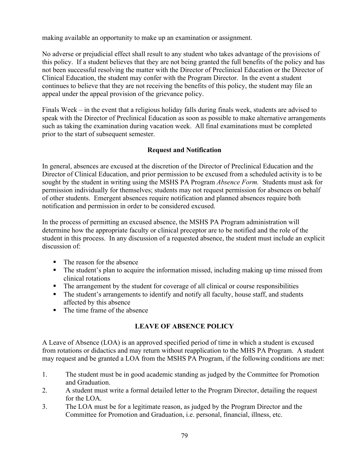making available an opportunity to make up an examination or assignment.

No adverse or prejudicial effect shall result to any student who takes advantage of the provisions of this policy. If a student believes that they are not being granted the full benefits of the policy and has not been successful resolving the matter with the Director of Preclinical Education or the Director of Clinical Education, the student may confer with the Program Director. In the event a student continues to believe that they are not receiving the benefits of this policy, the student may file an appeal under the appeal provision of the grievance policy.

Finals Week – in the event that a religious holiday falls during finals week, students are advised to speak with the Director of Preclinical Education as soon as possible to make alternative arrangements such as taking the examination during vacation week. All final examinations must be completed prior to the start of subsequent semester.

# **Request and Notification**

In general, absences are excused at the discretion of the Director of Preclinical Education and the Director of Clinical Education, and prior permission to be excused from a scheduled activity is to be sought by the student in writing using the MSHS PA Program *Absence Form.* Students must ask for permission individually for themselves; students may not request permission for absences on behalf of other students. Emergent absences require notification and planned absences require both notification and permission in order to be considered excused.

In the process of permitting an excused absence, the MSHS PA Program administration will determine how the appropriate faculty or clinical preceptor are to be notified and the role of the student in this process. In any discussion of a requested absence, the student must include an explicit discussion of:

- The reason for the absence
- The student's plan to acquire the information missed, including making up time missed from clinical rotations
- The arrangement by the student for coverage of all clinical or course responsibilities
- The student's arrangements to identify and notify all faculty, house staff, and students affected by this absence
- The time frame of the absence

# **LEAVE OF ABSENCE POLICY**

A Leave of Absence (LOA) is an approved specified period of time in which a student is excused from rotations or didactics and may return without reapplication to the MHS PA Program. A student may request and be granted a LOA from the MSHS PA Program, if the following conditions are met:

- 1. The student must be in good academic standing as judged by the Committee for Promotion and Graduation.
- 2. A student must write a formal detailed letter to the Program Director, detailing the request for the LOA.
- 3. The LOA must be for a legitimate reason, as judged by the Program Director and the Committee for Promotion and Graduation, i.e. personal, financial, illness, etc.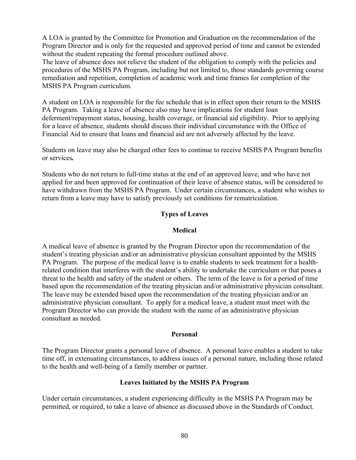A LOA is granted by the Committee for Promotion and Graduation on the recommendation of the Program Director and is only for the requested and approved period of time and cannot be extended without the student repeating the formal procedure outlined above.

The leave of absence does not relieve the student of the obligation to comply with the policies and procedures of the MSHS PA Program, including but not limited to, those standards governing course remediation and repetition, completion of academic work and time frames for completion of the MSHS PA Program curriculum.

A student on LOA is responsible for the fee schedule that is in effect upon their return to the MSHS PA Program. Taking a leave of absence also may have implications for student loan deferment/repayment status, housing, health coverage, or financial aid eligibility. Prior to applying for a leave of absence, students should discuss their individual circumstance with the Office of Financial Aid to ensure that loans and financial aid are not adversely affected by the leave.

Students on leave may also be charged other fees to continue to receive MSHS PA Program benefits or services*.* 

Students who do not return to full-time status at the end of an approved leave, and who have not applied for and been approved for continuation of their leave of absence status, will be considered to have withdrawn from the MSHS PA Program. Under certain circumstances, a student who wishes to return from a leave may have to satisfy previously set conditions for rematriculation.

# **Types of Leaves**

## **Medical**

A medical leave of absence is granted by the Program Director upon the recommendation of the student's treating physician and/or an administrative physician consultant appointed by the MSHS PA Program. The purpose of the medical leave is to enable students to seek treatment for a healthrelated condition that interferes with the student's ability to undertake the curriculum or that poses a threat to the health and safety of the student or others. The term of the leave is for a period of time based upon the recommendation of the treating physician and/or administrative physician consultant. The leave may be extended based upon the recommendation of the treating physician and/or an administrative physician consultant. To apply for a medical leave, a student must meet with the Program Director who can provide the student with the name of an administrative physician consultant as needed.

#### **Personal**

The Program Director grants a personal leave of absence. A personal leave enables a student to take time off, in extenuating circumstances, to address issues of a personal nature, including those related to the health and well-being of a family member or partner.

# **Leaves Initiated by the MSHS PA Program**

Under certain circumstances, a student experiencing difficulty in the MSHS PA Program may be permitted, or required, to take a leave of absence as discussed above in the Standards of Conduct.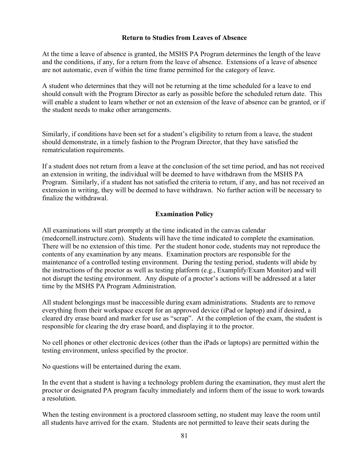## **Return to Studies from Leaves of Absence**

At the time a leave of absence is granted, the MSHS PA Program determines the length of the leave and the conditions, if any, for a return from the leave of absence. Extensions of a leave of absence are not automatic, even if within the time frame permitted for the category of leave.

A student who determines that they will not be returning at the time scheduled for a leave to end should consult with the Program Director as early as possible before the scheduled return date. This will enable a student to learn whether or not an extension of the leave of absence can be granted, or if the student needs to make other arrangements.

Similarly, if conditions have been set for a student's eligibility to return from a leave, the student should demonstrate, in a timely fashion to the Program Director, that they have satisfied the rematriculation requirements.

If a student does not return from a leave at the conclusion of the set time period, and has not received an extension in writing, the individual will be deemed to have withdrawn from the MSHS PA Program. Similarly, if a student has not satisfied the criteria to return, if any, and has not received an extension in writing, they will be deemed to have withdrawn. No further action will be necessary to finalize the withdrawal.

# **Examination Policy**

All examinations will start promptly at the time indicated in the canvas calendar (medcornell.instructure.com). Students will have the time indicated to complete the examination. There will be no extension of this time. Per the student honor code, students may not reproduce the contents of any examination by any means. Examination proctors are responsible for the maintenance of a controlled testing environment. During the testing period, students will abide by the instructions of the proctor as well as testing platform (e.g., Examplify/Exam Monitor) and will not disrupt the testing environment. Any dispute of a proctor's actions will be addressed at a later time by the MSHS PA Program Administration.

All student belongings must be inaccessible during exam administrations. Students are to remove everything from their workspace except for an approved device (iPad or laptop) and if desired, a cleared dry erase board and marker for use as "scrap". At the completion of the exam, the student is responsible for clearing the dry erase board, and displaying it to the proctor.

No cell phones or other electronic devices (other than the iPads or laptops) are permitted within the testing environment, unless specified by the proctor.

No questions will be entertained during the exam.

In the event that a student is having a technology problem during the examination, they must alert the proctor or designated PA program faculty immediately and inform them of the issue to work towards a resolution.

When the testing environment is a proctored classroom setting, no student may leave the room until all students have arrived for the exam. Students are not permitted to leave their seats during the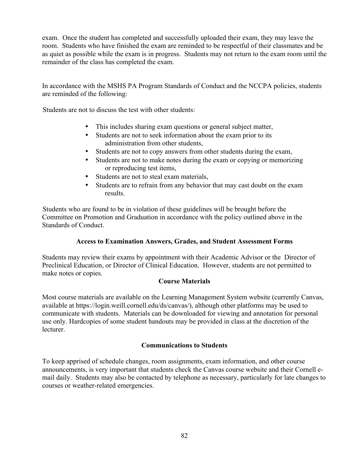exam. Once the student has completed and successfully uploaded their exam, they may leave the room. Students who have finished the exam are reminded to be respectful of their classmates and be as quiet as possible while the exam is in progress. Students may not return to the exam room until the remainder of the class has completed the exam.

In accordance with the MSHS PA Program Standards of Conduct and the NCCPA policies, students are reminded of the following:

Students are not to discuss the test with other students:

- This includes sharing exam questions or general subject matter,
- Students are not to seek information about the exam prior to its administration from other students,
- Students are not to copy answers from other students during the exam,
- Students are not to make notes during the exam or copying or memorizing or reproducing test items,
- Students are not to steal exam materials,
- Students are to refrain from any behavior that may cast doubt on the exam results.

Students who are found to be in violation of these guidelines will be brought before the Committee on Promotion and Graduation in accordance with the policy outlined above in the Standards of Conduct.

# **Access to Examination Answers, Grades, and Student Assessment Forms**

Students may review their exams by appointment with their Academic Advisor or the Director of Preclinical Education, or Director of Clinical Education. However, students are not permitted to make notes or copies.

# **Course Materials**

Most course materials are available on the Learning Management System website (currently Canvas, available at https://login.weill.cornell.edu/ds/canvas/), although other platforms may be used to communicate with students. Materials can be downloaded for viewing and annotation for personal use only. Hardcopies of some student handouts may be provided in class at the discretion of the lecturer.

#### **Communications to Students**

To keep apprised of schedule changes, room assignments, exam information, and other course announcements, is very important that students check the Canvas course website and their Cornell email daily. Students may also be contacted by telephone as necessary, particularly for late changes to courses or weather-related emergencies.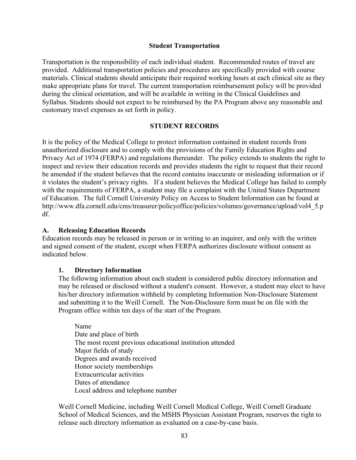#### **Student Transportation**

Transportation is the responsibility of each individual student. Recommended routes of travel are provided. Additional transportation policies and procedures are specifically provided with course materials. Clinical students should anticipate their required working hours at each clinical site as they make appropriate plans for travel. The current transportation reimbursement policy will be provided during the clinical orientation, and will be available in writing in the Clinical Guidelines and Syllabus. Students should not expect to be reimbursed by the PA Program above any reasonable and customary travel expenses as set forth in policy.

#### **STUDENT RECORDS**

It is the policy of the Medical College to protect information contained in student records from unauthorized disclosure and to comply with the provisions of the Family Education Rights and Privacy Act of 1974 (FERPA) and regulations thereunder. The policy extends to students the right to inspect and review their education records and provides students the right to request that their record be amended if the student believes that the record contains inaccurate or misleading information or if it violates the student's privacy rights. If a student believes the Medical College has failed to comply with the requirements of FERPA, a student may file a complaint with the United States Department of Education. The full Cornell University Policy on Access to Student Information can be found at http://www.dfa.cornell.edu/cms/treasurer/policyoffice/policies/volumes/governance/upload/vol4\_5.p df.

#### **A. Releasing Education Records**

Education records may be released in person or in writing to an inquirer, and only with the written and signed consent of the student, except when FERPA authorizes disclosure without consent as indicated below.

#### **1. Directory Information**

The following information about each student is considered public directory information and may be released or disclosed without a student's consent. However, a student may elect to have his/her directory information withheld by completing Information Non-Disclosure Statement and submitting it to the Weill Cornell. The Non-Disclosure form must be on file with the Program office within ten days of the start of the Program.

Name Date and place of birth The most recent previous educational institution attended Major fields of study Degrees and awards received Honor society memberships Extracurricular activities Dates of attendance Local address and telephone number

Weill Cornell Medicine, including Weill Cornell Medical College, Weill Cornell Graduate School of Medical Sciences, and the MSHS Physician Assistant Program, reserves the right to release such directory information as evaluated on a case-by-case basis.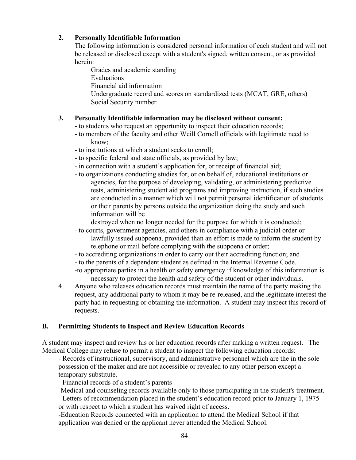# **2. Personally Identifiable Information**

The following information is considered personal information of each student and will not be released or disclosed except with a student's signed, written consent, or as provided herein:

Grades and academic standing Evaluations Financial aid information Undergraduate record and scores on standardized tests (MCAT, GRE, others) Social Security number

# **3. Personally Identifiable information may be disclosed without consent:**

- to students who request an opportunity to inspect their education records;
- to members of the faculty and other Weill Cornell officials with legitimate need to know;
- to institutions at which a student seeks to enroll;
- to specific federal and state officials, as provided by law;
- in connection with a student's application for, or receipt of financial aid;
- to organizations conducting studies for, or on behalf of, educational institutions or agencies, for the purpose of developing, validating, or administering predictive tests, administering student aid programs and improving instruction, if such studies are conducted in a manner which will not permit personal identification of students or their parents by persons outside the organization doing the study and such information will be

destroyed when no longer needed for the purpose for which it is conducted;

- to courts, government agencies, and others in compliance with a judicial order or lawfully issued subpoena, provided than an effort is made to inform the student by telephone or mail before complying with the subpoena or order;
- to accrediting organizations in order to carry out their accrediting function; and
- to the parents of a dependent student as defined in the Internal Revenue Code.
- -to appropriate parties in a health or safety emergency if knowledge of this information is necessary to protect the health and safety of the student or other individuals.
- 4. Anyone who releases education records must maintain the name of the party making the request, any additional party to whom it may be re-released, and the legitimate interest the party had in requesting or obtaining the information. A student may inspect this record of requests.

# **B. Permitting Students to Inspect and Review Education Records**

A student may inspect and review his or her education records after making a written request. The Medical College may refuse to permit a student to inspect the following education records:

- Records of instructional, supervisory, and administrative personnel which are the in the sole possession of the maker and are not accessible or revealed to any other person except a temporary substitute.

- Financial records of a student's parents

-Medical and counseling records available only to those participating in the student's treatment.

- Letters of recommendation placed in the student's education record prior to January 1, 1975 or with respect to which a student has waived right of access.

-Education Records connected with an application to attend the Medical School if that application was denied or the applicant never attended the Medical School.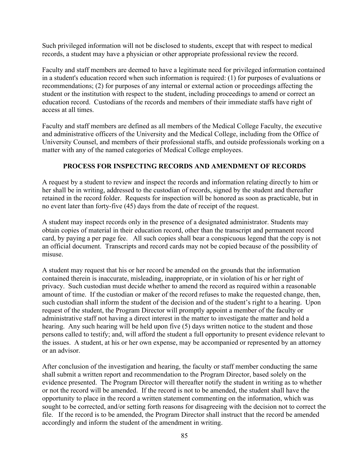Such privileged information will not be disclosed to students, except that with respect to medical records, a student may have a physician or other appropriate professional review the record.

Faculty and staff members are deemed to have a legitimate need for privileged information contained in a student's education record when such information is required: (1) for purposes of evaluations or recommendations; (2) for purposes of any internal or external action or proceedings affecting the student or the institution with respect to the student, including proceedings to amend or correct an education record. Custodians of the records and members of their immediate staffs have right of access at all times.

Faculty and staff members are defined as all members of the Medical College Faculty, the executive and administrative officers of the University and the Medical College, including from the Office of University Counsel, and members of their professional staffs, and outside professionals working on a matter with any of the named categories of Medical College employees.

# **PROCESS FOR INSPECTING RECORDS AND AMENDMENT OF RECORDS**

A request by a student to review and inspect the records and information relating directly to him or her shall be in writing, addressed to the custodian of records, signed by the student and thereafter retained in the record folder. Requests for inspection will be honored as soon as practicable, but in no event later than forty-five (45) days from the date of receipt of the request.

A student may inspect records only in the presence of a designated administrator. Students may obtain copies of material in their education record, other than the transcript and permanent record card, by paying a per page fee. All such copies shall bear a conspicuous legend that the copy is not an official document. Transcripts and record cards may not be copied because of the possibility of misuse.

A student may request that his or her record be amended on the grounds that the information contained therein is inaccurate, misleading, inappropriate, or in violation of his or her right of privacy. Such custodian must decide whether to amend the record as required within a reasonable amount of time. If the custodian or maker of the record refuses to make the requested change, then, such custodian shall inform the student of the decision and of the student's right to a hearing. Upon request of the student, the Program Director will promptly appoint a member of the faculty or administrative staff not having a direct interest in the matter to investigate the matter and hold a hearing. Any such hearing will be held upon five (5) days written notice to the student and those persons called to testify; and, will afford the student a full opportunity to present evidence relevant to the issues. A student, at his or her own expense, may be accompanied or represented by an attorney or an advisor.

After conclusion of the investigation and hearing, the faculty or staff member conducting the same shall submit a written report and recommendation to the Program Director, based solely on the evidence presented. The Program Director will thereafter notify the student in writing as to whether or not the record will be amended. If the record is not to be amended, the student shall have the opportunity to place in the record a written statement commenting on the information, which was sought to be corrected, and/or setting forth reasons for disagreeing with the decision not to correct the file. If the record is to be amended, the Program Director shall instruct that the record be amended accordingly and inform the student of the amendment in writing.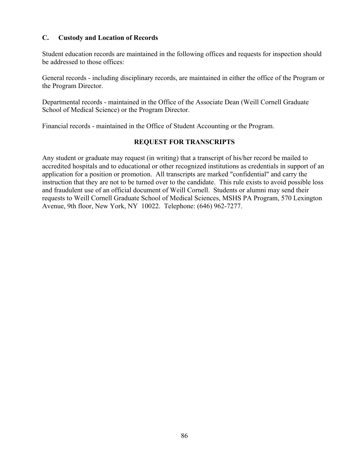## **C. Custody and Location of Records**

Student education records are maintained in the following offices and requests for inspection should be addressed to those offices:

General records - including disciplinary records, are maintained in either the office of the Program or the Program Director.

Departmental records - maintained in the Office of the Associate Dean (Weill Cornell Graduate School of Medical Science) or the Program Director.

Financial records - maintained in the Office of Student Accounting or the Program.

#### **REQUEST FOR TRANSCRIPTS**

Any student or graduate may request (in writing) that a transcript of his/her record be mailed to accredited hospitals and to educational or other recognized institutions as credentials in support of an application for a position or promotion. All transcripts are marked "confidential" and carry the instruction that they are not to be turned over to the candidate. This rule exists to avoid possible loss and fraudulent use of an official document of Weill Cornell. Students or alumni may send their requests to Weill Cornell Graduate School of Medical Sciences, MSHS PA Program, 570 Lexington Avenue, 9th floor, New York, NY 10022. Telephone: (646) 962-7277.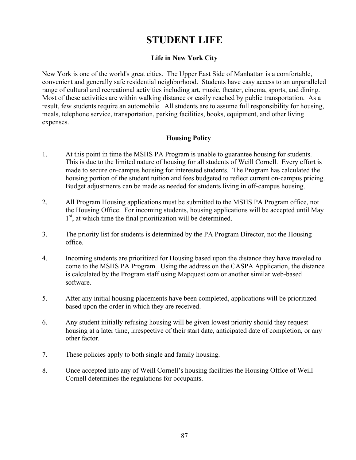# **STUDENT LIFE**

# **Life in New York City**

New York is one of the world's great cities. The Upper East Side of Manhattan is a comfortable, convenient and generally safe residential neighborhood. Students have easy access to an unparalleled range of cultural and recreational activities including art, music, theater, cinema, sports, and dining. Most of these activities are within walking distance or easily reached by public transportation. As a result, few students require an automobile. All students are to assume full responsibility for housing, meals, telephone service, transportation, parking facilities, books, equipment, and other living expenses.

# **Housing Policy**

- 1. At this point in time the MSHS PA Program is unable to guarantee housing for students. This is due to the limited nature of housing for all students of Weill Cornell. Every effort is made to secure on-campus housing for interested students. The Program has calculated the housing portion of the student tuition and fees budgeted to reflect current on-campus pricing. Budget adjustments can be made as needed for students living in off-campus housing.
- 2. All Program Housing applications must be submitted to the MSHS PA Program office, not the Housing Office. For incoming students, housing applications will be accepted until May  $1<sup>st</sup>$ , at which time the final prioritization will be determined.
- 3. The priority list for students is determined by the PA Program Director, not the Housing office.
- 4. Incoming students are prioritized for Housing based upon the distance they have traveled to come to the MSHS PA Program. Using the address on the CASPA Application, the distance is calculated by the Program staff using Mapquest.com or another similar web-based software.
- 5. After any initial housing placements have been completed, applications will be prioritized based upon the order in which they are received.
- 6. Any student initially refusing housing will be given lowest priority should they request housing at a later time, irrespective of their start date, anticipated date of completion, or any other factor.
- 7. These policies apply to both single and family housing.
- 8. Once accepted into any of Weill Cornell's housing facilities the Housing Office of Weill Cornell determines the regulations for occupants.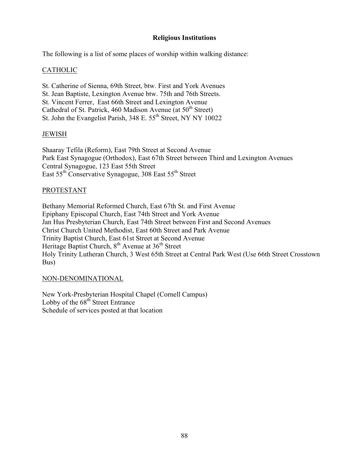## **Religious Institutions**

The following is a list of some places of worship within walking distance:

## CATHOLIC

St. Catherine of Sienna, 69th Street, btw. First and York Avenues St. Jean Baptiste, Lexington Avenue btw. 75th and 76th Streets. St. Vincent Ferrer, East 66th Street and Lexington Avenue Cathedral of St. Patrick, 460 Madison Avenue (at  $50<sup>th</sup>$  Street) St. John the Evangelist Parish, 348 E. 55<sup>th</sup> Street, NY NY 10022

#### JEWISH

Shaaray Tefila (Reform), East 79th Street at Second Avenue Park East Synagogue (Orthodox), East 67th Street between Third and Lexington Avenues Central Synagogue, 123 East 55th Street East 55th Conservative Synagogue, 308 East 55th Street

#### PROTESTANT

Bethany Memorial Reformed Church, East 67th St. and First Avenue Epiphany Episcopal Church, East 74th Street and York Avenue Jan Hus Presbyterian Church, East 74th Street between First and Second Avenues Christ Church United Methodist, East 60th Street and Park Avenue Trinity Baptist Church, East 61st Street at Second Avenue Heritage Baptist Church,  $8<sup>th</sup>$  Avenue at  $36<sup>th</sup>$  Street Holy Trinity Lutheran Church, 3 West 65th Street at Central Park West (Use 66th Street Crosstown Bus)

#### NON-DENOMINATIONAL

New York-Presbyterian Hospital Chapel (Cornell Campus) Lobby of the  $68<sup>th</sup>$  Street Entrance Schedule of services posted at that location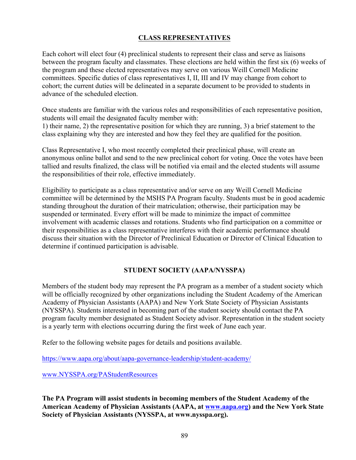# **CLASS REPRESENTATIVES**

Each cohort will elect four (4) preclinical students to represent their class and serve as liaisons between the program faculty and classmates. These elections are held within the first six (6) weeks of the program and these elected representatives may serve on various Weill Cornell Medicine committees. Specific duties of class representatives I, II, III and IV may change from cohort to cohort; the current duties will be delineated in a separate document to be provided to students in advance of the scheduled election.

Once students are familiar with the various roles and responsibilities of each representative position, students will email the designated faculty member with:

1) their name, 2) the representative position for which they are running, 3) a brief statement to the class explaining why they are interested and how they feel they are qualified for the position.

Class Representative I, who most recently completed their preclinical phase, will create an anonymous online ballot and send to the new preclinical cohort for voting. Once the votes have been tallied and results finalized, the class will be notified via email and the elected students will assume the responsibilities of their role, effective immediately.

Eligibility to participate as a class representative and/or serve on any Weill Cornell Medicine committee will be determined by the MSHS PA Program faculty. Students must be in good academic standing throughout the duration of their matriculation; otherwise, their participation may be suspended or terminated. Every effort will be made to minimize the impact of committee involvement with academic classes and rotations. Students who find participation on a committee or their responsibilities as a class representative interferes with their academic performance should discuss their situation with the Director of Preclinical Education or Director of Clinical Education to determine if continued participation is advisable.

# **STUDENT SOCIETY (AAPA/NYSSPA)**

Members of the student body may represent the PA program as a member of a student society which will be officially recognized by other organizations including the Student Academy of the American Academy of Physician Assistants (AAPA) and New York State Society of Physician Assistants (NYSSPA). Students interested in becoming part of the student society should contact the PA program faculty member designated as Student Society advisor. Representation in the student society is a yearly term with elections occurring during the first week of June each year.

Refer to the following website pages for details and positions available.

https://www.aapa.org/about/aapa-governance-leadership/student-academy/

www.NYSSPA.org/PAStudentResources

**The PA Program will assist students in becoming members of the Student Academy of the American Academy of Physician Assistants (AAPA, at www.aapa.org) and the New York State Society of Physician Assistants (NYSSPA, at www.nysspa.org).**